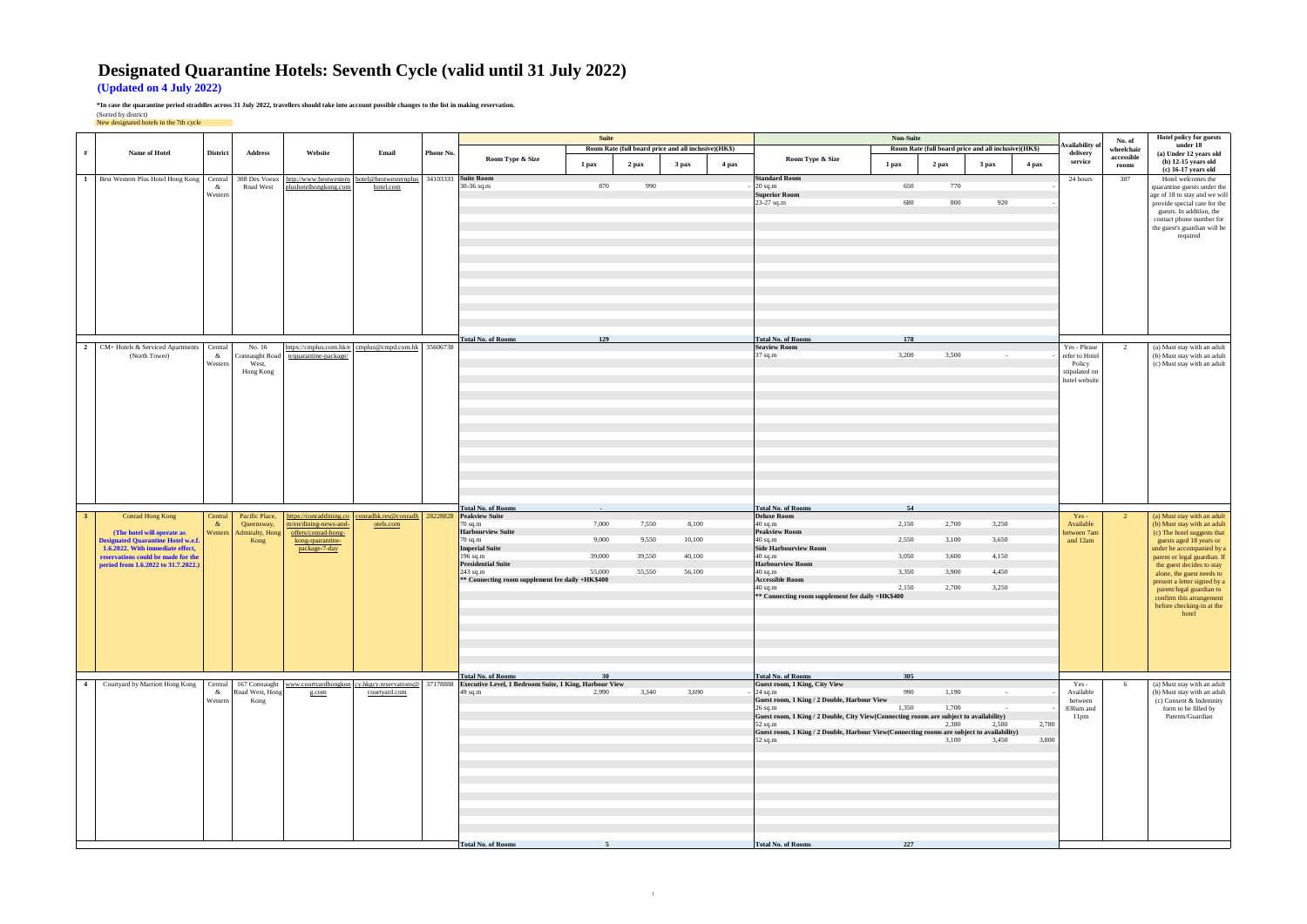## **Designated Quarantine Hotels: Seventh Cycle (valid until 31 July 2022)**

**(Updated on 4 July 2022)**

**\*In case the quarantine period straddles across 31 July 2022, travellers should take into account possible changes to the list in making reservation.**

|                |                                                                           |                 |                          |                                         |                                                                      |           |                                                                   | Suite      |        |                                                      |       |                                                                                                      | <b>Non-Suite</b> |                                                      |        |       |
|----------------|---------------------------------------------------------------------------|-----------------|--------------------------|-----------------------------------------|----------------------------------------------------------------------|-----------|-------------------------------------------------------------------|------------|--------|------------------------------------------------------|-------|------------------------------------------------------------------------------------------------------|------------------|------------------------------------------------------|--------|-------|
| #              | Name of Hotel                                                             | <b>District</b> | <b>Address</b>           | Website                                 | Email                                                                | Phone No. |                                                                   |            |        | Room Rate (full board price and all inclusive)(HK\$) |       |                                                                                                      |                  | Room Rate (full board price and all inclusive)(HK\$) |        |       |
|                |                                                                           |                 |                          |                                         |                                                                      |           | Room Type & Size                                                  | 1 pax      | 2 pax  | 3 pax                                                | 4 pax | Room Type & Size                                                                                     | 1 pax            | 2 pax                                                | 3 pax  | 4 pax |
| $\mathbf{1}$   | Best Western Plus Hotel Hong Kong                                         | Central         | 308 Des Voeux            |                                         | http://www.bestwestern hotel@bestwesternplus                         |           | 34103333 Suite Room                                               |            |        |                                                      |       | <b>Standard Room</b>                                                                                 |                  |                                                      |        |       |
|                |                                                                           | &<br>Western    | Road West                | plushotelhongkong.com                   | hotel.com                                                            |           | 30-36 sq.m                                                        | 870        | 990    |                                                      |       | $20$ sq.m<br><b>Superior Room</b>                                                                    | 650              | 770                                                  |        |       |
|                |                                                                           |                 |                          |                                         |                                                                      |           |                                                                   |            |        |                                                      |       | 23-27 sq.m                                                                                           | 680              | 800                                                  | 920    |       |
|                |                                                                           |                 |                          |                                         |                                                                      |           |                                                                   |            |        |                                                      |       |                                                                                                      |                  |                                                      |        |       |
|                |                                                                           |                 |                          |                                         |                                                                      |           |                                                                   |            |        |                                                      |       |                                                                                                      |                  |                                                      |        |       |
|                |                                                                           |                 |                          |                                         |                                                                      |           |                                                                   |            |        |                                                      |       |                                                                                                      |                  |                                                      |        |       |
|                |                                                                           |                 |                          |                                         |                                                                      |           |                                                                   |            |        |                                                      |       |                                                                                                      |                  |                                                      |        |       |
|                |                                                                           |                 |                          |                                         |                                                                      |           |                                                                   |            |        |                                                      |       |                                                                                                      |                  |                                                      |        |       |
|                |                                                                           |                 |                          |                                         |                                                                      |           |                                                                   |            |        |                                                      |       |                                                                                                      |                  |                                                      |        |       |
|                |                                                                           |                 |                          |                                         |                                                                      |           |                                                                   |            |        |                                                      |       |                                                                                                      |                  |                                                      |        |       |
|                |                                                                           |                 |                          |                                         |                                                                      |           |                                                                   |            |        |                                                      |       |                                                                                                      |                  |                                                      |        |       |
|                |                                                                           |                 |                          |                                         |                                                                      |           |                                                                   |            |        |                                                      |       |                                                                                                      |                  |                                                      |        |       |
|                |                                                                           |                 |                          |                                         |                                                                      |           |                                                                   |            |        |                                                      |       |                                                                                                      |                  |                                                      |        |       |
|                |                                                                           |                 |                          |                                         |                                                                      |           | <b>Total No. of Rooms</b>                                         | 129        |        |                                                      |       | <b>Total No. of Rooms</b>                                                                            | 178              |                                                      |        |       |
| 2              | CM+ Hotels & Serviced Apartments<br>(North Tower)                         | Central<br>&    | No. 16<br>Connaught Road | n/quarantine-package/                   | https://cmplus.com.hk/e cmplus@cmpd.com.hk 35606738                  |           |                                                                   |            |        |                                                      |       | <b>Seaview Room</b><br>37 sq.m                                                                       | 3,200            | 3,500                                                | $\sim$ |       |
|                |                                                                           | Western         | West,                    |                                         |                                                                      |           |                                                                   |            |        |                                                      |       |                                                                                                      |                  |                                                      |        |       |
|                |                                                                           |                 | Hong Kong                |                                         |                                                                      |           |                                                                   |            |        |                                                      |       |                                                                                                      |                  |                                                      |        |       |
|                |                                                                           |                 |                          |                                         |                                                                      |           |                                                                   |            |        |                                                      |       |                                                                                                      |                  |                                                      |        |       |
|                |                                                                           |                 |                          |                                         |                                                                      |           |                                                                   |            |        |                                                      |       |                                                                                                      |                  |                                                      |        |       |
|                |                                                                           |                 |                          |                                         |                                                                      |           |                                                                   |            |        |                                                      |       |                                                                                                      |                  |                                                      |        |       |
|                |                                                                           |                 |                          |                                         |                                                                      |           |                                                                   |            |        |                                                      |       |                                                                                                      |                  |                                                      |        |       |
|                |                                                                           |                 |                          |                                         |                                                                      |           |                                                                   |            |        |                                                      |       |                                                                                                      |                  |                                                      |        |       |
|                |                                                                           |                 |                          |                                         |                                                                      |           |                                                                   |            |        |                                                      |       |                                                                                                      |                  |                                                      |        |       |
|                |                                                                           |                 |                          |                                         |                                                                      |           |                                                                   |            |        |                                                      |       |                                                                                                      |                  |                                                      |        |       |
|                |                                                                           |                 |                          |                                         |                                                                      |           |                                                                   |            |        |                                                      |       |                                                                                                      |                  |                                                      |        |       |
|                |                                                                           |                 |                          |                                         |                                                                      |           |                                                                   |            |        |                                                      |       |                                                                                                      |                  |                                                      |        |       |
|                |                                                                           |                 |                          |                                         |                                                                      |           |                                                                   |            |        |                                                      |       |                                                                                                      |                  |                                                      |        |       |
| $\mathbf{3}$   | Conrad Hong Kong                                                          | Central         | Pacific Place,           |                                         | https://conraddining.co conradhk.res@conradh 28228828 Peakview Suite |           | <b>Total No. of Rooms</b>                                         | $\sim$ $-$ |        |                                                      |       | <b>Total No. of Rooms</b><br><b>Deluxe Room</b>                                                      | 54               |                                                      |        |       |
|                |                                                                           | $\alpha$        | Queensway,               | m/en/dining-news-and-                   | otels.com                                                            |           | $70$ sq.m                                                         | 7,000      | 7,550  | 8,100                                                |       | 40 sq.m                                                                                              | 2,150            | 2,700                                                | 3,250  |       |
|                | (The hotel will operate as<br><b>Designated Quarantine Hotel w.e.f.</b>   | Western         | Admiralty, Hong<br>Kong  | offers/conrad-hong-<br>kong-quarantine- |                                                                      |           | <b>Harbourview Suite</b><br>$70$ sq.m                             | 9,000      | 9,550  | 10,100                                               |       | <b>Peakview Room</b><br>40 sq.m                                                                      | 2,550            | 3,100                                                | 3,650  |       |
|                | 1.6.2022. With immediate effect,                                          |                 |                          | package-7-day                           |                                                                      |           | <b>Imperial Suite</b>                                             |            |        |                                                      |       | <b>Side Harbourview Room</b>                                                                         |                  |                                                      |        |       |
|                | reservations could be made for the<br>period from 1.6.2022 to 31.7.2022.) |                 |                          |                                         |                                                                      |           | 196 sq.m<br><b>Presidential Suite</b>                             | 39,000     | 39,550 | 40,100                                               |       | 40 sq.m<br><b>Harbourview Room</b>                                                                   | 3,050            | 3,600                                                | 4,150  |       |
|                |                                                                           |                 |                          |                                         |                                                                      |           | $243$ sq.m                                                        | 55,000     | 55,550 | 56,100                                               |       | 40 sq.m<br><b>Accessible Room</b>                                                                    | 3,350            | 3,900                                                | 4,450  |       |
|                |                                                                           |                 |                          |                                         |                                                                      |           | ** Connecting room supplement fee daily +HK\$400                  |            |        |                                                      |       | 40 sq.m                                                                                              | 2,150            | 2,700                                                | 3,250  |       |
|                |                                                                           |                 |                          |                                         |                                                                      |           |                                                                   |            |        |                                                      |       | ** Connecting room supplement fee daily +HK\$400                                                     |                  |                                                      |        |       |
|                |                                                                           |                 |                          |                                         |                                                                      |           |                                                                   |            |        |                                                      |       |                                                                                                      |                  |                                                      |        |       |
|                |                                                                           |                 |                          |                                         |                                                                      |           |                                                                   |            |        |                                                      |       |                                                                                                      |                  |                                                      |        |       |
|                |                                                                           |                 |                          |                                         |                                                                      |           |                                                                   |            |        |                                                      |       |                                                                                                      |                  |                                                      |        |       |
|                |                                                                           |                 |                          |                                         |                                                                      |           |                                                                   |            |        |                                                      |       |                                                                                                      |                  |                                                      |        |       |
|                |                                                                           |                 |                          |                                         |                                                                      |           |                                                                   |            |        |                                                      |       |                                                                                                      |                  |                                                      |        |       |
|                |                                                                           |                 |                          |                                         |                                                                      |           | <b>Total No. of Rooms</b>                                         | 30         |        |                                                      |       | <b>Total No. of Rooms</b>                                                                            | 305              |                                                      |        |       |
| $\overline{4}$ | Courtyard by Marriott Hong Kong                                           | Central         | Road West, Hong          |                                         | 167 Connaught www.courtyardhongkon cy.hkgcy.reservations@ 37178888   |           | Executive Level, 1 Bedroom Suite, 1 King, Harbour View<br>49 sq.m | 2,990      | 3,340  | 3,690                                                |       | Guest room, 1 King, City View                                                                        | 990              | 1,190                                                | $\sim$ |       |
|                |                                                                           | &<br>Western    | Kong                     | g.com                                   | courtyard.com                                                        |           |                                                                   |            |        |                                                      |       | $24$ sq.m<br>Guest room, 1 King / 2 Double, Harbour View                                             |                  |                                                      |        |       |
|                |                                                                           |                 |                          |                                         |                                                                      |           |                                                                   |            |        |                                                      |       | $26$ sq.m<br>Guest room, 1 King / 2 Double, City View(Connecting rooms are subject to availability)  | 1,350            | 1,700                                                |        |       |
|                |                                                                           |                 |                          |                                         |                                                                      |           |                                                                   |            |        |                                                      |       | 52 sq.m                                                                                              |                  | 2,380                                                | 2,580  | 2,780 |
|                |                                                                           |                 |                          |                                         |                                                                      |           |                                                                   |            |        |                                                      |       | Guest room, 1 King / 2 Double, Harbour View(Connecting rooms are subject to availability)<br>52 sq.m |                  | 3,100                                                | 3,450  | 3,800 |
|                |                                                                           |                 |                          |                                         |                                                                      |           |                                                                   |            |        |                                                      |       |                                                                                                      |                  |                                                      |        |       |
|                |                                                                           |                 |                          |                                         |                                                                      |           |                                                                   |            |        |                                                      |       |                                                                                                      |                  |                                                      |        |       |
|                |                                                                           |                 |                          |                                         |                                                                      |           |                                                                   |            |        |                                                      |       |                                                                                                      |                  |                                                      |        |       |
|                |                                                                           |                 |                          |                                         |                                                                      |           |                                                                   |            |        |                                                      |       |                                                                                                      |                  |                                                      |        |       |
|                |                                                                           |                 |                          |                                         |                                                                      |           |                                                                   |            |        |                                                      |       |                                                                                                      |                  |                                                      |        |       |
|                |                                                                           |                 |                          |                                         |                                                                      |           |                                                                   |            |        |                                                      |       |                                                                                                      |                  |                                                      |        |       |
|                |                                                                           |                 |                          |                                         |                                                                      |           |                                                                   |            |        |                                                      |       |                                                                                                      |                  |                                                      |        |       |
|                |                                                                           |                 |                          |                                         |                                                                      |           |                                                                   |            |        |                                                      |       |                                                                                                      |                  |                                                      |        |       |
|                |                                                                           |                 |                          |                                         |                                                                      |           | <b>Total No. of Rooms</b>                                         | -5         |        |                                                      |       | <b>Total No. of Rooms</b>                                                                            | 227              |                                                      |        |       |

(Sorted by district) New designated hotels in the 7th cycle

| ax                                        | ll inclusive)(HK\$)<br>4 pax | Availability of<br>delivery<br>service                                     | No. of<br>wheelchair<br>accessible<br>rooms | <b>Hotel policy for guests</b><br>under 18<br>(a) Under 12 years old<br>$(b)$ 12-15 years old<br>$(c)$ 16-17 years old                                                                                                                                                                                                                                                    |
|-------------------------------------------|------------------------------|----------------------------------------------------------------------------|---------------------------------------------|---------------------------------------------------------------------------------------------------------------------------------------------------------------------------------------------------------------------------------------------------------------------------------------------------------------------------------------------------------------------------|
| 920                                       |                              | 24 hours                                                                   | 307                                         | Hotel welcomes the<br>quarantine guests under the<br>age of 18 to stay and we will<br>provide special care for the<br>guests. In addition, the<br>contact phone number for<br>the guest's guardian will be<br>required                                                                                                                                                    |
|                                           |                              | Yes - Please<br>refer to Hotel<br>Policy<br>stipulated on<br>hotel website | 2                                           | (a) Must stay with an adult<br>(b) Must stay with an adult<br>(c) Must stay with an adult                                                                                                                                                                                                                                                                                 |
| 3,250<br>3,650<br>4,150<br>4,450<br>3,250 |                              | Yes-<br>Available<br>between 7am<br>and 12am                               | $\overline{c}$                              | (a) Must stay with an adult<br>(b) Must stay with an adult<br>(c) The hotel suggests that<br>guests aged 18 years or<br>under be accompanied by a<br>parent or legal guardian. If<br>the guest decides to stay<br>alone, the guest needs to<br>present a letter signed by a<br>parent/legal guardian to<br>confirm this arrangement<br>before checking-in at the<br>hotel |
| bility)<br>2,580<br>vailability)<br>3,450 | 2,780<br>3,800               | Yes -<br>Available<br>between<br>830am and<br>11pm                         | 6                                           | (a) Must stay with an adult<br>(b) Must stay with an adult<br>(c) Consent & Indemnity<br>form to be filled by<br>Parents/Guardian                                                                                                                                                                                                                                         |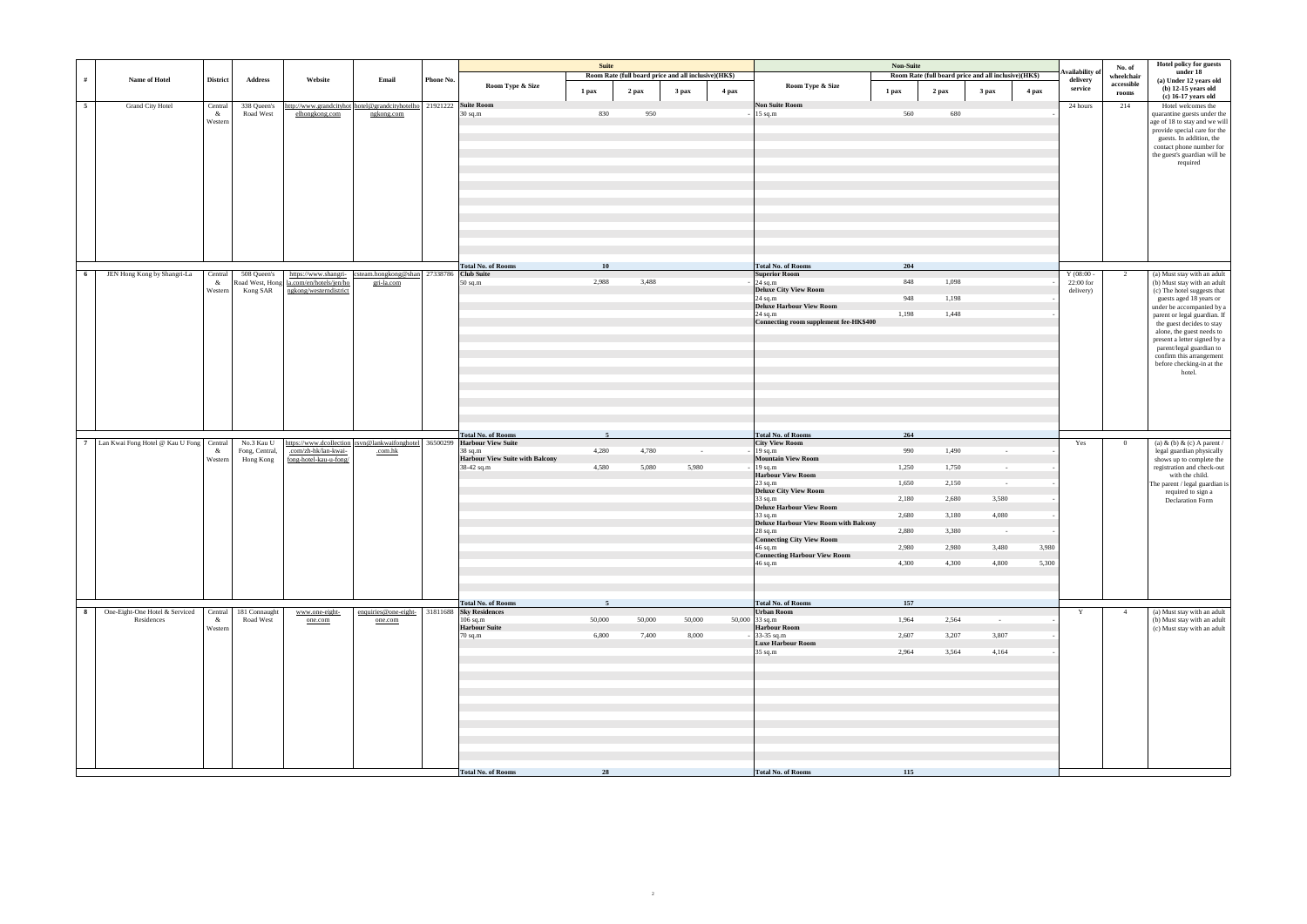| #              | Name of Hotel                                | <b>District</b>         | <b>Address</b>                            | Website                                                             | Email                                                                            | Phone No. | Room Type & Size                                                                                                                                       | <b>Suite</b>                           | Room Rate (full board price and all inclusive)(HK\$) |                     |       | Room Type & Size                                                                                                                                                                                                                                                                                                                                                                                                                     | Non-Suite                                                                        | Room Rate (full board price and all inclusive)(HK\$)                 |                                                                                          |                | <b>Availability</b> o<br>delivery     | No. of<br>wheelchair<br>accessible | Hotel policy for guests<br>under 18<br>(a) Under 12 years old                                                                                                                                                                                                                                                                                                              |
|----------------|----------------------------------------------|-------------------------|-------------------------------------------|---------------------------------------------------------------------|----------------------------------------------------------------------------------|-----------|--------------------------------------------------------------------------------------------------------------------------------------------------------|----------------------------------------|------------------------------------------------------|---------------------|-------|--------------------------------------------------------------------------------------------------------------------------------------------------------------------------------------------------------------------------------------------------------------------------------------------------------------------------------------------------------------------------------------------------------------------------------------|----------------------------------------------------------------------------------|----------------------------------------------------------------------|------------------------------------------------------------------------------------------|----------------|---------------------------------------|------------------------------------|----------------------------------------------------------------------------------------------------------------------------------------------------------------------------------------------------------------------------------------------------------------------------------------------------------------------------------------------------------------------------|
|                |                                              |                         |                                           |                                                                     |                                                                                  |           |                                                                                                                                                        | 1 pax                                  | 2 pax                                                | 3 pax               | 4 pax |                                                                                                                                                                                                                                                                                                                                                                                                                                      | 1 pax                                                                            | 2 pax                                                                | 3 <sub>max</sub>                                                                         | 4 pax          | service                               | rooms                              | $(b)$ 12-15 years old<br>$(c)$ 16-17 years old                                                                                                                                                                                                                                                                                                                             |
| 5 <sup>5</sup> | <b>Grand City Hotel</b>                      | Central<br>&<br>Western | 338 Queen's<br>Road West                  | elhongkong.com                                                      | http://www.grandcityhot hotel@grandcityhotelho 21921222 Suite Room<br>ngkong.com |           | $30$ sq.m                                                                                                                                              | 830                                    | 950                                                  |                     |       | <b>Non Suite Room</b><br>$15$ sq.m                                                                                                                                                                                                                                                                                                                                                                                                   | 560                                                                              | 680                                                                  |                                                                                          |                | 24 hours                              | 214                                | Hotel welcomes the<br>quarantine guests under the<br>age of 18 to stay and we will<br>provide special care for the<br>guests. In addition, the<br>contact phone number for<br>the guest's guardian will be<br>required                                                                                                                                                     |
|                |                                              |                         |                                           |                                                                     |                                                                                  |           | <b>Total No. of Rooms</b>                                                                                                                              | 10                                     |                                                      |                     |       | <b>Total No. of Rooms</b>                                                                                                                                                                                                                                                                                                                                                                                                            | 204                                                                              |                                                                      |                                                                                          |                |                                       |                                    |                                                                                                                                                                                                                                                                                                                                                                            |
| - 6            | JEN Hong Kong by Shangri-La                  | Central<br>&<br>Western | 508 Queen's<br>Kong SAR                   | Road West, Hong   la.com/en/hotels/jen/ho<br>ngkong/westerndistrict | https://www.shangri- csteam.hongkong@shan 27338786 Club Suite<br>gri-la.com      |           | 50 sq.m                                                                                                                                                | 2,988                                  | 3,488                                                |                     |       | <b>Superior Room</b><br>$24$ sq.m<br><b>Deluxe City View Room</b><br>24 sq.m<br>Deluxe Harbour View Room<br>24 sq.m<br>Connecting room supplement fee-HK\$400                                                                                                                                                                                                                                                                        | 848<br>948<br>1,198                                                              | 1,098<br>1,198<br>1,448                                              |                                                                                          |                | $Y(08:00 -$<br>22:00 for<br>delivery) | 2                                  | (a) Must stay with an adult<br>(b) Must stay with an adult<br>(c) The hotel suggests that<br>guests aged 18 years or<br>under be accompanied by a<br>parent or legal guardian. If<br>the guest decides to stay<br>alone, the guest needs to<br>present a letter signed by a<br>parent/legal guardian to<br>confirm this arrangement<br>before checking-in at the<br>hotel. |
|                | 7 Lan Kwai Fong Hotel @ Kau U Fong Central   | &<br>Western            | No.3 Kau U<br>Fong, Central,<br>Hong Kong | .com/zh-hk/lan-kwai-<br>fong-hotel-kau-u-fong/                      | https://www.dcollection rsvn@lankwaifonghotel 36500299<br>.com.hk                |           | <b>Total No. of Rooms</b><br><b>Harbour View Suite</b><br>38 sq.m<br><b>Harbour View Suite with Balcony</b><br>38-42 sq.m<br><b>Total No. of Rooms</b> | $\overline{5}$<br>4,280<br>4,580<br>-5 | 4,780<br>5,080                                       | $\sim$ $-$<br>5,980 |       | <b>Total No. of Rooms</b><br><b>City View Room</b><br>$19$ sq.m<br><b>Mountain View Room</b><br>$19$ sq.m<br><b>Harbour View Room</b><br>23 sq.m<br><b>Deluxe City View Room</b><br>33 sq.m<br><b>Deluxe Harbour View Room</b><br>33 sq.m<br><b>Deluxe Harbour View Room with Balcony</b><br>$28$ sq.m<br><b>Connecting City View Room</b><br>46 sq.m<br><b>Connecting Harbour View Room</b><br>46 sq.m<br><b>Total No. of Rooms</b> | 264<br>990<br>1,250<br>1,650<br>2,180<br>2,680<br>2,880<br>2,980<br>4,300<br>157 | 1,490<br>1,750<br>2,150<br>2,680<br>3,180<br>3,380<br>2,980<br>4.300 | $\sim$ $ \sim$<br>$\sim$<br>$\sim 10^{-1}$<br>3,580<br>4,080<br>$\sim$<br>3,480<br>4,800 | 3,980<br>5,300 | Yes                                   | $\overline{0}$                     | (a) & (b) & (c) A parent /<br>legal guardian physically<br>shows up to complete the<br>registration and check-out<br>with the child.<br>The parent / legal guardian is<br>required to sign a<br>Declaration Form                                                                                                                                                           |
| 8              | One-Eight-One Hotel & Serviced<br>Residences | Central<br>&<br>Western | 181 Connaught<br>Road West                | www.one-eight-<br>one.com                                           | enquiries@one-eight-<br>one.com                                                  |           | 31811688 Sky Residences<br>$106$ sq.m<br><b>Harbour Suite</b><br>70 sq.m<br><b>Total No. of Rooms</b>                                                  | 50,000<br>6,800<br>28                  | 50,000<br>7,400                                      | 50,000<br>8,000     |       | <b>Urban Room</b><br>$50,000$ 33 sq.m<br><b>Harbour Room</b><br>33-35 sq.m<br><b>Luxe Harbour Room</b><br>35 sq.m<br>Total No. of Rooms                                                                                                                                                                                                                                                                                              | 1,964<br>2,607<br>2,964<br>115                                                   | 2,564<br>3,207<br>3,564                                              | $\sim$ $-$<br>3,807<br>4,164                                                             |                | Y                                     | $\overline{4}$                     | (a) Must stay with an adult<br>(b) Must stay with an adult<br>(c) Must stay with an adult                                                                                                                                                                                                                                                                                  |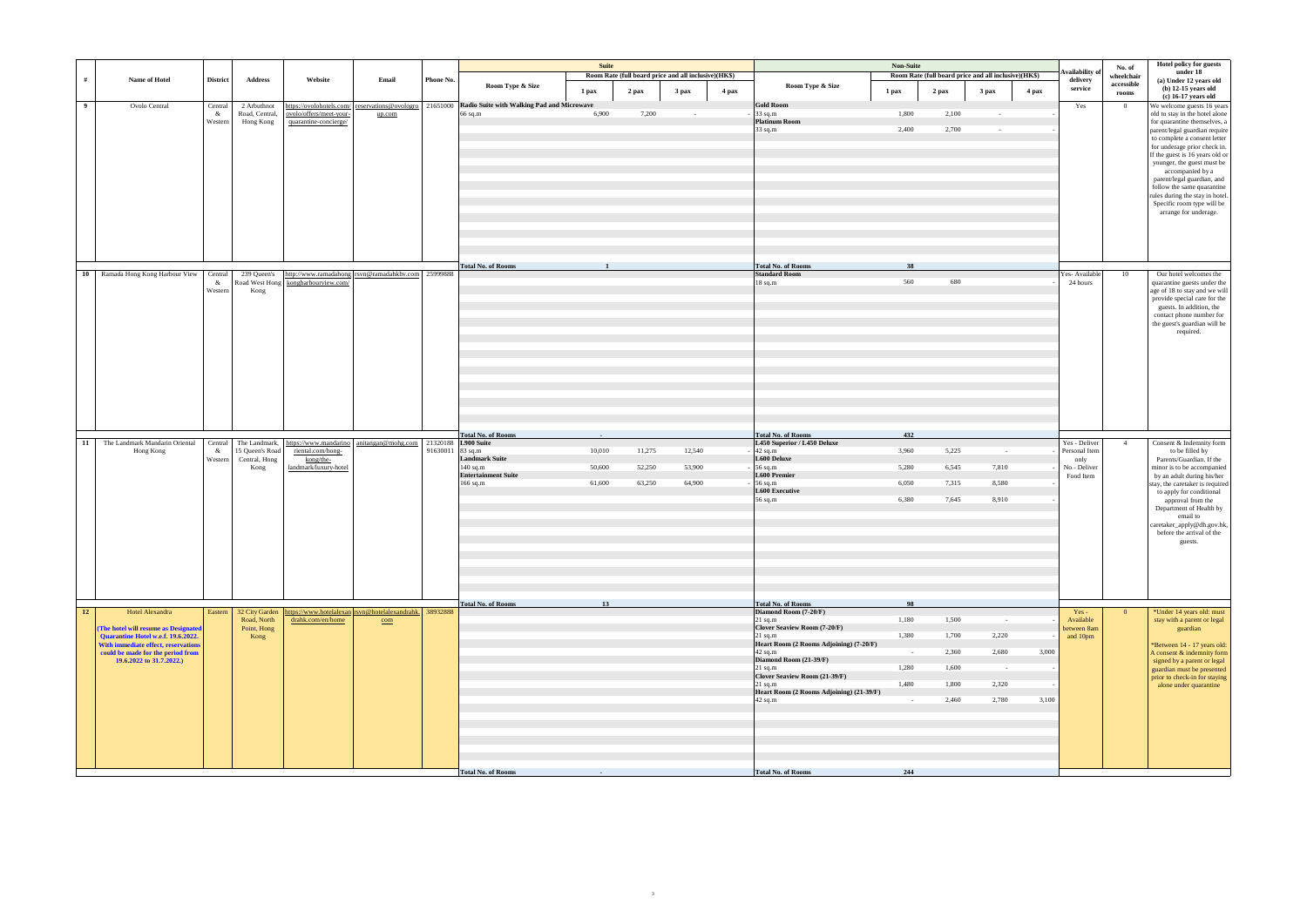|                |                                                                           |                 |                             |                                                                                      |                                                    |                  |                                                     | <b>Suite</b>    |        | Room Rate (full board price and all inclusive)(HK\$) |       |                                                       | Non-Suite  | Room Rate (full board price and all inclusive)(HK\$) |                  |       | Availability o                 | No. of<br>wheelchair        | Hotel policy for guests<br>under 18                            |
|----------------|---------------------------------------------------------------------------|-----------------|-----------------------------|--------------------------------------------------------------------------------------|----------------------------------------------------|------------------|-----------------------------------------------------|-----------------|--------|------------------------------------------------------|-------|-------------------------------------------------------|------------|------------------------------------------------------|------------------|-------|--------------------------------|-----------------------------|----------------------------------------------------------------|
| #              | Name of Hotel                                                             | <b>District</b> | <b>Address</b>              | Website                                                                              | Email                                              | Phone No.        | Room Type & Size                                    | 1 pax           | 2 pax  | 3 pax                                                | 4 pax | Room Type & Size                                      | 1 pax      | 2 pax                                                | 3 <sub>max</sub> | 4 pax | delivery<br>service            | accessible<br>${\bf rooms}$ | (a) Under 12 years old<br>$(b)$ 12-15 years old                |
| $\overline{9}$ | Ovolo Central                                                             | Central         | 2 Arbuthnot                 | https://ovolohotels.com/                                                             | reservations@ovologro                              |                  | 21651000 Radio Suite with Walking Pad and Microwave |                 |        |                                                      |       | <b>Gold Room</b>                                      |            |                                                      |                  |       | Yes                            | $\overline{0}$              | $(c)$ 16-17 years old<br>We welcome guests 16 years            |
|                |                                                                           | &<br>Western    | Road, Central,<br>Hong Kong | ovolo/offers/meet-your-<br>quarantine-concierge/                                     | up.com                                             |                  | 66 sq.m                                             | 6,900           | 7,200  | $\sim$                                               |       | 33 sq.m<br><b>Platinum Room</b>                       | 1,800      | 2,100                                                | $\sim$           |       |                                |                             | old to stay in the hotel alone<br>for quarantine themselves, a |
|                |                                                                           |                 |                             |                                                                                      |                                                    |                  |                                                     |                 |        |                                                      |       | 33 sq.m                                               | 2,400      | 2,700                                                | $\sim$           |       |                                |                             | parent/legal guardian require                                  |
|                |                                                                           |                 |                             |                                                                                      |                                                    |                  |                                                     |                 |        |                                                      |       |                                                       |            |                                                      |                  |       |                                |                             | to complete a consent letter<br>for underage prior check in.   |
|                |                                                                           |                 |                             |                                                                                      |                                                    |                  |                                                     |                 |        |                                                      |       |                                                       |            |                                                      |                  |       |                                |                             | If the guest is 16 years old or<br>younger, the guest must be  |
|                |                                                                           |                 |                             |                                                                                      |                                                    |                  |                                                     |                 |        |                                                      |       |                                                       |            |                                                      |                  |       |                                |                             | accompanied by a<br>parent/legal guardian, and                 |
|                |                                                                           |                 |                             |                                                                                      |                                                    |                  |                                                     |                 |        |                                                      |       |                                                       |            |                                                      |                  |       |                                |                             | follow the same quarantine                                     |
|                |                                                                           |                 |                             |                                                                                      |                                                    |                  |                                                     |                 |        |                                                      |       |                                                       |            |                                                      |                  |       |                                |                             | rules during the stay in hotel.<br>Specific room type will be  |
|                |                                                                           |                 |                             |                                                                                      |                                                    |                  |                                                     |                 |        |                                                      |       |                                                       |            |                                                      |                  |       |                                |                             | arrange for underage.                                          |
|                |                                                                           |                 |                             |                                                                                      |                                                    |                  |                                                     |                 |        |                                                      |       |                                                       |            |                                                      |                  |       |                                |                             |                                                                |
|                |                                                                           |                 |                             |                                                                                      |                                                    |                  |                                                     |                 |        |                                                      |       |                                                       |            |                                                      |                  |       |                                |                             |                                                                |
|                |                                                                           |                 |                             |                                                                                      |                                                    |                  |                                                     |                 |        |                                                      |       |                                                       |            |                                                      |                  |       |                                |                             |                                                                |
|                | 10 Ramada Hong Kong Harbour View                                          | Central         | 239 Queen's                 |                                                                                      | http://www.ramadahong rsvn@ramadahkhv.com 25999888 |                  | <b>Total No. of Rooms</b>                           |                 |        |                                                      |       | <b>Total No. of Rooms</b><br><b>Standard Room</b>     | 38         |                                                      |                  |       | Yes- Available                 | 10                          | Our hotel welcomes the                                         |
|                |                                                                           | &<br>Western    | Kong                        | Road West Hong kongharbourview.com/                                                  |                                                    |                  |                                                     |                 |        |                                                      |       | $18$ sq.m                                             | 560        | 680                                                  |                  |       | 24 hours                       |                             | quarantine guests under the<br>age of 18 to stay and we will   |
|                |                                                                           |                 |                             |                                                                                      |                                                    |                  |                                                     |                 |        |                                                      |       |                                                       |            |                                                      |                  |       |                                |                             | provide special care for the<br>guests. In addition, the       |
|                |                                                                           |                 |                             |                                                                                      |                                                    |                  |                                                     |                 |        |                                                      |       |                                                       |            |                                                      |                  |       |                                |                             | contact phone number for<br>the guest's guardian will be       |
|                |                                                                           |                 |                             |                                                                                      |                                                    |                  |                                                     |                 |        |                                                      |       |                                                       |            |                                                      |                  |       |                                |                             | required.                                                      |
|                |                                                                           |                 |                             |                                                                                      |                                                    |                  |                                                     |                 |        |                                                      |       |                                                       |            |                                                      |                  |       |                                |                             |                                                                |
|                |                                                                           |                 |                             |                                                                                      |                                                    |                  |                                                     |                 |        |                                                      |       |                                                       |            |                                                      |                  |       |                                |                             |                                                                |
|                |                                                                           |                 |                             |                                                                                      |                                                    |                  |                                                     |                 |        |                                                      |       |                                                       |            |                                                      |                  |       |                                |                             |                                                                |
|                |                                                                           |                 |                             |                                                                                      |                                                    |                  |                                                     |                 |        |                                                      |       |                                                       |            |                                                      |                  |       |                                |                             |                                                                |
|                |                                                                           |                 |                             |                                                                                      |                                                    |                  |                                                     |                 |        |                                                      |       |                                                       |            |                                                      |                  |       |                                |                             |                                                                |
|                |                                                                           |                 |                             |                                                                                      |                                                    |                  |                                                     |                 |        |                                                      |       |                                                       |            |                                                      |                  |       |                                |                             |                                                                |
|                |                                                                           |                 |                             |                                                                                      |                                                    |                  | <b>Total No. of Rooms</b>                           | <b>Contract</b> |        |                                                      |       | <b>Total No. of Rooms</b>                             | 432        |                                                      |                  |       |                                |                             |                                                                |
| 11             | The Landmark Mandarin Oriental<br>Hong Kong                               | Central<br>&    | 15 Queen's Road             | The Landmark, https://www.mandarino anitangan@mohg.com 21320188<br>riental.com/hong- |                                                    | 91630011 83 sq.m | L900 Suite                                          | 10,010          | 11,275 | 12,540                                               |       | L450 Superior / L450 Deluxe<br>42 sq.m                | 3,960      | 5,225                                                | $\sim$           |       | Yes - Deliver<br>Personal Item | $\overline{4}$              | Consent & Indemnity form<br>to be filled by                    |
|                |                                                                           | Western         | Central, Hong<br>Kong       | kong/the-<br>landmark/luxury-hotel                                                   |                                                    |                  | <b>Landmark Suite</b><br>$140$ sq.m                 | 50,600          | 52,250 | 53,900                                               |       | L600 Deluxe<br>56 sq.m                                | 5,280      | 6,545                                                | 7,810            |       | only<br>No - Deliver           |                             | Parents/Guardian. If the<br>minor is to be accompanied         |
|                |                                                                           |                 |                             |                                                                                      |                                                    |                  | <b>Entertainment Suite</b><br>166 sq.m              | 61,600          | 63,250 | 64,900                                               |       | L600 Premier<br>56 sq.m                               | 6,050      | 7,315                                                | 8,580            |       | Food Item                      |                             | by an adult during his/her<br>stay, the caretaker is required  |
|                |                                                                           |                 |                             |                                                                                      |                                                    |                  |                                                     |                 |        |                                                      |       | L600 Executive<br>56 sq.m                             | 6,380      | 7,645                                                | 8,910            |       |                                |                             | to apply for conditional                                       |
|                |                                                                           |                 |                             |                                                                                      |                                                    |                  |                                                     |                 |        |                                                      |       |                                                       |            |                                                      |                  |       |                                |                             | approval from the<br>Department of Health by                   |
|                |                                                                           |                 |                             |                                                                                      |                                                    |                  |                                                     |                 |        |                                                      |       |                                                       |            |                                                      |                  |       |                                |                             | email to<br>caretaker_apply@dh.gov.hk,                         |
|                |                                                                           |                 |                             |                                                                                      |                                                    |                  |                                                     |                 |        |                                                      |       |                                                       |            |                                                      |                  |       |                                |                             | before the arrival of the<br>guests.                           |
|                |                                                                           |                 |                             |                                                                                      |                                                    |                  |                                                     |                 |        |                                                      |       |                                                       |            |                                                      |                  |       |                                |                             |                                                                |
|                |                                                                           |                 |                             |                                                                                      |                                                    |                  |                                                     |                 |        |                                                      |       |                                                       |            |                                                      |                  |       |                                |                             |                                                                |
|                |                                                                           |                 |                             |                                                                                      |                                                    |                  |                                                     |                 |        |                                                      |       |                                                       |            |                                                      |                  |       |                                |                             |                                                                |
|                |                                                                           |                 |                             |                                                                                      |                                                    |                  |                                                     |                 |        |                                                      |       |                                                       |            |                                                      |                  |       |                                |                             |                                                                |
| <b>12</b>      | Hotel Alexandra                                                           | Eastern         |                             | 32 City Garden https://www.hotelalexan rsvn@hotelalexandrahk. 38932888               |                                                    |                  | <b>Total No. of Rooms</b>                           | 13 <sup>7</sup> |        |                                                      |       | <b>Total No. of Rooms</b><br>Diamond Room (7-20/F)    | 98         |                                                      |                  |       | $Yes -$                        | $\overline{0}$              | *Under 14 years old: must                                      |
|                | (The hotel will resume as Designated                                      |                 | Road, North<br>Point, Hong  | drahk.com/en/home                                                                    | com                                                |                  |                                                     |                 |        |                                                      |       | $21$ sq.m<br><b>Clover Seaview Room (7-20/F)</b>      | 1,180      | 1,500                                                | $\sim 10^{-1}$   |       | Available<br>between 8am       |                             | stay with a parent or legal<br>guardian                        |
|                | Quarantine Hotel w.e.f. 19.6.2022.<br>With immediate effect, reservations |                 | Kong                        |                                                                                      |                                                    |                  |                                                     |                 |        |                                                      |       | $21$ sq.m<br>Heart Room (2 Rooms Adjoining) (7-20/F)  | 1,380      | 1,700                                                | 2,220            |       | and 10pm                       |                             | *Between 14 - 17 years old:                                    |
|                | could be made for the period from                                         |                 |                             |                                                                                      |                                                    |                  |                                                     |                 |        |                                                      |       | 42 sq.m                                               | $\sim$     | 2,360                                                | 2,680            | 3,000 |                                |                             | A consent & indemnity form                                     |
|                | 19.6.2022 to 31.7.2022.)                                                  |                 |                             |                                                                                      |                                                    |                  |                                                     |                 |        |                                                      |       | Diamond Room (21-39/F)<br>$21$ sq.m                   | 1,280      | 1,600                                                | $\sim 10^{-1}$   |       |                                |                             | signed by a parent or legal<br>guardian must be presented      |
|                |                                                                           |                 |                             |                                                                                      |                                                    |                  |                                                     |                 |        |                                                      |       | <b>Clover Seaview Room (21-39/F)</b><br>$21$ sq.m     | 1,480      | 1,800                                                | 2,320            |       |                                |                             | prior to check-in for staying<br>alone under quarantine        |
|                |                                                                           |                 |                             |                                                                                      |                                                    |                  |                                                     |                 |        |                                                      |       | Heart Room (2 Rooms Adjoining) (21-39/F)<br>$42$ sq.m | $\sim$ $-$ | 2,460                                                | 2,780            | 3,100 |                                |                             |                                                                |
|                |                                                                           |                 |                             |                                                                                      |                                                    |                  |                                                     |                 |        |                                                      |       |                                                       |            |                                                      |                  |       |                                |                             |                                                                |
|                |                                                                           |                 |                             |                                                                                      |                                                    |                  |                                                     |                 |        |                                                      |       |                                                       |            |                                                      |                  |       |                                |                             |                                                                |
|                |                                                                           |                 |                             |                                                                                      |                                                    |                  |                                                     |                 |        |                                                      |       |                                                       |            |                                                      |                  |       |                                |                             |                                                                |
|                |                                                                           |                 |                             |                                                                                      |                                                    |                  |                                                     |                 |        |                                                      |       |                                                       |            |                                                      |                  |       |                                |                             |                                                                |
|                |                                                                           |                 |                             |                                                                                      |                                                    |                  | <b>Total No. of Rooms</b>                           |                 |        |                                                      |       | <b>Total No. of Rooms</b>                             | 244        |                                                      |                  |       |                                |                             |                                                                |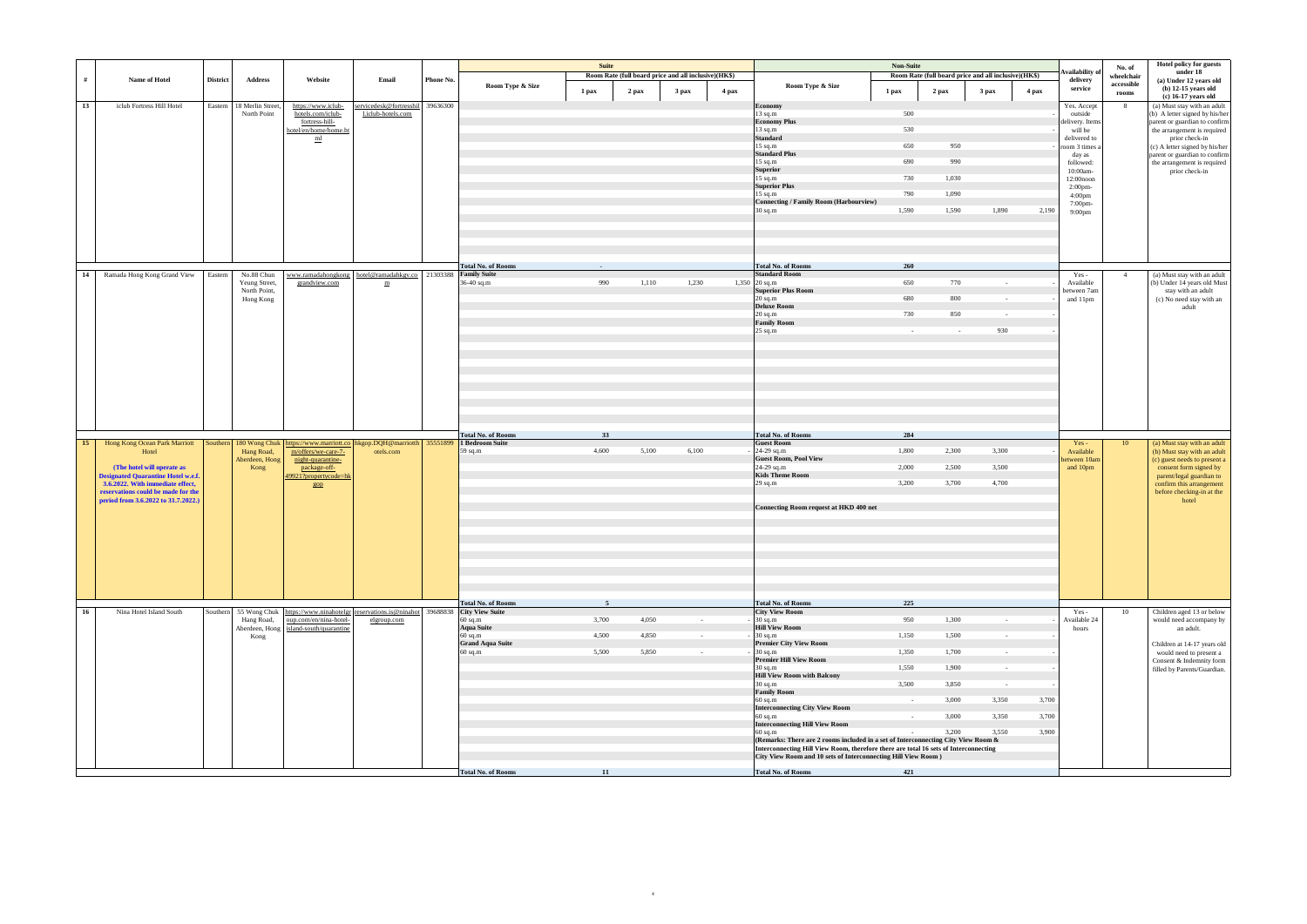|           |                                                                                                                                       |                 |                               |                                                                                                                          |                                                              |           |                           | <b>Suite</b>   |                                                      |            |       |                                                                                                                                                                           | Non-Suite       |                                                      |                  |       |                               |                      | Hotel policy for guests                              |
|-----------|---------------------------------------------------------------------------------------------------------------------------------------|-----------------|-------------------------------|--------------------------------------------------------------------------------------------------------------------------|--------------------------------------------------------------|-----------|---------------------------|----------------|------------------------------------------------------|------------|-------|---------------------------------------------------------------------------------------------------------------------------------------------------------------------------|-----------------|------------------------------------------------------|------------------|-------|-------------------------------|----------------------|------------------------------------------------------|
|           |                                                                                                                                       |                 |                               |                                                                                                                          |                                                              |           |                           |                | Room Rate (full board price and all inclusive)(HK\$) |            |       |                                                                                                                                                                           |                 | Room Rate (full board price and all inclusive)(HK\$) |                  |       | Availability o                | No. of<br>wheelchair | under 18                                             |
| #         | Name of Hotel                                                                                                                         | <b>District</b> | <b>Address</b>                | Website                                                                                                                  | Email                                                        | Phone No. | Room Type & Size          | 1 pax          | 2 pax                                                | 3 pax      | 4 pax | Room Type & Size                                                                                                                                                          | 1 pax           | 2 pax                                                | 3 <sub>max</sub> | 4 pax | delivery<br>service           | accessible<br>rooms  | (a) Under 12 years old<br>$(b)$ 12-15 years old      |
| 13        | iclub Fortress Hill Hotel                                                                                                             | Eastern         | 18 Merlin Street,             | https://www.iclub-                                                                                                       | servicedesk@fortresshil 39636300                             |           |                           |                |                                                      |            |       | <b>Economy</b>                                                                                                                                                            |                 |                                                      |                  |       | Yes. Accept                   | 8                    | (c) 16-17 years old<br>(a) Must stay with an adult   |
|           |                                                                                                                                       |                 | North Point                   | hotels.com/iclub-                                                                                                        | l.iclub-hotels.com                                           |           |                           |                |                                                      |            |       | 13 sq.m                                                                                                                                                                   | 500             |                                                      |                  |       | outside                       |                      | (b) A letter signed by his/her                       |
|           |                                                                                                                                       |                 |                               | fortress-hill-                                                                                                           |                                                              |           |                           |                |                                                      |            |       | <b>Economy Plus</b>                                                                                                                                                       |                 |                                                      |                  |       | delivery. Items               |                      | parent or guardian to confirm                        |
|           |                                                                                                                                       |                 |                               | hotel/en/home/home.ht<br>m <sub>l</sub>                                                                                  |                                                              |           |                           |                |                                                      |            |       | 13 sq.m<br><b>Standard</b>                                                                                                                                                | 530             |                                                      |                  |       | will be<br>delivered to       |                      | the arrangement is required<br>prior check-in        |
|           |                                                                                                                                       |                 |                               |                                                                                                                          |                                                              |           |                           |                |                                                      |            |       | $15$ sq.m                                                                                                                                                                 | 650             | 950                                                  |                  |       | room 3 times a                |                      | (c) A letter signed by his/her                       |
|           |                                                                                                                                       |                 |                               |                                                                                                                          |                                                              |           |                           |                |                                                      |            |       | <b>Standard Plus</b>                                                                                                                                                      |                 |                                                      |                  |       | day as                        |                      | parent or guardian to confirm                        |
|           |                                                                                                                                       |                 |                               |                                                                                                                          |                                                              |           |                           |                |                                                      |            |       | 15 sq.m<br>Superior                                                                                                                                                       | 690             | 990                                                  |                  |       | followed:<br>10:00am-         |                      | the arrangement is required<br>prior check-in        |
|           |                                                                                                                                       |                 |                               |                                                                                                                          |                                                              |           |                           |                |                                                      |            |       | 15 sq.m                                                                                                                                                                   | 730             | 1,030                                                |                  |       | 12:00noon                     |                      |                                                      |
|           |                                                                                                                                       |                 |                               |                                                                                                                          |                                                              |           |                           |                |                                                      |            |       | <b>Superior Plus</b><br>$15$ sq.m                                                                                                                                         | 790             | 1,090                                                |                  |       | $2:00$ pm-                    |                      |                                                      |
|           |                                                                                                                                       |                 |                               |                                                                                                                          |                                                              |           |                           |                |                                                      |            |       | <b>Connecting / Family Room (Harbourview)</b>                                                                                                                             |                 |                                                      |                  |       | 4:00 <sub>pm</sub><br>7:00pm- |                      |                                                      |
|           |                                                                                                                                       |                 |                               |                                                                                                                          |                                                              |           |                           |                |                                                      |            |       | 30 sq.m                                                                                                                                                                   | 1,590           | 1,590                                                | 1,890            | 2,190 | 9:00 <sub>pm</sub>            |                      |                                                      |
|           |                                                                                                                                       |                 |                               |                                                                                                                          |                                                              |           |                           |                |                                                      |            |       |                                                                                                                                                                           |                 |                                                      |                  |       |                               |                      |                                                      |
|           |                                                                                                                                       |                 |                               |                                                                                                                          |                                                              |           |                           |                |                                                      |            |       |                                                                                                                                                                           |                 |                                                      |                  |       |                               |                      |                                                      |
|           |                                                                                                                                       |                 |                               |                                                                                                                          |                                                              |           |                           |                |                                                      |            |       |                                                                                                                                                                           |                 |                                                      |                  |       |                               |                      |                                                      |
|           |                                                                                                                                       |                 |                               |                                                                                                                          |                                                              |           |                           |                |                                                      |            |       |                                                                                                                                                                           |                 |                                                      |                  |       |                               |                      |                                                      |
|           |                                                                                                                                       |                 |                               |                                                                                                                          |                                                              |           | <b>Total No. of Rooms</b> |                |                                                      |            |       | <b>Total No. of Rooms</b>                                                                                                                                                 | 260             |                                                      |                  |       |                               |                      |                                                      |
| 14        | Ramada Hong Kong Grand View                                                                                                           | Eastern         | No.88 Chun                    | grandview.com                                                                                                            | www.ramadahongkong hotel@ramadahkgv.co 21303388 Family Suite |           |                           | 990            | 1,110                                                | 1,230      |       | <b>Standard Room</b>                                                                                                                                                      | 650             | 770                                                  |                  |       | Yes-<br>Available             | $\overline{4}$       | (a) Must stay with an adult                          |
|           |                                                                                                                                       |                 | Yeung Street,<br>North Point, |                                                                                                                          | m                                                            |           | 36-40 sq.m                |                |                                                      |            |       | $1,350$ 20 sq.m<br><b>Superior Plus Room</b>                                                                                                                              |                 |                                                      | $\sim$           |       | between 7am                   |                      | (b) Under 14 years old Must<br>stay with an adult    |
|           |                                                                                                                                       |                 | Hong Kong                     |                                                                                                                          |                                                              |           |                           |                |                                                      |            |       | $20$ sq.m                                                                                                                                                                 | 680             | 800                                                  | $\sim 10^{-1}$   |       | and 11pm                      |                      | (c) No need stay with an                             |
|           |                                                                                                                                       |                 |                               |                                                                                                                          |                                                              |           |                           |                |                                                      |            |       | Deluxe Room                                                                                                                                                               | 730             | 850                                                  |                  |       |                               |                      | adult                                                |
|           |                                                                                                                                       |                 |                               |                                                                                                                          |                                                              |           |                           |                |                                                      |            |       | $20~\mathrm{sq}.\mathrm{m}$<br><b>Family Room</b>                                                                                                                         |                 |                                                      | $\sim$           |       |                               |                      |                                                      |
|           |                                                                                                                                       |                 |                               |                                                                                                                          |                                                              |           |                           |                |                                                      |            |       | 25 sq.m                                                                                                                                                                   | $\sim 10^{-11}$ | $\sim 10^{-1}$                                       | 930              |       |                               |                      |                                                      |
|           |                                                                                                                                       |                 |                               |                                                                                                                          |                                                              |           |                           |                |                                                      |            |       |                                                                                                                                                                           |                 |                                                      |                  |       |                               |                      |                                                      |
|           |                                                                                                                                       |                 |                               |                                                                                                                          |                                                              |           |                           |                |                                                      |            |       |                                                                                                                                                                           |                 |                                                      |                  |       |                               |                      |                                                      |
|           |                                                                                                                                       |                 |                               |                                                                                                                          |                                                              |           |                           |                |                                                      |            |       |                                                                                                                                                                           |                 |                                                      |                  |       |                               |                      |                                                      |
|           |                                                                                                                                       |                 |                               |                                                                                                                          |                                                              |           |                           |                |                                                      |            |       |                                                                                                                                                                           |                 |                                                      |                  |       |                               |                      |                                                      |
|           |                                                                                                                                       |                 |                               |                                                                                                                          |                                                              |           |                           |                |                                                      |            |       |                                                                                                                                                                           |                 |                                                      |                  |       |                               |                      |                                                      |
|           |                                                                                                                                       |                 |                               |                                                                                                                          |                                                              |           |                           |                |                                                      |            |       |                                                                                                                                                                           |                 |                                                      |                  |       |                               |                      |                                                      |
|           |                                                                                                                                       |                 |                               |                                                                                                                          |                                                              |           |                           |                |                                                      |            |       |                                                                                                                                                                           |                 |                                                      |                  |       |                               |                      |                                                      |
|           |                                                                                                                                       |                 |                               |                                                                                                                          |                                                              |           |                           |                |                                                      |            |       |                                                                                                                                                                           |                 |                                                      |                  |       |                               |                      |                                                      |
|           |                                                                                                                                       |                 |                               |                                                                                                                          |                                                              |           |                           |                |                                                      |            |       |                                                                                                                                                                           |                 |                                                      |                  |       |                               |                      |                                                      |
| <b>15</b> | Hong Kong Ocean Park Marriott   Southern   180 Wong Chuk   https://www.marriott.co   hkgop.DQH@marriotth   35551899   1 Bedroom Suite |                 |                               |                                                                                                                          |                                                              |           | <b>Total No. of Rooms</b> | 33             |                                                      |            |       | <b>Total No. of Rooms</b><br><b>Guest Room</b>                                                                                                                            | 284             |                                                      |                  |       | Yes-                          | 10                   | (a) Must stay with an adult                          |
|           | Hotel                                                                                                                                 |                 | Hang Road,                    | m/offers/we-care-7-                                                                                                      | otels.com                                                    |           | 59 sq.m                   | 4,600          | 5,100                                                | 6,100      |       | 24-29 sq.m                                                                                                                                                                | 1,800           | 2,300                                                | 3,300            |       | Available                     |                      | (b) Must stay with an adult                          |
|           |                                                                                                                                       |                 | Aberdeen, Hong                | night-quarantine-                                                                                                        |                                                              |           |                           |                |                                                      |            |       | <b>Guest Room, Pool View</b>                                                                                                                                              |                 | 2,500                                                |                  |       | between 10am                  |                      | (c) guest needs to present a                         |
|           | (The hotel will operate as<br><b>Designated Quarantine Hotel w.e.f.</b>                                                               |                 | Kong                          | package-off-<br>49921?propertycode=hk                                                                                    |                                                              |           |                           |                |                                                      |            |       | 24-29 sq.m<br><b>Kids Theme Room</b>                                                                                                                                      | 2,000           |                                                      | 3,500            |       | and 10pm                      |                      | consent form signed by<br>parent/legal guardian to   |
|           | 3.6.2022. With immediate effect,                                                                                                      |                 |                               | gop                                                                                                                      |                                                              |           |                           |                |                                                      |            |       | 29 sq.m                                                                                                                                                                   | 3,200           | 3,700                                                | 4,700            |       |                               |                      | confirm this arrangement                             |
|           | reservations could be made for the<br>period from 3.6.2022 to 31.7.2022.)                                                             |                 |                               |                                                                                                                          |                                                              |           |                           |                |                                                      |            |       |                                                                                                                                                                           |                 |                                                      |                  |       |                               |                      | before checking-in at the<br>hotel                   |
|           |                                                                                                                                       |                 |                               |                                                                                                                          |                                                              |           |                           |                |                                                      |            |       | Connecting Room request at HKD 400 net                                                                                                                                    |                 |                                                      |                  |       |                               |                      |                                                      |
|           |                                                                                                                                       |                 |                               |                                                                                                                          |                                                              |           |                           |                |                                                      |            |       |                                                                                                                                                                           |                 |                                                      |                  |       |                               |                      |                                                      |
|           |                                                                                                                                       |                 |                               |                                                                                                                          |                                                              |           |                           |                |                                                      |            |       |                                                                                                                                                                           |                 |                                                      |                  |       |                               |                      |                                                      |
|           |                                                                                                                                       |                 |                               |                                                                                                                          |                                                              |           |                           |                |                                                      |            |       |                                                                                                                                                                           |                 |                                                      |                  |       |                               |                      |                                                      |
|           |                                                                                                                                       |                 |                               |                                                                                                                          |                                                              |           |                           |                |                                                      |            |       |                                                                                                                                                                           |                 |                                                      |                  |       |                               |                      |                                                      |
|           |                                                                                                                                       |                 |                               |                                                                                                                          |                                                              |           |                           |                |                                                      |            |       |                                                                                                                                                                           |                 |                                                      |                  |       |                               |                      |                                                      |
|           |                                                                                                                                       |                 |                               |                                                                                                                          |                                                              |           |                           |                |                                                      |            |       |                                                                                                                                                                           |                 |                                                      |                  |       |                               |                      |                                                      |
|           |                                                                                                                                       |                 |                               |                                                                                                                          |                                                              |           |                           |                |                                                      |            |       |                                                                                                                                                                           |                 |                                                      |                  |       |                               |                      |                                                      |
|           |                                                                                                                                       |                 |                               |                                                                                                                          |                                                              |           |                           |                |                                                      |            |       |                                                                                                                                                                           |                 |                                                      |                  |       |                               |                      |                                                      |
|           |                                                                                                                                       |                 |                               |                                                                                                                          |                                                              |           | <b>Total No. of Rooms</b> | 5 <sup>5</sup> |                                                      |            |       | <b>Total No. of Rooms</b>                                                                                                                                                 | 225             |                                                      |                  |       |                               |                      |                                                      |
| 16        | Nina Hotel Island South                                                                                                               |                 | Hang Road,                    | Southern 55 Wong Chuk https://www.ninahotelgr reservations.is@ninahot 39688838 City View Suite<br>oup.com/en/nina-hotel- | elgroup.com                                                  |           | $60$ sq.m                 | 3,700          | 4,050                                                | $\sim$ $-$ |       | <b>City View Room</b><br>$30$ sq.m                                                                                                                                        | 950             | 1,300                                                | $\sim 10^{-11}$  |       | $Yes -$<br>Available 24       | 10                   | Children aged 13 or below<br>would need accompany by |
|           |                                                                                                                                       |                 |                               | Aberdeen, Hong island-south/quarantine                                                                                   |                                                              |           | <b>Aqua Suite</b>         |                |                                                      |            |       | <b>Hill View Room</b>                                                                                                                                                     |                 |                                                      |                  |       | hours                         |                      | an adult.                                            |
|           |                                                                                                                                       |                 | Kong                          |                                                                                                                          |                                                              |           | $60$ sq.m                 | 4,500          | 4,850                                                | $\sim$     |       | $30$ sq.m                                                                                                                                                                 | 1,150           | 1,500                                                | $\sim 10^{-1}$   |       |                               |                      |                                                      |
|           |                                                                                                                                       |                 |                               |                                                                                                                          |                                                              |           | <b>Grand Aqua Suite</b>   | 5,500          | 5,850                                                | $\sim$     |       | <b>Premier City View Room</b><br>$30$ sq.m                                                                                                                                | 1,350           | 1,700                                                | $\sim 10^{-1}$   |       |                               |                      | Children at 14-17 years old                          |
|           |                                                                                                                                       |                 |                               |                                                                                                                          |                                                              |           | $60$ sq.m                 |                |                                                      |            |       | <b>Premier Hill View Room</b>                                                                                                                                             |                 |                                                      |                  |       |                               |                      | would need to present a<br>Consent & Indemnity form  |
|           |                                                                                                                                       |                 |                               |                                                                                                                          |                                                              |           |                           |                |                                                      |            |       | $30$ sq.m                                                                                                                                                                 | 1,550           | 1,900                                                | $\sim$           |       |                               |                      | filled by Parents/Guardian.                          |
|           |                                                                                                                                       |                 |                               |                                                                                                                          |                                                              |           |                           |                |                                                      |            |       | <b>Hill View Room with Balcony</b><br>$30$ sq.m                                                                                                                           | 3,500           | 3,850                                                | $\sim$           |       |                               |                      |                                                      |
|           |                                                                                                                                       |                 |                               |                                                                                                                          |                                                              |           |                           |                |                                                      |            |       | <b>Family Room</b>                                                                                                                                                        |                 |                                                      |                  |       |                               |                      |                                                      |
|           |                                                                                                                                       |                 |                               |                                                                                                                          |                                                              |           |                           |                |                                                      |            |       | $60$ sq.m                                                                                                                                                                 | $\sim 10^{-11}$ | 3,000                                                | 3,350            | 3,700 |                               |                      |                                                      |
|           |                                                                                                                                       |                 |                               |                                                                                                                          |                                                              |           |                           |                |                                                      |            |       | <b>Interconnecting City View Room</b><br>$60$ sq.m                                                                                                                        | $\sim$ $-$      | 3,000                                                | 3,350            | 3,700 |                               |                      |                                                      |
|           |                                                                                                                                       |                 |                               |                                                                                                                          |                                                              |           |                           |                |                                                      |            |       | <b>Interconnecting Hill View Room</b>                                                                                                                                     |                 |                                                      |                  |       |                               |                      |                                                      |
|           |                                                                                                                                       |                 |                               |                                                                                                                          |                                                              |           |                           |                |                                                      |            |       | $60$ sq.m                                                                                                                                                                 | $\sim$          | 3.200                                                | 3,550            | 3,900 |                               |                      |                                                      |
|           |                                                                                                                                       |                 |                               |                                                                                                                          |                                                              |           |                           |                |                                                      |            |       | (Remarks: There are 2 rooms included in a set of Interconnecting City View Room &<br>Interconnecting Hill View Room, therefore there are total 16 sets of Interconnecting |                 |                                                      |                  |       |                               |                      |                                                      |
|           |                                                                                                                                       |                 |                               |                                                                                                                          |                                                              |           |                           |                |                                                      |            |       | City View Room and 10 sets of Interconnecting Hill View Room)                                                                                                             |                 |                                                      |                  |       |                               |                      |                                                      |
|           |                                                                                                                                       |                 |                               |                                                                                                                          |                                                              |           |                           |                |                                                      |            |       | <b>Total No. of Rooms</b>                                                                                                                                                 | 421             |                                                      |                  |       |                               |                      |                                                      |
|           |                                                                                                                                       |                 |                               |                                                                                                                          |                                                              |           | <b>Total No. of Rooms</b> | 11             |                                                      |            |       |                                                                                                                                                                           |                 |                                                      |                  |       |                               |                      |                                                      |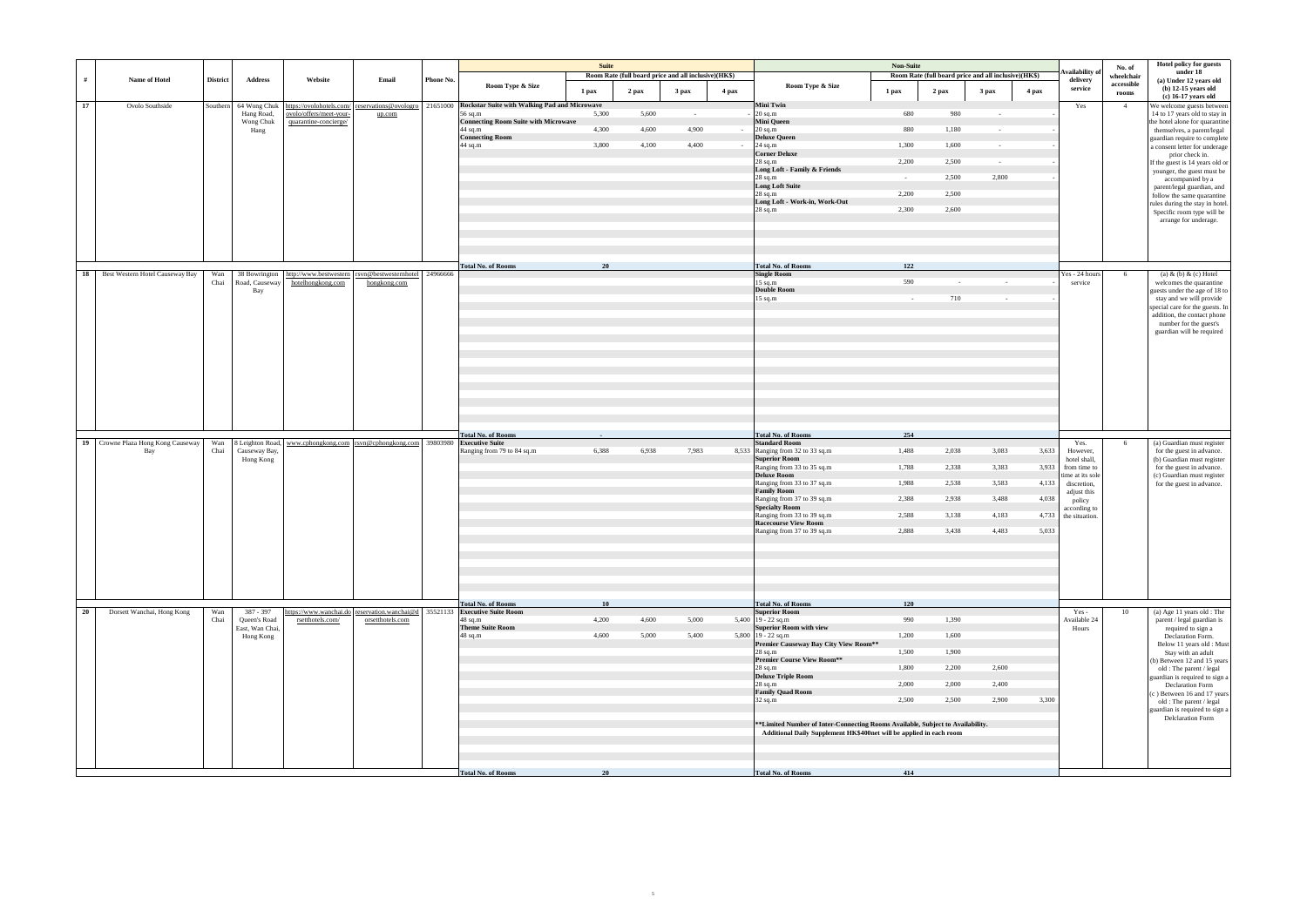|                                              |                 |                            |                                                                                                |                  |           |                                                        | Suite |       | Room Rate (full board price and all inclusive)(HK\$) |        |                                                                                                                                                        | Non-Suite       | Room Rate (full board price and all inclusive)(HK\$) |                  |       | <b>Availability</b> of          | No. of<br>wheelchair | Hotel policy for guests<br>under 18                                    |
|----------------------------------------------|-----------------|----------------------------|------------------------------------------------------------------------------------------------|------------------|-----------|--------------------------------------------------------|-------|-------|------------------------------------------------------|--------|--------------------------------------------------------------------------------------------------------------------------------------------------------|-----------------|------------------------------------------------------|------------------|-------|---------------------------------|----------------------|------------------------------------------------------------------------|
| #<br>Name of Hotel                           | <b>District</b> | <b>Address</b>             | Website                                                                                        | Email            | Phone No. | Room Type & Size                                       | 1 pax | 2 pax | 3 pax                                                | 4 pax  | Room Type & Size                                                                                                                                       | 1 pax           | $2$ pax                                              | 3 <sub>max</sub> | 4 pax | delivery<br>service             | accessible<br>rooms  | (a) Under 12 years old<br>$(b)$ 12-15 years old<br>(c) 16-17 years old |
| 17<br>Ovolo Southside                        | Southern        | 64 Wong Chuk               | https://ovolohotels.com/ reservations@ovologro                                                 |                  |           | 21651000 Rockstar Suite with Walking Pad and Microwave |       |       |                                                      |        | <b>Mini Twin</b>                                                                                                                                       |                 |                                                      |                  |       | Yes                             | $\overline{4}$       | We welcome guests between                                              |
|                                              |                 | Hang Road,<br>Wong Chuk    | ovolo/offers/meet-your-<br>quarantine-concierge/                                               | up.com           |           | 56 sq.m<br><b>Connecting Room Suite with Microwave</b> | 5,300 | 5,600 | $\sim$                                               |        | $20$ sq.m<br><b>Mini Queen</b>                                                                                                                         | 680             | 980                                                  | $\sim$           |       |                                 |                      | 14 to 17 years old to stay in<br>the hotel alone for quarantine        |
|                                              |                 | Hang                       |                                                                                                |                  |           | 44 sq.m<br><b>Connecting Room</b>                      | 4,300 | 4,600 | 4,900                                                | $\sim$ | $20$ sq.m<br><b>Deluxe Queen</b>                                                                                                                       | 880             | 1,180                                                | $\sim$ $-$       |       |                                 |                      | themselves, a parent/legal                                             |
|                                              |                 |                            |                                                                                                |                  |           | 44 sq.m                                                | 3,800 | 4,100 | 4,400                                                | $\sim$ | $24$ sq.m                                                                                                                                              | 1,300           | 1,600                                                | $\sim$           |       |                                 |                      | guardian require to complete<br>a consent letter for underage          |
|                                              |                 |                            |                                                                                                |                  |           |                                                        |       |       |                                                      |        | <b>Corner Deluxe</b><br>$28$ sq.m                                                                                                                      | 2,200           | 2,500                                                | $\sim$           |       |                                 |                      | prior check in.                                                        |
|                                              |                 |                            |                                                                                                |                  |           |                                                        |       |       |                                                      |        | Long Loft - Family & Friends                                                                                                                           |                 |                                                      |                  |       |                                 |                      | If the guest is 14 years old or<br>younger, the guest must be          |
|                                              |                 |                            |                                                                                                |                  |           |                                                        |       |       |                                                      |        | 28 sq.m<br><b>Long Loft Suite</b>                                                                                                                      | $\sim 10^{-1}$  | 2,500                                                | 2,800            |       |                                 |                      | accompanied by a<br>parent/legal guardian, and                         |
|                                              |                 |                            |                                                                                                |                  |           |                                                        |       |       |                                                      |        | $28 \text{ sq.m}$                                                                                                                                      | 2,200           | 2,500                                                |                  |       |                                 |                      | follow the same quarantine                                             |
|                                              |                 |                            |                                                                                                |                  |           |                                                        |       |       |                                                      |        | Long Loft - Work-in, Work-Out<br>$28$ sq.m                                                                                                             | 2,300           | 2,600                                                |                  |       |                                 |                      | rules during the stay in hotel.<br>Specific room type will be          |
|                                              |                 |                            |                                                                                                |                  |           |                                                        |       |       |                                                      |        |                                                                                                                                                        |                 |                                                      |                  |       |                                 |                      | arrange for underage.                                                  |
|                                              |                 |                            |                                                                                                |                  |           |                                                        |       |       |                                                      |        |                                                                                                                                                        |                 |                                                      |                  |       |                                 |                      |                                                                        |
|                                              |                 |                            |                                                                                                |                  |           | <b>Total No. of Rooms</b>                              | 20    |       |                                                      |        | <b>Total No. of Rooms</b>                                                                                                                              | 122             |                                                      |                  |       |                                 |                      |                                                                        |
| Best Western Hotel Causeway Bay<br><b>18</b> | Wan<br>Chai     | Road, Causeway             | 38 Bowrington http://www.bestwestern rsvn@bestwesternhotel 24966666<br>hotelhongkong.com       | hongkong.com     |           |                                                        |       |       |                                                      |        | <b>Single Room</b><br>$15$ sq.m                                                                                                                        | 590             | $\sim$                                               | $\sim$           |       | Yes - 24 hours<br>service       | 6                    | (a) $\&$ (b) $\&$ (c) Hotel<br>welcomes the quarantine                 |
|                                              |                 | Bay                        |                                                                                                |                  |           |                                                        |       |       |                                                      |        | <b>Double Room</b>                                                                                                                                     |                 |                                                      |                  |       |                                 |                      | guests under the age of 18 to                                          |
|                                              |                 |                            |                                                                                                |                  |           |                                                        |       |       |                                                      |        | $15$ sq.m                                                                                                                                              | $\sim 10^{-11}$ | 710                                                  | $\sim 10^{-1}$   |       |                                 |                      | stay and we will provide<br>special care for the guests. In            |
|                                              |                 |                            |                                                                                                |                  |           |                                                        |       |       |                                                      |        |                                                                                                                                                        |                 |                                                      |                  |       |                                 |                      | addition, the contact phone                                            |
|                                              |                 |                            |                                                                                                |                  |           |                                                        |       |       |                                                      |        |                                                                                                                                                        |                 |                                                      |                  |       |                                 |                      | number for the guest's<br>guardian will be required                    |
|                                              |                 |                            |                                                                                                |                  |           |                                                        |       |       |                                                      |        |                                                                                                                                                        |                 |                                                      |                  |       |                                 |                      |                                                                        |
|                                              |                 |                            |                                                                                                |                  |           |                                                        |       |       |                                                      |        |                                                                                                                                                        |                 |                                                      |                  |       |                                 |                      |                                                                        |
|                                              |                 |                            |                                                                                                |                  |           |                                                        |       |       |                                                      |        |                                                                                                                                                        |                 |                                                      |                  |       |                                 |                      |                                                                        |
|                                              |                 |                            |                                                                                                |                  |           |                                                        |       |       |                                                      |        |                                                                                                                                                        |                 |                                                      |                  |       |                                 |                      |                                                                        |
|                                              |                 |                            |                                                                                                |                  |           |                                                        |       |       |                                                      |        |                                                                                                                                                        |                 |                                                      |                  |       |                                 |                      |                                                                        |
|                                              |                 |                            |                                                                                                |                  |           |                                                        |       |       |                                                      |        |                                                                                                                                                        |                 |                                                      |                  |       |                                 |                      |                                                                        |
|                                              |                 |                            |                                                                                                |                  |           |                                                        |       |       |                                                      |        |                                                                                                                                                        |                 |                                                      |                  |       |                                 |                      |                                                                        |
|                                              |                 |                            |                                                                                                |                  |           | <b>Total No. of Rooms</b>                              |       |       |                                                      |        | <b>Total No. of Rooms</b>                                                                                                                              | 254             |                                                      |                  |       |                                 |                      |                                                                        |
| 19 Crowne Plaza Hong Kong Causeway           | Wan             |                            | 8 Leighton Road, www.cphongkong.com   rsvn@cphongkong.com   39803980   Executive Suite         |                  |           |                                                        |       |       |                                                      |        | <b>Standard Room</b>                                                                                                                                   |                 |                                                      |                  |       | Yes.                            | 6                    | (a) Guardian must register                                             |
| Bay                                          | Chai            | Causeway Bay,<br>Hong Kong |                                                                                                |                  |           | Ranging from 79 to 84 sq.m                             | 6,388 | 6,938 | 7,983                                                |        | 8,533 Ranging from 32 to 33 sq.m<br><b>Superior Room</b>                                                                                               | 1,488           | 2,038                                                | 3,083            | 3,633 | However,<br>hotel shall,        |                      | for the guest in advance.<br>(b) Guardian must register                |
|                                              |                 |                            |                                                                                                |                  |           |                                                        |       |       |                                                      |        | Ranging from 33 to 35 sq.m                                                                                                                             | 1,788           | 2,338                                                | 3,383            | 3,933 | from time to                    |                      | for the guest in advance.                                              |
|                                              |                 |                            |                                                                                                |                  |           |                                                        |       |       |                                                      |        | <b>Deluxe Room</b><br>Ranging from 33 to 37 sq.m                                                                                                       | 1,988           | 2,538                                                | 3,583            | 4,133 | time at its sole<br>discretion, |                      | (c) Guardian must register<br>for the guest in advance.                |
|                                              |                 |                            |                                                                                                |                  |           |                                                        |       |       |                                                      |        | <b>Family Room</b>                                                                                                                                     |                 |                                                      |                  |       | adjust this                     |                      |                                                                        |
|                                              |                 |                            |                                                                                                |                  |           |                                                        |       |       |                                                      |        | Ranging from 37 to 39 sq.m<br><b>Specialty Room</b>                                                                                                    | 2,388           | 2,938                                                | 3,488            | 4,038 | policy<br>according to          |                      |                                                                        |
|                                              |                 |                            |                                                                                                |                  |           |                                                        |       |       |                                                      |        | Ranging from 33 to 39 sq.m                                                                                                                             | 2,588           | 3,138                                                | 4,183            | 4,733 | the situation.                  |                      |                                                                        |
|                                              |                 |                            |                                                                                                |                  |           |                                                        |       |       |                                                      |        | <b>Racecourse View Room</b><br>Ranging from 37 to 39 sq.m                                                                                              | 2,888           | 3,438                                                | 4,483            | 5,033 |                                 |                      |                                                                        |
|                                              |                 |                            |                                                                                                |                  |           |                                                        |       |       |                                                      |        |                                                                                                                                                        |                 |                                                      |                  |       |                                 |                      |                                                                        |
|                                              |                 |                            |                                                                                                |                  |           |                                                        |       |       |                                                      |        |                                                                                                                                                        |                 |                                                      |                  |       |                                 |                      |                                                                        |
|                                              |                 |                            |                                                                                                |                  |           |                                                        |       |       |                                                      |        |                                                                                                                                                        |                 |                                                      |                  |       |                                 |                      |                                                                        |
|                                              |                 |                            |                                                                                                |                  |           |                                                        |       |       |                                                      |        |                                                                                                                                                        |                 |                                                      |                  |       |                                 |                      |                                                                        |
|                                              |                 |                            |                                                                                                |                  |           |                                                        |       |       |                                                      |        |                                                                                                                                                        |                 |                                                      |                  |       |                                 |                      |                                                                        |
|                                              |                 |                            |                                                                                                |                  |           | <b>Total No. of Rooms</b>                              | 10    |       |                                                      |        | <b>Total No. of Rooms</b>                                                                                                                              | 120             |                                                      |                  |       |                                 |                      |                                                                        |
| 20<br>Dorsett Wanchai, Hong Kong             | Wan<br>Chai     | 387 - 397<br>Queen's Road  | https://www.wanchai.do reservation.wanchai@d 35521133 Executive Suite Room<br>rsetthotels.com/ | orsetthotels.com |           | 48 sq.m                                                | 4,200 | 4,600 | 5,000                                                |        | <b>Superior Room</b><br>5,400   $19 - 22$ sq.m                                                                                                         | 990             | 1,390                                                |                  |       | Yes -<br>Available 24           | 10                   | (a) Age 11 years old : The<br>parent / legal guardian is               |
|                                              |                 | East, Wan Chai,            |                                                                                                |                  |           | <b>Theme Suite Room</b>                                |       |       |                                                      |        | <b>Superior Room with view</b>                                                                                                                         |                 |                                                      |                  |       | Hours                           |                      | required to sign a                                                     |
|                                              |                 | Hong Kong                  |                                                                                                |                  |           | 48 sq.m                                                | 4,600 | 5,000 | 5,400                                                |        | 5,800 $19 - 22$ sq.m<br>Premier Causeway Bay City View Room**                                                                                          | 1,200           | 1,600                                                |                  |       |                                 |                      | Declaration Form.<br>Below 11 years old : Must                         |
|                                              |                 |                            |                                                                                                |                  |           |                                                        |       |       |                                                      |        | $28$ sq.m<br><b>Premier Course View Room**</b>                                                                                                         | 1,500           | 1,900                                                |                  |       |                                 |                      | Stay with an adult                                                     |
|                                              |                 |                            |                                                                                                |                  |           |                                                        |       |       |                                                      |        | 28 sq.m                                                                                                                                                | 1,800           | 2,200                                                | 2,600            |       |                                 |                      | (b) Between 12 and 15 years<br>old : The parent / legal                |
|                                              |                 |                            |                                                                                                |                  |           |                                                        |       |       |                                                      |        | <b>Deluxe Triple Room</b><br>28 sq.m                                                                                                                   | 2,000           | 2,000                                                | 2,400            |       |                                 |                      | guardian is required to sign a                                         |
|                                              |                 |                            |                                                                                                |                  |           |                                                        |       |       |                                                      |        | <b>Family Quad Room</b>                                                                                                                                |                 |                                                      |                  |       |                                 |                      | Declaration Form<br>(c) Between 16 and 17 years                        |
|                                              |                 |                            |                                                                                                |                  |           |                                                        |       |       |                                                      |        | $32$ sq.m                                                                                                                                              | 2,500           | 2,500                                                | 2,900            | 3,300 |                                 |                      | old : The parent / legal                                               |
|                                              |                 |                            |                                                                                                |                  |           |                                                        |       |       |                                                      |        |                                                                                                                                                        |                 |                                                      |                  |       |                                 |                      | guardian is required to sign a<br><b>Delclaration Form</b>             |
|                                              |                 |                            |                                                                                                |                  |           |                                                        |       |       |                                                      |        | ** Limited Number of Inter-Connecting Rooms Available, Subject to Availability.<br>Additional Daily Supplement HK\$400net will be applied in each room |                 |                                                      |                  |       |                                 |                      |                                                                        |
|                                              |                 |                            |                                                                                                |                  |           |                                                        |       |       |                                                      |        |                                                                                                                                                        |                 |                                                      |                  |       |                                 |                      |                                                                        |
|                                              |                 |                            |                                                                                                |                  |           |                                                        |       |       |                                                      |        |                                                                                                                                                        |                 |                                                      |                  |       |                                 |                      |                                                                        |
|                                              |                 |                            |                                                                                                |                  |           |                                                        |       |       |                                                      |        |                                                                                                                                                        |                 |                                                      |                  |       |                                 |                      |                                                                        |
|                                              |                 |                            |                                                                                                |                  |           | <b>Total No. of Rooms</b>                              | 20    |       |                                                      |        | <b>Total No. of Rooms</b>                                                                                                                              | 414             |                                                      |                  |       |                                 |                      |                                                                        |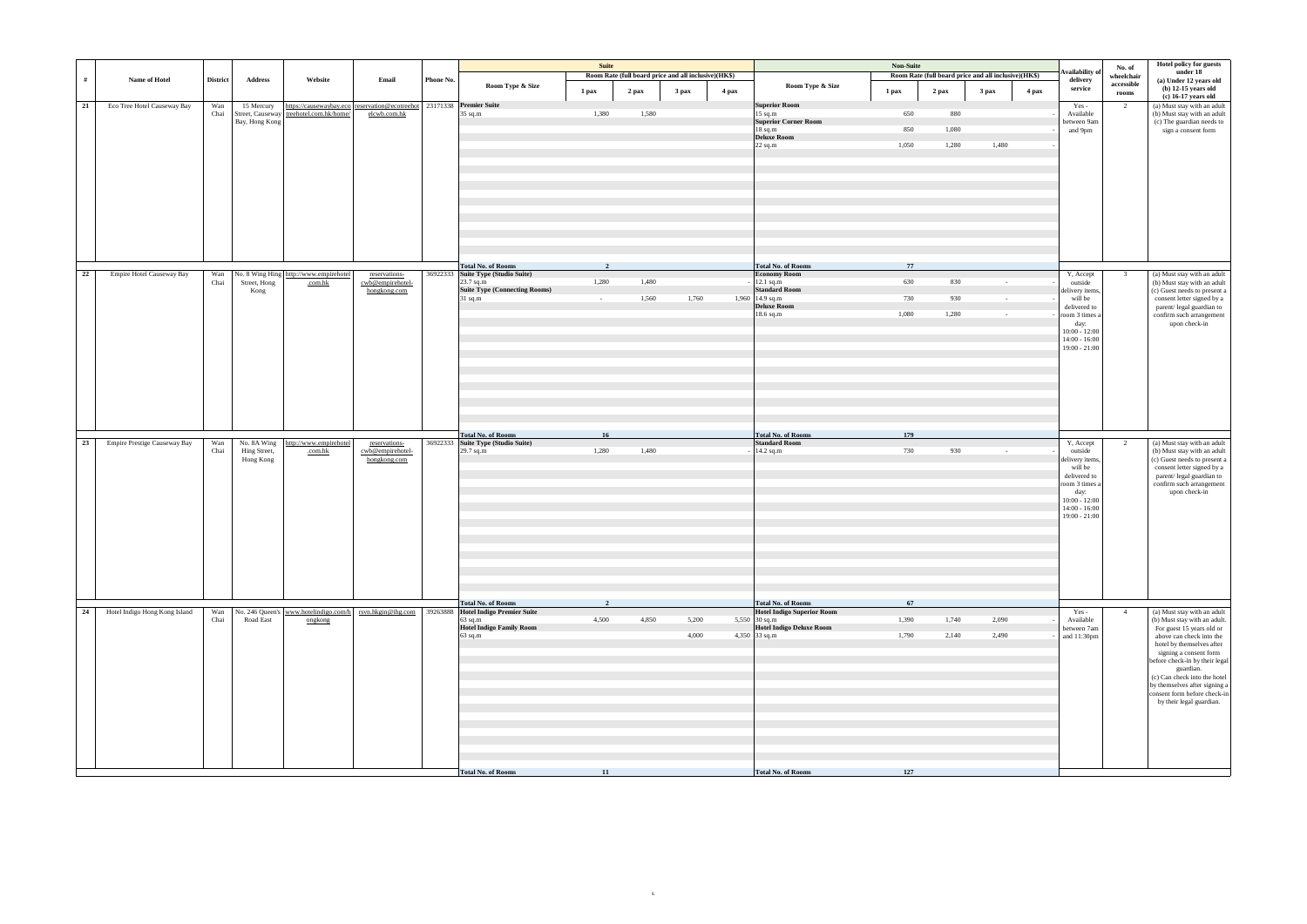|    |                               |                 |                             |                                                                                                                      |                                   |           |                                                                 | Suite                   |                                                      |       |       |                                                   | Non-Suite |       |                                                      |       |                                    |                      | Hotel policy for guests                                     |
|----|-------------------------------|-----------------|-----------------------------|----------------------------------------------------------------------------------------------------------------------|-----------------------------------|-----------|-----------------------------------------------------------------|-------------------------|------------------------------------------------------|-------|-------|---------------------------------------------------|-----------|-------|------------------------------------------------------|-------|------------------------------------|----------------------|-------------------------------------------------------------|
|    |                               |                 |                             |                                                                                                                      |                                   |           |                                                                 |                         | Room Rate (full board price and all inclusive)(HK\$) |       |       |                                                   |           |       | Room Rate (full board price and all inclusive)(HK\$) |       | <b>Availability</b> of             | No. of<br>wheelchair | under 18                                                    |
| #  | Name of Hotel                 | <b>District</b> | <b>Address</b>              | Website                                                                                                              | Email                             | Phone No. | Room Type & Size                                                | 1 pax                   | 2 pax                                                | 3 pax | 4 pax | Room Type & Size                                  | 1 pax     | 2 pax | 3 <sub>max</sub>                                     | 4 pax | delivery<br>service                | accessible           | (a) Under 12 years old<br>$(b)$ 12-15 years old             |
|    |                               |                 |                             |                                                                                                                      |                                   |           |                                                                 |                         |                                                      |       |       |                                                   |           |       |                                                      |       |                                    | rooms                | $(c)$ 16-17 years old                                       |
| 21 | Eco Tree Hotel Causeway Bay   | Wan<br>Chai     | 15 Mercury                  | https://causewaybay.eco   reservation@ecotreehot   23171338 Premier Suite<br>Street, Causeway treehotel.com.hk/home/ | elcwb.com.hk                      |           | 35 sq.m                                                         | 1,380                   | 1,580                                                |       |       | <b>Superior Room</b><br>$15$ sq.m                 | 650       | 880   |                                                      |       | Yes -<br>Available                 | 2                    | (a) Must stay with an adult<br>(b) Must stay with an adult  |
|    |                               |                 | Bay, Hong Kong              |                                                                                                                      |                                   |           |                                                                 |                         |                                                      |       |       | <b>Superior Corner Room</b>                       |           |       |                                                      |       | between 9am                        |                      | (c) The guardian needs to                                   |
|    |                               |                 |                             |                                                                                                                      |                                   |           |                                                                 |                         |                                                      |       |       | $18$ sq.m                                         | 850       | 1,080 |                                                      |       | and 9pm                            |                      | sign a consent form                                         |
|    |                               |                 |                             |                                                                                                                      |                                   |           |                                                                 |                         |                                                      |       |       | Deluxe Room<br>$22$ sq.m                          | 1,050     | 1,280 | 1,480                                                |       |                                    |                      |                                                             |
|    |                               |                 |                             |                                                                                                                      |                                   |           |                                                                 |                         |                                                      |       |       |                                                   |           |       |                                                      |       |                                    |                      |                                                             |
|    |                               |                 |                             |                                                                                                                      |                                   |           |                                                                 |                         |                                                      |       |       |                                                   |           |       |                                                      |       |                                    |                      |                                                             |
|    |                               |                 |                             |                                                                                                                      |                                   |           |                                                                 |                         |                                                      |       |       |                                                   |           |       |                                                      |       |                                    |                      |                                                             |
|    |                               |                 |                             |                                                                                                                      |                                   |           |                                                                 |                         |                                                      |       |       |                                                   |           |       |                                                      |       |                                    |                      |                                                             |
|    |                               |                 |                             |                                                                                                                      |                                   |           |                                                                 |                         |                                                      |       |       |                                                   |           |       |                                                      |       |                                    |                      |                                                             |
|    |                               |                 |                             |                                                                                                                      |                                   |           |                                                                 |                         |                                                      |       |       |                                                   |           |       |                                                      |       |                                    |                      |                                                             |
|    |                               |                 |                             |                                                                                                                      |                                   |           |                                                                 |                         |                                                      |       |       |                                                   |           |       |                                                      |       |                                    |                      |                                                             |
|    |                               |                 |                             |                                                                                                                      |                                   |           |                                                                 |                         |                                                      |       |       |                                                   |           |       |                                                      |       |                                    |                      |                                                             |
|    |                               |                 |                             |                                                                                                                      |                                   |           |                                                                 |                         |                                                      |       |       |                                                   |           |       |                                                      |       |                                    |                      |                                                             |
|    |                               |                 |                             |                                                                                                                      |                                   |           |                                                                 |                         |                                                      |       |       |                                                   |           |       |                                                      |       |                                    |                      |                                                             |
|    |                               |                 |                             |                                                                                                                      |                                   |           |                                                                 |                         |                                                      |       |       |                                                   |           |       |                                                      |       |                                    |                      |                                                             |
| 22 | Empire Hotel Causeway Bay     | Wan             |                             | No. 8 Wing Hing http://www.empirehotel                                                                               | reservations-                     |           | <b>Total No. of Rooms</b><br>36922333 Suite Type (Studio Suite) | $\overline{\mathbf{2}}$ |                                                      |       |       | <b>Total No. of Rooms</b><br><b>Economy Room</b>  | 77        |       |                                                      |       | Y, Accept                          | $\overline{3}$       | (a) Must stay with an adult                                 |
|    |                               | Chai            | Street, Hong                | .com.hk                                                                                                              | cwb@empirehotel-                  |           | 23.7 sq.m                                                       | 1,280                   | 1,480                                                |       |       | 12.1 sq.m                                         | 630       | 830   | $\sim 10^{-1}$                                       |       | outside                            |                      | (b) Must stay with an adult                                 |
|    |                               |                 | Kong                        |                                                                                                                      | hongkong.com                      |           | <b>Suite Type (Connecting Rooms)</b>                            |                         |                                                      |       |       | <b>Standard Room</b>                              |           |       |                                                      |       | delivery items,                    |                      | (c) Guest needs to present a                                |
|    |                               |                 |                             |                                                                                                                      |                                   |           | 31 sq.m                                                         | $\sim$ $-$              | 1,560                                                | 1,760 |       | 1,960 14.9 sq.m<br><b>Deluxe Room</b>             | 730       | 930   | $\sim$                                               |       | will be<br>delivered to            |                      | consent letter signed by a<br>parent/ legal guardian to     |
|    |                               |                 |                             |                                                                                                                      |                                   |           |                                                                 |                         |                                                      |       |       | 18.6 sq.m                                         | 1,080     | 1,280 | $\sim$                                               |       | room 3 times a                     |                      | confirm such arrangement                                    |
|    |                               |                 |                             |                                                                                                                      |                                   |           |                                                                 |                         |                                                      |       |       |                                                   |           |       |                                                      |       | day:                               |                      | upon check-in                                               |
|    |                               |                 |                             |                                                                                                                      |                                   |           |                                                                 |                         |                                                      |       |       |                                                   |           |       |                                                      |       | $10:00 - 12:00$<br>$14:00 - 16:00$ |                      |                                                             |
|    |                               |                 |                             |                                                                                                                      |                                   |           |                                                                 |                         |                                                      |       |       |                                                   |           |       |                                                      |       | $19:00 - 21:00$                    |                      |                                                             |
|    |                               |                 |                             |                                                                                                                      |                                   |           |                                                                 |                         |                                                      |       |       |                                                   |           |       |                                                      |       |                                    |                      |                                                             |
|    |                               |                 |                             |                                                                                                                      |                                   |           |                                                                 |                         |                                                      |       |       |                                                   |           |       |                                                      |       |                                    |                      |                                                             |
|    |                               |                 |                             |                                                                                                                      |                                   |           |                                                                 |                         |                                                      |       |       |                                                   |           |       |                                                      |       |                                    |                      |                                                             |
|    |                               |                 |                             |                                                                                                                      |                                   |           |                                                                 |                         |                                                      |       |       |                                                   |           |       |                                                      |       |                                    |                      |                                                             |
|    |                               |                 |                             |                                                                                                                      |                                   |           |                                                                 |                         |                                                      |       |       |                                                   |           |       |                                                      |       |                                    |                      |                                                             |
|    |                               |                 |                             |                                                                                                                      |                                   |           |                                                                 |                         |                                                      |       |       |                                                   |           |       |                                                      |       |                                    |                      |                                                             |
|    |                               |                 |                             |                                                                                                                      |                                   |           |                                                                 |                         |                                                      |       |       |                                                   |           |       |                                                      |       |                                    |                      |                                                             |
|    |                               |                 |                             |                                                                                                                      |                                   | 36922333  | <b>Total No. of Rooms</b><br>Suite Type (Studio Suite)          | 16                      |                                                      |       |       | <b>Total No. of Rooms</b><br><b>Standard Room</b> | 179       |       |                                                      |       |                                    |                      | (a) Must stay with an adult                                 |
| 23 | Empire Prestige Causeway Bay  | Wan<br>Chai     | No. 8A Wing<br>Hing Street, | http://www.empirehotel<br>.com.hk                                                                                    | reservations-<br>cwb@empirehotel- |           | 29.7 sq.m                                                       | 1,280                   | 1,480                                                |       |       | 14.2 sq.m                                         | 730       | 930   | $\sim$ $ \sim$                                       |       | Y, Accept<br>outside               | 2                    | (b) Must stay with an adult                                 |
|    |                               |                 | Hong Kong                   |                                                                                                                      | hongkong.com                      |           |                                                                 |                         |                                                      |       |       |                                                   |           |       |                                                      |       | delivery items,                    |                      | (c) Guest needs to present a                                |
|    |                               |                 |                             |                                                                                                                      |                                   |           |                                                                 |                         |                                                      |       |       |                                                   |           |       |                                                      |       | will be<br>delivered to            |                      | consent letter signed by a                                  |
|    |                               |                 |                             |                                                                                                                      |                                   |           |                                                                 |                         |                                                      |       |       |                                                   |           |       |                                                      |       | room 3 times a                     |                      | parent/ legal guardian to<br>confirm such arrangement       |
|    |                               |                 |                             |                                                                                                                      |                                   |           |                                                                 |                         |                                                      |       |       |                                                   |           |       |                                                      |       | day:                               |                      | upon check-in                                               |
|    |                               |                 |                             |                                                                                                                      |                                   |           |                                                                 |                         |                                                      |       |       |                                                   |           |       |                                                      |       | $10:00 - 12:00$<br>$14:00 - 16:00$ |                      |                                                             |
|    |                               |                 |                             |                                                                                                                      |                                   |           |                                                                 |                         |                                                      |       |       |                                                   |           |       |                                                      |       | $19:00 - 21:00$                    |                      |                                                             |
|    |                               |                 |                             |                                                                                                                      |                                   |           |                                                                 |                         |                                                      |       |       |                                                   |           |       |                                                      |       |                                    |                      |                                                             |
|    |                               |                 |                             |                                                                                                                      |                                   |           |                                                                 |                         |                                                      |       |       |                                                   |           |       |                                                      |       |                                    |                      |                                                             |
|    |                               |                 |                             |                                                                                                                      |                                   |           |                                                                 |                         |                                                      |       |       |                                                   |           |       |                                                      |       |                                    |                      |                                                             |
|    |                               |                 |                             |                                                                                                                      |                                   |           |                                                                 |                         |                                                      |       |       |                                                   |           |       |                                                      |       |                                    |                      |                                                             |
|    |                               |                 |                             |                                                                                                                      |                                   |           |                                                                 |                         |                                                      |       |       |                                                   |           |       |                                                      |       |                                    |                      |                                                             |
|    |                               |                 |                             |                                                                                                                      |                                   |           |                                                                 |                         |                                                      |       |       |                                                   |           |       |                                                      |       |                                    |                      |                                                             |
|    |                               |                 |                             |                                                                                                                      |                                   |           |                                                                 |                         |                                                      |       |       |                                                   |           |       |                                                      |       |                                    |                      |                                                             |
|    |                               |                 |                             |                                                                                                                      |                                   |           | <b>Total No. of Rooms</b>                                       | $\overline{2}$          |                                                      |       |       | <b>Total No. of Rooms</b>                         | 67        |       |                                                      |       |                                    |                      |                                                             |
| 24 | Hotel Indigo Hong Kong Island | Wan<br>Chai     | Road East                   | No. 246 Queen's www.hotelindigo.com/h rsvn.hkgin@ihg.com<br>ongkong                                                  |                                   |           | 39263888 Hotel Indigo Premier Suite<br>$63$ sq.m                | 4,500                   | 4,850                                                | 5,200 |       | Hotel Indigo Superior Room<br>5,550 $30$ sq.m     | 1,390     | 1,740 | 2,090                                                |       | Yes -<br>Available                 | $\overline{4}$       | (a) Must stay with an adult<br>(b) Must stay with an adult. |
|    |                               |                 |                             |                                                                                                                      |                                   |           | <b>Hotel Indigo Family Room</b>                                 |                         |                                                      |       |       | <b>Hotel Indigo Deluxe Room</b>                   |           |       |                                                      |       | between 7am                        |                      | For guest 15 years old or                                   |
|    |                               |                 |                             |                                                                                                                      |                                   |           | 63 sq.m                                                         |                         |                                                      | 4,000 |       | 4,350 33 sq.m                                     | 1,790     | 2,140 | 2,490                                                |       | and 11:30pm                        |                      | above can check into the<br>hotel by themselves after       |
|    |                               |                 |                             |                                                                                                                      |                                   |           |                                                                 |                         |                                                      |       |       |                                                   |           |       |                                                      |       |                                    |                      | signing a consent form                                      |
|    |                               |                 |                             |                                                                                                                      |                                   |           |                                                                 |                         |                                                      |       |       |                                                   |           |       |                                                      |       |                                    |                      | before check-in by their legal                              |
|    |                               |                 |                             |                                                                                                                      |                                   |           |                                                                 |                         |                                                      |       |       |                                                   |           |       |                                                      |       |                                    |                      | guardian.<br>(c) Can check into the hotel                   |
|    |                               |                 |                             |                                                                                                                      |                                   |           |                                                                 |                         |                                                      |       |       |                                                   |           |       |                                                      |       |                                    |                      | by themselves after signing a                               |
|    |                               |                 |                             |                                                                                                                      |                                   |           |                                                                 |                         |                                                      |       |       |                                                   |           |       |                                                      |       |                                    |                      | consent form before check-in                                |
|    |                               |                 |                             |                                                                                                                      |                                   |           |                                                                 |                         |                                                      |       |       |                                                   |           |       |                                                      |       |                                    |                      | by their legal guardian.                                    |
|    |                               |                 |                             |                                                                                                                      |                                   |           |                                                                 |                         |                                                      |       |       |                                                   |           |       |                                                      |       |                                    |                      |                                                             |
|    |                               |                 |                             |                                                                                                                      |                                   |           |                                                                 |                         |                                                      |       |       |                                                   |           |       |                                                      |       |                                    |                      |                                                             |
|    |                               |                 |                             |                                                                                                                      |                                   |           |                                                                 |                         |                                                      |       |       |                                                   |           |       |                                                      |       |                                    |                      |                                                             |
|    |                               |                 |                             |                                                                                                                      |                                   |           |                                                                 |                         |                                                      |       |       |                                                   |           |       |                                                      |       |                                    |                      |                                                             |
|    |                               |                 |                             |                                                                                                                      |                                   |           |                                                                 |                         |                                                      |       |       |                                                   |           |       |                                                      |       |                                    |                      |                                                             |
|    |                               |                 |                             |                                                                                                                      |                                   |           | <b>Total No. of Rooms</b>                                       | 11                      |                                                      |       |       | <b>Total No. of Rooms</b>                         | 127       |       |                                                      |       |                                    |                      |                                                             |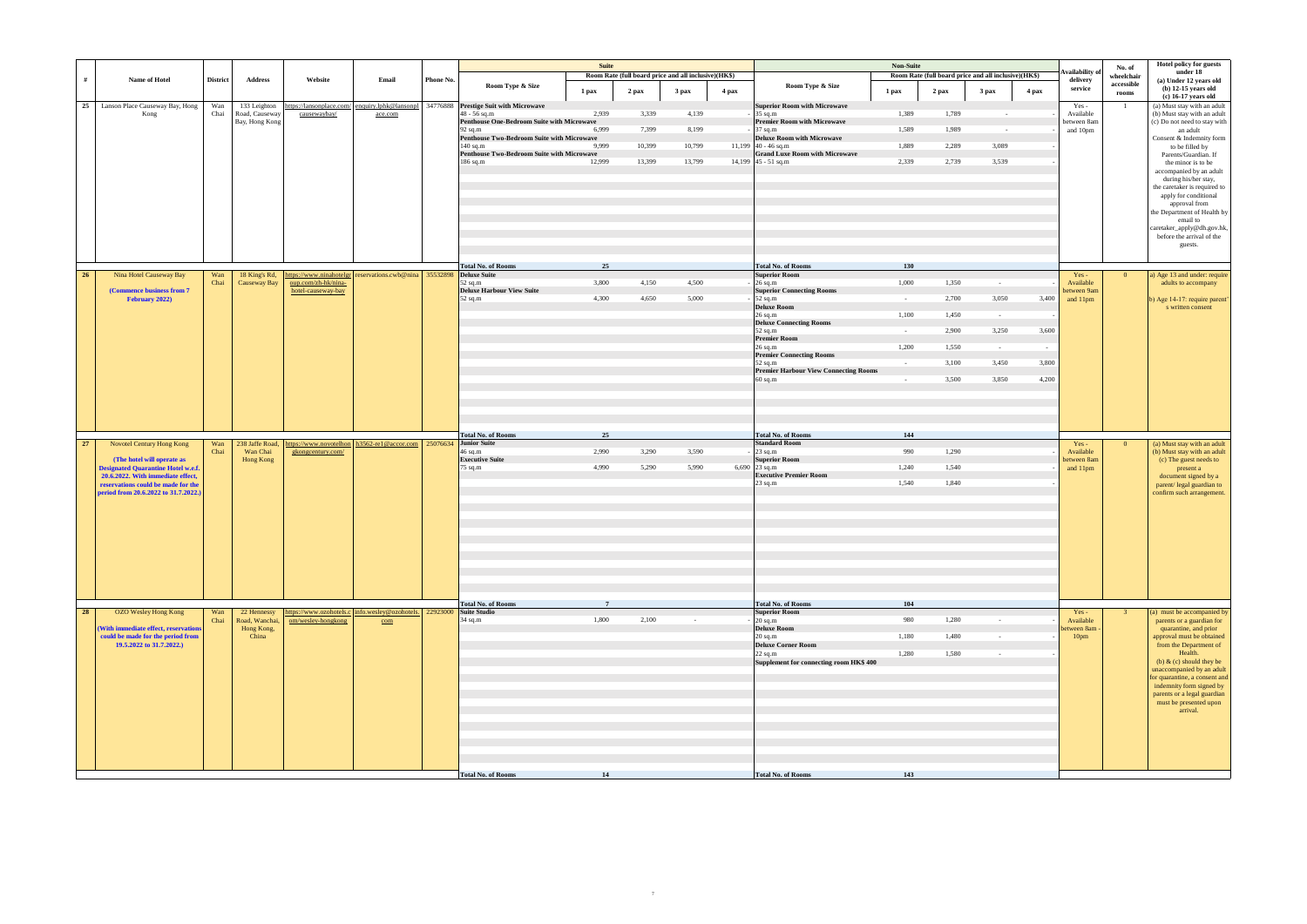|    |                                                                         |                 |                               |                     |                                                                             |           |                                                                 | <b>Suite</b>   |        |                                                      |       |                                                                 | <b>Non-Suite</b> |         |                                                      |        |                            | No. of              | <b>Hotel policy for guests</b>                           |
|----|-------------------------------------------------------------------------|-----------------|-------------------------------|---------------------|-----------------------------------------------------------------------------|-----------|-----------------------------------------------------------------|----------------|--------|------------------------------------------------------|-------|-----------------------------------------------------------------|------------------|---------|------------------------------------------------------|--------|----------------------------|---------------------|----------------------------------------------------------|
| #  | Name of Hotel                                                           | <b>District</b> | <b>Address</b>                | Website             | Email                                                                       | Phone No. |                                                                 |                |        | Room Rate (full board price and all inclusive)(HK\$) |       |                                                                 |                  |         | Room Rate (full board price and all inclusive)(HK\$) |        | vailability of<br>delivery | wheelchair          | under 18<br>(a) Under 12 years old                       |
|    |                                                                         |                 |                               |                     |                                                                             |           | Room Type & Size                                                | 1 pax          | 2 pax  | 3 pax                                                | 4 pax | Room Type & Size                                                | 1 pax            | $2$ pax | 3 <sub>max</sub>                                     | 4 pax  | service                    | accessible<br>rooms | $(b)$ 12-15 years old                                    |
|    | 25<br>Lanson Place Causeway Bay, Hong                                   | Wan             | 133 Leighton                  |                     | https://lansonplace.com/ enquiry.lphk@lansonpl                              |           | 34776888 Prestige Suit with Microwave                           |                |        |                                                      |       | <b>Superior Room with Microwave</b>                             |                  |         |                                                      |        | Yes-                       | -1                  | (c) 16-17 years old<br>(a) Must stay with an adult       |
|    | Kong                                                                    | Chai            | Road, Causeway                | causewaybay/        | ace.com                                                                     |           | 48 - 56 sq.m                                                    | 2,939          | 3,339  | 4,139                                                |       | 35 sq.m                                                         | 1,389            | 1,789   | $\sim$ $-$                                           |        | Available                  |                     | (b) Must stay with an adult                              |
|    |                                                                         |                 | Bay, Hong Kong                |                     |                                                                             |           | Penthouse One-Bedroom Suite with Microwave<br>92 sq.m           | 6,999          | 7,399  | 8,199                                                |       | <b>Premier Room with Microwave</b><br>$37$ sq.m                 | 1,589            | 1,989   | $\sim 10^{-1}$                                       |        | between 8am<br>and 10pm    |                     | (c) Do not need to stay with<br>an adult                 |
|    |                                                                         |                 |                               |                     |                                                                             |           | Penthouse Two-Bedroom Suite with Microwave                      |                |        |                                                      |       | <b>Deluxe Room with Microwave</b>                               |                  |         |                                                      |        |                            |                     | Consent & Indemnity form                                 |
|    |                                                                         |                 |                               |                     |                                                                             |           | $140$ sq.m<br><b>Penthouse Two-Bedroom Suite with Microwave</b> | 9.999          | 10,399 | 10,799                                               |       | 11,199 $ 40 - 46$ sq.m<br><b>Grand Luxe Room with Microwave</b> | 1,889            | 2,289   | 3,089                                                |        |                            |                     | to be filled by<br>Parents/Guardian. If                  |
|    |                                                                         |                 |                               |                     |                                                                             |           | 186 sq.m                                                        | 12,999         | 13,399 | 13,799                                               |       | 14,199 $ 45 - 51$ sq.m                                          | 2,339            | 2,739   | 3,539                                                |        |                            |                     | the minor is to be                                       |
|    |                                                                         |                 |                               |                     |                                                                             |           |                                                                 |                |        |                                                      |       |                                                                 |                  |         |                                                      |        |                            |                     | accompanied by an adult<br>during his/her stay,          |
|    |                                                                         |                 |                               |                     |                                                                             |           |                                                                 |                |        |                                                      |       |                                                                 |                  |         |                                                      |        |                            |                     | the caretaker is required to                             |
|    |                                                                         |                 |                               |                     |                                                                             |           |                                                                 |                |        |                                                      |       |                                                                 |                  |         |                                                      |        |                            |                     | apply for conditional<br>approval from                   |
|    |                                                                         |                 |                               |                     |                                                                             |           |                                                                 |                |        |                                                      |       |                                                                 |                  |         |                                                      |        |                            |                     | the Department of Health by                              |
|    |                                                                         |                 |                               |                     |                                                                             |           |                                                                 |                |        |                                                      |       |                                                                 |                  |         |                                                      |        |                            |                     | email to                                                 |
|    |                                                                         |                 |                               |                     |                                                                             |           |                                                                 |                |        |                                                      |       |                                                                 |                  |         |                                                      |        |                            |                     | caretaker_apply@dh.gov.hk,<br>before the arrival of the  |
|    |                                                                         |                 |                               |                     |                                                                             |           |                                                                 |                |        |                                                      |       |                                                                 |                  |         |                                                      |        |                            |                     | guests.                                                  |
|    |                                                                         |                 |                               |                     |                                                                             |           |                                                                 |                |        |                                                      |       |                                                                 |                  |         |                                                      |        |                            |                     |                                                          |
| 26 | Nina Hotel Causeway Bay                                                 | Wan             | 18 King's Rd,                 |                     | https://www.ninahotelgr   reservations.cwb@nina   35532898   Deluxe Suite   |           | <b>Total No. of Rooms</b>                                       | 25             |        |                                                      |       | <b>Total No. of Rooms</b><br><b>Superior Room</b>               | 130              |         |                                                      |        | Yes-                       | $\overline{0}$      | a) Age 13 and under: require                             |
|    |                                                                         | Chai            | Causeway Bay                  | oup.com/zh-hk/nina- |                                                                             |           | $52$ sq.m                                                       | 3,800          | 4,150  | 4,500                                                |       | $-26$ sq.m                                                      | 1,000            | 1,350   | $\sim$                                               |        | Available                  |                     | adults to accompany                                      |
|    | (Commence business from 7)<br>February 2022)                            |                 |                               | hotel-causeway-bay  |                                                                             |           | <b>Deluxe Harbour View Suite</b><br>$52$ sq.m                   | 4.300          | 4,650  | 5,000                                                |       | <b>Superior Connecting Rooms</b><br>52 sq.m                     | $\sim$ $-$       | 2,700   | 3,050                                                | 3,400  | between 9am<br>and 11pm    |                     | b) Age 14-17: require parent'                            |
|    |                                                                         |                 |                               |                     |                                                                             |           |                                                                 |                |        |                                                      |       | <b>Deluxe Room</b>                                              |                  |         |                                                      |        |                            |                     | s written consent                                        |
|    |                                                                         |                 |                               |                     |                                                                             |           |                                                                 |                |        |                                                      |       | $26$ sq.m<br><b>Deluxe Connecting Rooms</b>                     | 1,100            | 1,450   | $\sim 10^{-11}$                                      |        |                            |                     |                                                          |
|    |                                                                         |                 |                               |                     |                                                                             |           |                                                                 |                |        |                                                      |       | 52 sq.m<br><b>Premier Room</b>                                  | $\sim$ $-$       | 2,900   | 3,250                                                | 3,600  |                            |                     |                                                          |
|    |                                                                         |                 |                               |                     |                                                                             |           |                                                                 |                |        |                                                      |       | $26$ sq.m                                                       | 1,200            | 1,550   | $\sim 10^{-11}$                                      | $\sim$ |                            |                     |                                                          |
|    |                                                                         |                 |                               |                     |                                                                             |           |                                                                 |                |        |                                                      |       | <b>Premier Connecting Rooms</b><br>52 sq.m                      | $\sim$ $-$       | 3,100   | 3,450                                                | 3,800  |                            |                     |                                                          |
|    |                                                                         |                 |                               |                     |                                                                             |           |                                                                 |                |        |                                                      |       | <b>Premier Harbour View Connecting Rooms</b>                    |                  |         |                                                      |        |                            |                     |                                                          |
|    |                                                                         |                 |                               |                     |                                                                             |           |                                                                 |                |        |                                                      |       | $60$ sq.m                                                       | $\sim$ $-$       | 3,500   | 3,850                                                | 4,200  |                            |                     |                                                          |
|    |                                                                         |                 |                               |                     |                                                                             |           |                                                                 |                |        |                                                      |       |                                                                 |                  |         |                                                      |        |                            |                     |                                                          |
|    |                                                                         |                 |                               |                     |                                                                             |           |                                                                 |                |        |                                                      |       |                                                                 |                  |         |                                                      |        |                            |                     |                                                          |
|    |                                                                         |                 |                               |                     |                                                                             |           |                                                                 |                |        |                                                      |       |                                                                 |                  |         |                                                      |        |                            |                     |                                                          |
|    |                                                                         |                 |                               |                     |                                                                             |           | <b>Total No. of Rooms</b>                                       | 25             |        |                                                      |       | <b>Total No. of Rooms</b>                                       | 144              |         |                                                      |        |                            |                     |                                                          |
| 27 | Novotel Century Hong Kong                                               | Wan             | 238 Jaffe Road,               |                     | https://www.novotelhon h3562-re1@accor.com 25076634 Junior Suite            |           |                                                                 | 2,990          | 3,290  | 3,590                                                |       | <b>Standard Room</b>                                            | 990              | 1,290   |                                                      |        | Yes-                       | $\mathbf{0}$        | (a) Must stay with an adult                              |
|    | (The hotel will operate as                                              | Chai            | Wan Chai<br><b>Hong Kong</b>  | gkongcentury.com/   |                                                                             |           | $46$ sq.m<br><b>Executive Suite</b>                             |                |        |                                                      |       | $23$ sq.m<br><b>Superior Room</b>                               |                  |         |                                                      |        | Available<br>between 8am   |                     | (b) Must stay with an adult<br>(c) The guest needs to    |
|    | <b>Designated Quarantine Hotel w.e.f.</b>                               |                 |                               |                     |                                                                             |           | 75 sq.m                                                         | 4,990          | 5,290  | 5,990                                                |       | 6,690 23 sq.m                                                   | 1,240            | 1,540   |                                                      |        | and 11pm                   |                     | present a                                                |
|    | 20.6.2022. With immediate effect,<br>reservations could be made for the |                 |                               |                     |                                                                             |           |                                                                 |                |        |                                                      |       | <b>Executive Premier Room</b><br>$23$ sq.m                      | 1,540            | 1,840   |                                                      |        |                            |                     | document signed by a<br>parent/ legal guardian to        |
|    | period from 20.6.2022 to 31.7.2022.)                                    |                 |                               |                     |                                                                             |           |                                                                 |                |        |                                                      |       |                                                                 |                  |         |                                                      |        |                            |                     | confirm such arrangement.                                |
|    |                                                                         |                 |                               |                     |                                                                             |           |                                                                 |                |        |                                                      |       |                                                                 |                  |         |                                                      |        |                            |                     |                                                          |
|    |                                                                         |                 |                               |                     |                                                                             |           |                                                                 |                |        |                                                      |       |                                                                 |                  |         |                                                      |        |                            |                     |                                                          |
|    |                                                                         |                 |                               |                     |                                                                             |           |                                                                 |                |        |                                                      |       |                                                                 |                  |         |                                                      |        |                            |                     |                                                          |
|    |                                                                         |                 |                               |                     |                                                                             |           |                                                                 |                |        |                                                      |       |                                                                 |                  |         |                                                      |        |                            |                     |                                                          |
|    |                                                                         |                 |                               |                     |                                                                             |           |                                                                 |                |        |                                                      |       |                                                                 |                  |         |                                                      |        |                            |                     |                                                          |
|    |                                                                         |                 |                               |                     |                                                                             |           |                                                                 |                |        |                                                      |       |                                                                 |                  |         |                                                      |        |                            |                     |                                                          |
|    |                                                                         |                 |                               |                     |                                                                             |           |                                                                 |                |        |                                                      |       |                                                                 |                  |         |                                                      |        |                            |                     |                                                          |
|    |                                                                         |                 |                               |                     |                                                                             |           |                                                                 |                |        |                                                      |       |                                                                 |                  |         |                                                      |        |                            |                     |                                                          |
|    |                                                                         |                 |                               |                     |                                                                             |           | Total No. of Rooms                                              | $\overline{7}$ |        |                                                      |       | <b>Total No. of Rooms</b>                                       | 104              |         |                                                      |        |                            |                     |                                                          |
| 28 | <b>OZO Wesley Hong Kong</b>                                             | Wan<br>Chai     | 22 Hennessy<br>Road, Wanchai, | om/wesley-hongkong  | https://www.ozohotels.c info.wesley@ozohotels. 22923000 Suite Studio<br>com |           | 34 sq.m                                                         | 1,800          | 2,100  | $\sim 10^{-1}$                                       |       | <b>Superior Room</b><br>$20$ sq.m                               | 980              | 1,280   | $\sim 100$                                           |        | $Yes -$<br>Available       | 3 <sup>2</sup>      | (a) must be accompanied by<br>parents or a guardian for  |
|    | (With immediate effect, reservations                                    |                 | Hong Kong,                    |                     |                                                                             |           |                                                                 |                |        |                                                      |       | <b>Deluxe Room</b>                                              |                  |         |                                                      |        | between 8am -              |                     | quarantine, and prior                                    |
|    | could be made for the period from<br>19.5.2022 to 31.7.2022.)           |                 | China                         |                     |                                                                             |           |                                                                 |                |        |                                                      |       | $20$ sq.m<br><b>Deluxe Corner Room</b>                          | 1,180            | 1,480   | $\sim 100$ km s $^{-1}$                              |        | 10 <sub>pm</sub>           |                     | approval must be obtained<br>from the Department of      |
|    |                                                                         |                 |                               |                     |                                                                             |           |                                                                 |                |        |                                                      |       | $22$ sq.m                                                       | 1,280            | 1,580   | $\sim 10^{-1}$                                       |        |                            |                     | Health.                                                  |
|    |                                                                         |                 |                               |                     |                                                                             |           |                                                                 |                |        |                                                      |       | Supplement for connecting room HK\$ 400                         |                  |         |                                                      |        |                            |                     | (b) $\&$ (c) should they be<br>unaccompanied by an adult |
|    |                                                                         |                 |                               |                     |                                                                             |           |                                                                 |                |        |                                                      |       |                                                                 |                  |         |                                                      |        |                            |                     | for quarantine, a consent and                            |
|    |                                                                         |                 |                               |                     |                                                                             |           |                                                                 |                |        |                                                      |       |                                                                 |                  |         |                                                      |        |                            |                     | indemnity form signed by<br>parents or a legal guardian  |
|    |                                                                         |                 |                               |                     |                                                                             |           |                                                                 |                |        |                                                      |       |                                                                 |                  |         |                                                      |        |                            |                     | must be presented upon                                   |
|    |                                                                         |                 |                               |                     |                                                                             |           |                                                                 |                |        |                                                      |       |                                                                 |                  |         |                                                      |        |                            |                     | arrival.                                                 |
|    |                                                                         |                 |                               |                     |                                                                             |           |                                                                 |                |        |                                                      |       |                                                                 |                  |         |                                                      |        |                            |                     |                                                          |
|    |                                                                         |                 |                               |                     |                                                                             |           |                                                                 |                |        |                                                      |       |                                                                 |                  |         |                                                      |        |                            |                     |                                                          |
|    |                                                                         |                 |                               |                     |                                                                             |           |                                                                 |                |        |                                                      |       |                                                                 |                  |         |                                                      |        |                            |                     |                                                          |
|    |                                                                         |                 |                               |                     |                                                                             |           |                                                                 |                |        |                                                      |       |                                                                 |                  |         |                                                      |        |                            |                     |                                                          |
|    |                                                                         |                 |                               |                     |                                                                             |           | <b>Total No. of Rooms</b>                                       | 14             |        |                                                      |       | <b>Total No. of Rooms</b>                                       | 143              |         |                                                      |        |                            |                     |                                                          |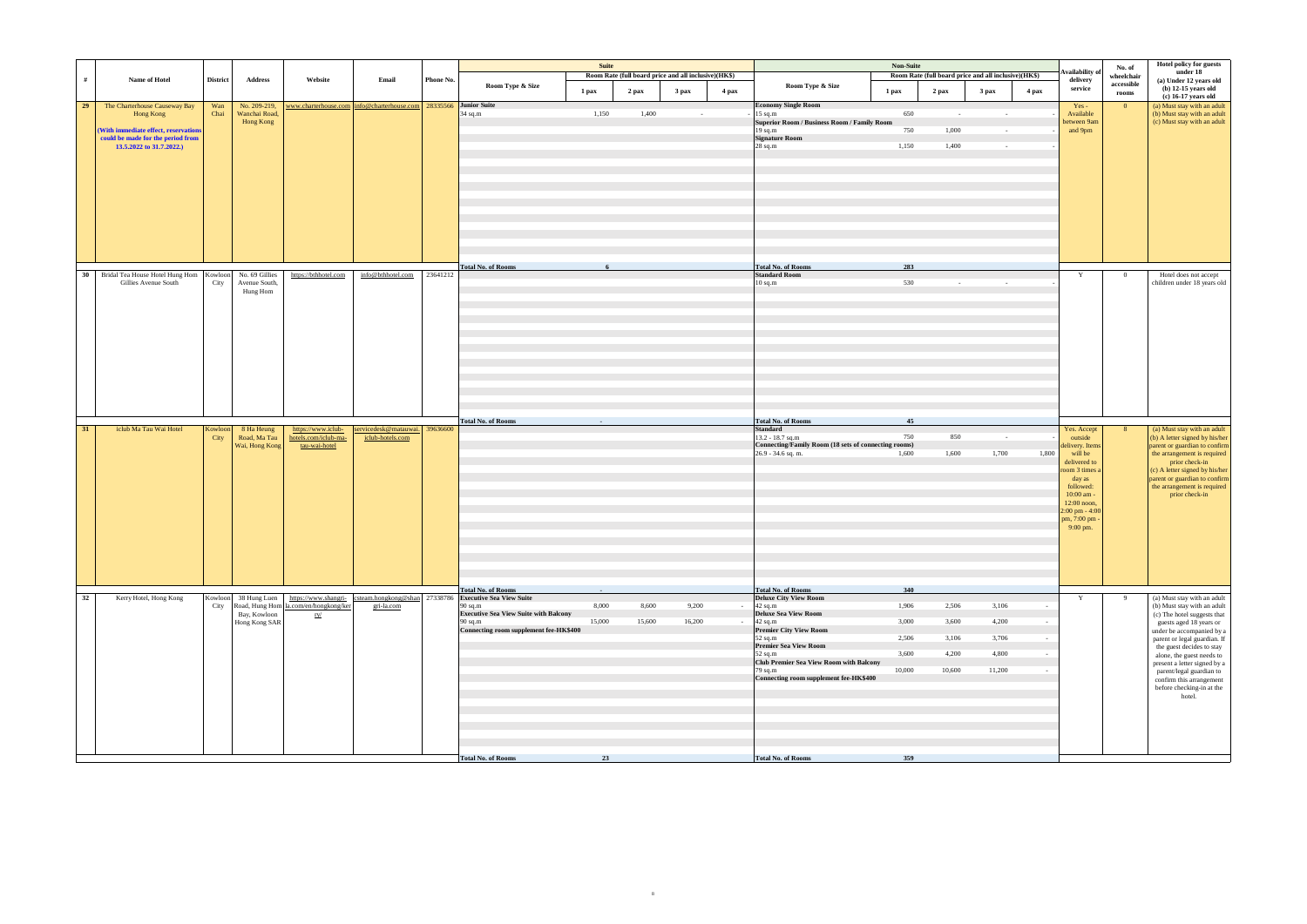|    |                                                        |                 |                           |                                              |                                                                        |           |                                                                                                    | Suite  |                                                      |        |            |                                                                            | <b>Non-Suite</b> |                                                      |                 |        |                             | No. of              | Hotel policy for guests                                         |
|----|--------------------------------------------------------|-----------------|---------------------------|----------------------------------------------|------------------------------------------------------------------------|-----------|----------------------------------------------------------------------------------------------------|--------|------------------------------------------------------|--------|------------|----------------------------------------------------------------------------|------------------|------------------------------------------------------|-----------------|--------|-----------------------------|---------------------|-----------------------------------------------------------------|
| #  | Name of Hotel                                          | <b>District</b> | Address                   | Website                                      | Email                                                                  | Phone No. |                                                                                                    |        | Room Rate (full board price and all inclusive)(HK\$) |        |            |                                                                            |                  | Room Rate (full board price and all inclusive)(HK\$) |                 |        | Availability o<br>delivery  | wheelchair          | under 18<br>(a) Under 12 years old                              |
|    |                                                        |                 |                           |                                              |                                                                        |           | Room Type & Size                                                                                   | 1 pax  | 2 pax                                                | 3 pax  | 4 pax      | Room Type & Size                                                           | 1 pax            | 2 pax                                                | 3 pax           | 4 pax  | service                     | accessible<br>rooms | $(b)$ 12-15 years old                                           |
| 29 | The Charterhouse Causeway Bay                          | Wan             | No. 209-219,              |                                              | www.charterhouse.com   info@charterhouse.com   28335566   Junior Suite |           |                                                                                                    |        |                                                      |        |            | <b>Economy Single Room</b>                                                 |                  |                                                      |                 |        | $Yes -$                     | $\overline{0}$      | $(c)$ 16-17 years old<br>(a) Must stay with an adult            |
|    | Hong Kong                                              | Chai            | Wanchai Road,             |                                              |                                                                        |           | 34 sq.m                                                                                            | 1,150  | 1,400                                                | $\sim$ |            | $15$ sq.m                                                                  | 650              | $\sim$ $-$                                           | $\sim$          |        | Available                   |                     | (b) Must stay with an adult                                     |
|    | (With immediate effect, reservations                   |                 | Hong Kong                 |                                              |                                                                        |           |                                                                                                    |        |                                                      |        |            | <b>Superior Room / Business Room / Family Room</b><br>$19$ sq.m            | 750              | 1,000                                                | $\sim$          |        | between 9am<br>and 9pm      |                     | (c) Must stay with an adult                                     |
|    | could be made for the period from                      |                 |                           |                                              |                                                                        |           |                                                                                                    |        |                                                      |        |            | <b>Signature Room</b>                                                      |                  |                                                      |                 |        |                             |                     |                                                                 |
|    | 13.5.2022 to 31.7.2022.)                               |                 |                           |                                              |                                                                        |           |                                                                                                    |        |                                                      |        |            | 28 sq.m                                                                    | 1,150            | 1,400                                                | $\sim 10^{-11}$ |        |                             |                     |                                                                 |
|    |                                                        |                 |                           |                                              |                                                                        |           |                                                                                                    |        |                                                      |        |            |                                                                            |                  |                                                      |                 |        |                             |                     |                                                                 |
|    |                                                        |                 |                           |                                              |                                                                        |           |                                                                                                    |        |                                                      |        |            |                                                                            |                  |                                                      |                 |        |                             |                     |                                                                 |
|    |                                                        |                 |                           |                                              |                                                                        |           |                                                                                                    |        |                                                      |        |            |                                                                            |                  |                                                      |                 |        |                             |                     |                                                                 |
|    |                                                        |                 |                           |                                              |                                                                        |           |                                                                                                    |        |                                                      |        |            |                                                                            |                  |                                                      |                 |        |                             |                     |                                                                 |
|    |                                                        |                 |                           |                                              |                                                                        |           |                                                                                                    |        |                                                      |        |            |                                                                            |                  |                                                      |                 |        |                             |                     |                                                                 |
|    |                                                        |                 |                           |                                              |                                                                        |           |                                                                                                    |        |                                                      |        |            |                                                                            |                  |                                                      |                 |        |                             |                     |                                                                 |
|    |                                                        |                 |                           |                                              |                                                                        |           |                                                                                                    |        |                                                      |        |            |                                                                            |                  |                                                      |                 |        |                             |                     |                                                                 |
|    |                                                        |                 |                           |                                              |                                                                        |           |                                                                                                    |        |                                                      |        |            |                                                                            |                  |                                                      |                 |        |                             |                     |                                                                 |
|    |                                                        |                 |                           |                                              |                                                                        |           | <b>Total No. of Rooms</b>                                                                          |        |                                                      |        |            | <b>Total No. of Rooms</b>                                                  | 283              |                                                      |                 |        |                             |                     |                                                                 |
| 30 | Bridal Tea House Hotel Hung Hom Kowloon No. 69 Gillies |                 |                           | https://bthhotel.com                         | info@bthhotel.com                                                      | 23641212  |                                                                                                    |        |                                                      |        |            | <b>Standard Room</b>                                                       |                  |                                                      |                 |        | Y                           | $\overline{0}$      | Hotel does not accept                                           |
|    | Gillies Avenue South                                   | City            | Avenue South,<br>Hung Hom |                                              |                                                                        |           |                                                                                                    |        |                                                      |        |            | $10$ sq.m                                                                  | 530              | $\sim$                                               |                 |        |                             |                     | children under 18 years old                                     |
|    |                                                        |                 |                           |                                              |                                                                        |           |                                                                                                    |        |                                                      |        |            |                                                                            |                  |                                                      |                 |        |                             |                     |                                                                 |
|    |                                                        |                 |                           |                                              |                                                                        |           |                                                                                                    |        |                                                      |        |            |                                                                            |                  |                                                      |                 |        |                             |                     |                                                                 |
|    |                                                        |                 |                           |                                              |                                                                        |           |                                                                                                    |        |                                                      |        |            |                                                                            |                  |                                                      |                 |        |                             |                     |                                                                 |
|    |                                                        |                 |                           |                                              |                                                                        |           |                                                                                                    |        |                                                      |        |            |                                                                            |                  |                                                      |                 |        |                             |                     |                                                                 |
|    |                                                        |                 |                           |                                              |                                                                        |           |                                                                                                    |        |                                                      |        |            |                                                                            |                  |                                                      |                 |        |                             |                     |                                                                 |
|    |                                                        |                 |                           |                                              |                                                                        |           |                                                                                                    |        |                                                      |        |            |                                                                            |                  |                                                      |                 |        |                             |                     |                                                                 |
|    |                                                        |                 |                           |                                              |                                                                        |           |                                                                                                    |        |                                                      |        |            |                                                                            |                  |                                                      |                 |        |                             |                     |                                                                 |
|    |                                                        |                 |                           |                                              |                                                                        |           |                                                                                                    |        |                                                      |        |            |                                                                            |                  |                                                      |                 |        |                             |                     |                                                                 |
|    |                                                        |                 |                           |                                              |                                                                        |           |                                                                                                    |        |                                                      |        |            |                                                                            |                  |                                                      |                 |        |                             |                     |                                                                 |
|    |                                                        |                 |                           |                                              |                                                                        |           |                                                                                                    |        |                                                      |        |            |                                                                            |                  |                                                      |                 |        |                             |                     |                                                                 |
| 31 | iclub Ma Tau Wai Hotel                                 | Kowloon         | 8 Ha Heung                | https://www.iclub-                           | servicedesk@matauwai. 39636600                                         |           | <b>Total No. of Rooms</b>                                                                          |        |                                                      |        |            | <b>Total No. of Rooms</b><br><b>Standard</b>                               | 45               |                                                      |                 |        | Yes. Accept                 | 8 <sup>1</sup>      | (a) Must stay with an adult                                     |
|    |                                                        | City            | Road, Ma Tau              | hotels.com/iclub-ma-                         | iclub-hotels.com                                                       |           |                                                                                                    |        |                                                      |        |            | $13.2 - 18.7$ sq.m                                                         | 750              | 850                                                  | $\sim$          |        | outside                     |                     | (b) A letter signed by his/her                                  |
|    |                                                        |                 | Wai, Hong Kong            | tau-wai-hotel                                |                                                                        |           |                                                                                                    |        |                                                      |        |            | Connecting/Family Room (18 sets of connecting rooms)<br>26.9 - 34.6 sq. m. | 1,600            | 1,600                                                | 1,700           | 1,800  | delivery. Items<br>will be  |                     | parent or guardian to confirm<br>the arrangement is required    |
|    |                                                        |                 |                           |                                              |                                                                        |           |                                                                                                    |        |                                                      |        |            |                                                                            |                  |                                                      |                 |        | delivered to                |                     | prior check-in                                                  |
|    |                                                        |                 |                           |                                              |                                                                        |           |                                                                                                    |        |                                                      |        |            |                                                                            |                  |                                                      |                 |        | room 3 times a<br>day as    |                     | (c) A letter signed by his/her<br>parent or guardian to confirm |
|    |                                                        |                 |                           |                                              |                                                                        |           |                                                                                                    |        |                                                      |        |            |                                                                            |                  |                                                      |                 |        | followed:                   |                     | the arrangement is required                                     |
|    |                                                        |                 |                           |                                              |                                                                        |           |                                                                                                    |        |                                                      |        |            |                                                                            |                  |                                                      |                 |        | 10:00 am -<br>12:00 noon,   |                     | prior check-in                                                  |
|    |                                                        |                 |                           |                                              |                                                                        |           |                                                                                                    |        |                                                      |        |            |                                                                            |                  |                                                      |                 |        | $2:00$ pm - $4:00$          |                     |                                                                 |
|    |                                                        |                 |                           |                                              |                                                                        |           |                                                                                                    |        |                                                      |        |            |                                                                            |                  |                                                      |                 |        | pm, 7:00 pm -<br>$9:00$ pm. |                     |                                                                 |
|    |                                                        |                 |                           |                                              |                                                                        |           |                                                                                                    |        |                                                      |        |            |                                                                            |                  |                                                      |                 |        |                             |                     |                                                                 |
|    |                                                        |                 |                           |                                              |                                                                        |           |                                                                                                    |        |                                                      |        |            |                                                                            |                  |                                                      |                 |        |                             |                     |                                                                 |
|    |                                                        |                 |                           |                                              |                                                                        |           |                                                                                                    |        |                                                      |        |            |                                                                            |                  |                                                      |                 |        |                             |                     |                                                                 |
|    |                                                        |                 |                           |                                              |                                                                        |           |                                                                                                    |        |                                                      |        |            |                                                                            |                  |                                                      |                 |        |                             |                     |                                                                 |
|    |                                                        |                 |                           |                                              |                                                                        |           | <b>Total No. of Rooms</b>                                                                          |        |                                                      |        |            | <b>Total No. of Rooms</b>                                                  | 340              |                                                      |                 |        |                             |                     |                                                                 |
| 32 | Kerry Hotel, Hong Kong                                 |                 |                           |                                              |                                                                        |           | Kowloon 38 Hung Luen   https://www.shangri- csteam.hongkong@shan 27338786 Executive Sea View Suite |        |                                                      |        |            | <b>Deluxe City View Room</b>                                               |                  |                                                      |                 |        | Y                           | -9                  | (a) Must stay with an adult                                     |
|    |                                                        | City            | Bay, Kowloon              | Road, Hung Hom la.com/en/hongkong/ker<br>ry/ | gri-la.com                                                             |           | $90$ sq.m<br><b>Executive Sea View Suite with Balcony</b>                                          | 8,000  | 8,600                                                | 9,200  | $\sim$ $-$ | $42$ sq.m<br><b>Deluxe Sea View Room</b>                                   | 1,906            | 2,506                                                | 3,106           | $\sim$ |                             |                     | (b) Must stay with an adult<br>(c) The hotel suggests that      |
|    |                                                        |                 | Hong Kong SAR             |                                              |                                                                        |           | 90 sq.m<br>Connecting room supplement fee-HK\$400                                                  | 15,000 | 15,600                                               | 16,200 |            | $42$ sq.m<br><b>Premier City View Room</b>                                 | 3,000            | 3,600                                                | 4,200           |        |                             |                     | guests aged 18 years or                                         |
|    |                                                        |                 |                           |                                              |                                                                        |           |                                                                                                    |        |                                                      |        |            | 52 sq.m                                                                    | 2,506            | 3,106                                                | 3,706           |        |                             |                     | under be accompanied by a<br>parent or legal guardian. If       |
|    |                                                        |                 |                           |                                              |                                                                        |           |                                                                                                    |        |                                                      |        |            | <b>Premier Sea View Room</b><br>52 sq.m                                    | 3,600            | 4,200                                                | 4,800           |        |                             |                     | the guest decides to stay                                       |
|    |                                                        |                 |                           |                                              |                                                                        |           |                                                                                                    |        |                                                      |        |            | Club Premier Sea View Room with Balcony                                    |                  |                                                      |                 |        |                             |                     | alone, the guest needs to<br>present a letter signed by a       |
|    |                                                        |                 |                           |                                              |                                                                        |           |                                                                                                    |        |                                                      |        |            | 79 sq.m<br>Connecting room supplement fee-HK\$400                          | 10,000           | 10,600                                               | 11,200          |        |                             |                     | parent/legal guardian to<br>confirm this arrangement            |
|    |                                                        |                 |                           |                                              |                                                                        |           |                                                                                                    |        |                                                      |        |            |                                                                            |                  |                                                      |                 |        |                             |                     | before checking-in at the                                       |
|    |                                                        |                 |                           |                                              |                                                                        |           |                                                                                                    |        |                                                      |        |            |                                                                            |                  |                                                      |                 |        |                             |                     | hotel.                                                          |
|    |                                                        |                 |                           |                                              |                                                                        |           |                                                                                                    |        |                                                      |        |            |                                                                            |                  |                                                      |                 |        |                             |                     |                                                                 |
|    |                                                        |                 |                           |                                              |                                                                        |           |                                                                                                    |        |                                                      |        |            |                                                                            |                  |                                                      |                 |        |                             |                     |                                                                 |
|    |                                                        |                 |                           |                                              |                                                                        |           |                                                                                                    |        |                                                      |        |            |                                                                            |                  |                                                      |                 |        |                             |                     |                                                                 |
|    |                                                        |                 |                           |                                              |                                                                        |           |                                                                                                    |        |                                                      |        |            |                                                                            |                  |                                                      |                 |        |                             |                     |                                                                 |
|    |                                                        |                 |                           |                                              |                                                                        |           | <b>Total No. of Rooms</b>                                                                          | 23     |                                                      |        |            | <b>Total No. of Rooms</b>                                                  | 359              |                                                      |                 |        |                             |                     |                                                                 |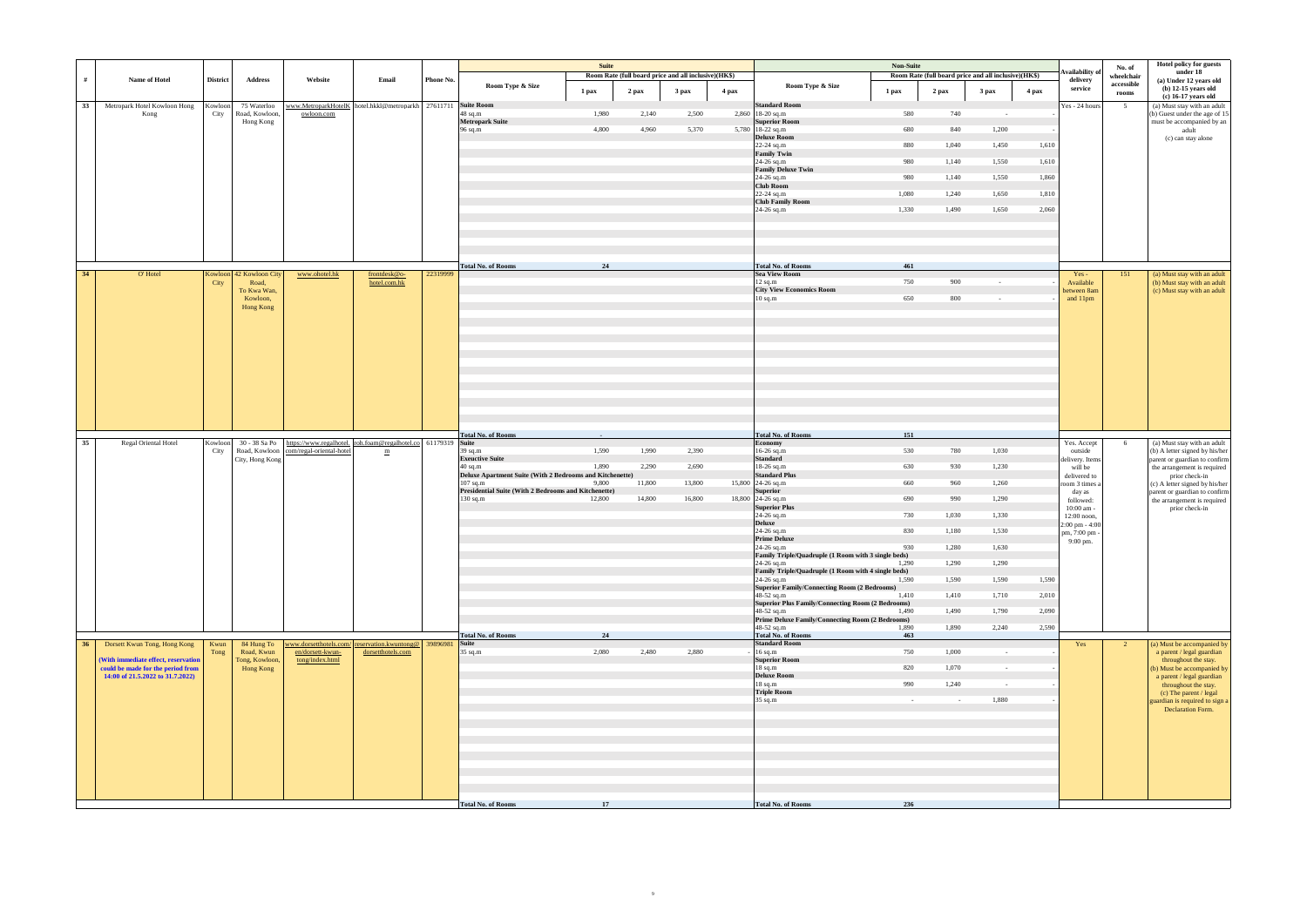|    |                                                                       |                 |                          |                                                                           |                   |           |                                                                        | <b>Suite</b>    |                                                      |        |       |                                                                        | <b>Non-Suite</b> |            |                                                      |       |                                    | No. of              | Hotel policy for guests                                      |
|----|-----------------------------------------------------------------------|-----------------|--------------------------|---------------------------------------------------------------------------|-------------------|-----------|------------------------------------------------------------------------|-----------------|------------------------------------------------------|--------|-------|------------------------------------------------------------------------|------------------|------------|------------------------------------------------------|-------|------------------------------------|---------------------|--------------------------------------------------------------|
| #  | Name of Hotel                                                         | <b>District</b> | <b>Address</b>           | Website                                                                   | Email             | Phone No. |                                                                        |                 | Room Rate (full board price and all inclusive)(HK\$) |        |       |                                                                        |                  |            | Room Rate (full board price and all inclusive)(HK\$) |       | <b>Availability</b> of<br>delivery | wheelchair          | under 18<br>(a) Under 12 years old                           |
|    |                                                                       |                 |                          |                                                                           |                   |           | Room Type & Size                                                       | 1 pax           | 2 pax                                                | 3 pax  | 4 pax | Room Type & Size<br>1 pax                                              |                  | $2$ pax    | 3 <sub>max</sub>                                     | 4 pax | service                            | accessible<br>rooms | $(b)$ 12-15 years old                                        |
| 33 | Metropark Hotel Kowloon Hong                                          | Kowloon         | 75 Waterloo              | www.MetroparkHotelK hotel.hkkl@metroparkh 27611711 Suite Room             |                   |           |                                                                        |                 |                                                      |        |       | <b>Standard Room</b>                                                   |                  |            |                                                      |       | Yes - 24 hours                     | 5 <sup>5</sup>      | (c) 16-17 years old<br>(a) Must stay with an adult           |
|    | Kong                                                                  | City            | Road, Kowloon,           | owloon.com                                                                |                   |           | 48 sq.m                                                                | 1,980           | 2,140                                                | 2,500  |       | 2,860 18-20 sq.m                                                       | 580              | 740        | $\sim 10^{-1}$                                       |       |                                    |                     | (b) Guest under the age of 15                                |
|    |                                                                       |                 | Hong Kong                |                                                                           |                   |           | <b>Metropark Suite</b><br>96 sq.m                                      | 4,800           | 4,960                                                | 5,370  |       | <b>Superior Room</b><br>5,780 18-22 sq.m                               | 680              | 840        | 1,200                                                |       |                                    |                     | must be accompanied by an<br>adult                           |
|    |                                                                       |                 |                          |                                                                           |                   |           |                                                                        |                 |                                                      |        |       | <b>Deluxe Room</b>                                                     |                  |            |                                                      |       |                                    |                     | (c) can stay alone                                           |
|    |                                                                       |                 |                          |                                                                           |                   |           |                                                                        |                 |                                                      |        |       | $22 - 24$ sq.m<br><b>Family Twin</b>                                   | 880              | 1,040      | 1,450                                                | 1,610 |                                    |                     |                                                              |
|    |                                                                       |                 |                          |                                                                           |                   |           |                                                                        |                 |                                                      |        |       | 24-26 sq.m                                                             | 980              | 1,140      | 1,550                                                | 1,610 |                                    |                     |                                                              |
|    |                                                                       |                 |                          |                                                                           |                   |           |                                                                        |                 |                                                      |        |       | <b>Family Deluxe Twin</b><br>24-26 sq.m                                | 980              | 1,140      | 1,550                                                | 1,860 |                                    |                     |                                                              |
|    |                                                                       |                 |                          |                                                                           |                   |           |                                                                        |                 |                                                      |        |       | <b>Club Room</b>                                                       |                  |            |                                                      |       |                                    |                     |                                                              |
|    |                                                                       |                 |                          |                                                                           |                   |           |                                                                        |                 |                                                      |        |       | 22-24 sq.m<br><b>Club Family Room</b>                                  | 1,080            | 1,240      | 1,650                                                | 1,810 |                                    |                     |                                                              |
|    |                                                                       |                 |                          |                                                                           |                   |           |                                                                        |                 |                                                      |        |       | 24-26 sq.m                                                             | 1,330            | 1,490      | 1,650                                                | 2,060 |                                    |                     |                                                              |
|    |                                                                       |                 |                          |                                                                           |                   |           |                                                                        |                 |                                                      |        |       |                                                                        |                  |            |                                                      |       |                                    |                     |                                                              |
|    |                                                                       |                 |                          |                                                                           |                   |           |                                                                        |                 |                                                      |        |       |                                                                        |                  |            |                                                      |       |                                    |                     |                                                              |
|    |                                                                       |                 |                          |                                                                           |                   |           |                                                                        |                 |                                                      |        |       |                                                                        |                  |            |                                                      |       |                                    |                     |                                                              |
|    |                                                                       |                 |                          |                                                                           |                   |           | <b>Total No. of Rooms</b>                                              | 24              |                                                      |        |       | <b>Total No. of Rooms</b>                                              | 461              |            |                                                      |       |                                    |                     |                                                              |
| 34 | O'Hotel                                                               |                 | Kowloon 42 Kowloon City  | www.ohotel.hk                                                             | frontdesk@o-      | 22319999  |                                                                        |                 |                                                      |        |       | <b>Sea View Room</b>                                                   |                  |            |                                                      |       | $Yes -$                            | 151                 | (a) Must stay with an adult                                  |
|    |                                                                       | City            | Road,<br>To Kwa Wan,     |                                                                           | hotel.com.hk      |           |                                                                        |                 |                                                      |        |       | $12$ sq.m<br><b>City View Economics Room</b>                           | 750              | 900        | $\sim$                                               |       | Available                          |                     | (b) Must stay with an adult<br>(c) Must stay with an adult   |
|    |                                                                       |                 | Kowloon,                 |                                                                           |                   |           |                                                                        |                 |                                                      |        |       | $10$ sq.m                                                              | 650              | 800        | $\sim$ $-$                                           |       | between 8am<br>and 11pm            |                     |                                                              |
|    |                                                                       |                 | Hong Kong                |                                                                           |                   |           |                                                                        |                 |                                                      |        |       |                                                                        |                  |            |                                                      |       |                                    |                     |                                                              |
|    |                                                                       |                 |                          |                                                                           |                   |           |                                                                        |                 |                                                      |        |       |                                                                        |                  |            |                                                      |       |                                    |                     |                                                              |
|    |                                                                       |                 |                          |                                                                           |                   |           |                                                                        |                 |                                                      |        |       |                                                                        |                  |            |                                                      |       |                                    |                     |                                                              |
|    |                                                                       |                 |                          |                                                                           |                   |           |                                                                        |                 |                                                      |        |       |                                                                        |                  |            |                                                      |       |                                    |                     |                                                              |
|    |                                                                       |                 |                          |                                                                           |                   |           |                                                                        |                 |                                                      |        |       |                                                                        |                  |            |                                                      |       |                                    |                     |                                                              |
|    |                                                                       |                 |                          |                                                                           |                   |           |                                                                        |                 |                                                      |        |       |                                                                        |                  |            |                                                      |       |                                    |                     |                                                              |
|    |                                                                       |                 |                          |                                                                           |                   |           |                                                                        |                 |                                                      |        |       |                                                                        |                  |            |                                                      |       |                                    |                     |                                                              |
|    |                                                                       |                 |                          |                                                                           |                   |           |                                                                        |                 |                                                      |        |       |                                                                        |                  |            |                                                      |       |                                    |                     |                                                              |
|    |                                                                       |                 |                          |                                                                           |                   |           |                                                                        |                 |                                                      |        |       |                                                                        |                  |            |                                                      |       |                                    |                     |                                                              |
|    |                                                                       |                 |                          |                                                                           |                   |           |                                                                        |                 |                                                      |        |       |                                                                        |                  |            |                                                      |       |                                    |                     |                                                              |
|    |                                                                       |                 |                          |                                                                           |                   |           | <b>Total No. of Rooms</b>                                              | $\sim 10^{-11}$ |                                                      |        |       | <b>Total No. of Rooms</b>                                              | 151              |            |                                                      |       |                                    |                     |                                                              |
| 35 | Regal Oriental Hotel                                                  | Kowloon         | 30 - 38 Sa Po            | https://www.regalhotel. roh.foam@regalhotel.co 61179319                   |                   |           | <b>Suite</b>                                                           |                 |                                                      |        |       | <b>Economy</b>                                                         |                  |            |                                                      |       | Yes. Accept                        | 6                   | (a) Must stay with an adult                                  |
|    |                                                                       | City            | Road, Kowloon            | com/regal-oriental-hotel                                                  | m                 |           | 39 sq.m<br><b>Exeuctive Suite</b>                                      | 1,590           | 1,990                                                | 2,390  |       | 16-26 sq.m<br><b>Standard</b>                                          | 530              | 780        | 1,030                                                |       | outside                            |                     | (b) A letter signed by his/her                               |
|    |                                                                       |                 | City, Hong Kong          |                                                                           |                   |           | $40$ sq.m                                                              | 1,890           | 2,290                                                | 2,690  |       | 18-26 sq.m                                                             | 630              | 930        | 1,230                                                |       | delivery. Items<br>will be         |                     | parent or guardian to confirm<br>the arrangement is required |
|    |                                                                       |                 |                          |                                                                           |                   |           | Deluxe Apartment Suite (With 2 Bedrooms and Kitchenette)<br>$107$ sq.m | 9,800           | 11,800                                               | 13,800 |       | <b>Standard Plus</b><br>15,800 24-26 sq.m                              | 660              | 960        | 1,260                                                |       | delivered to                       |                     | prior check-in<br>(c) A letter signed by his/her             |
|    |                                                                       |                 |                          |                                                                           |                   |           | Presidential Suite (With 2 Bedrooms and Kitchenette)                   |                 |                                                      |        |       | <b>Superior</b>                                                        |                  |            |                                                      |       | room 3 times a<br>day as           |                     | parent or guardian to confirm                                |
|    |                                                                       |                 |                          |                                                                           |                   |           | 130 sq.m                                                               | 12,800          | 14,800                                               | 16,800 |       | 18,800 24-26 sq.m<br><b>Superior Plus</b>                              | 690              | 990        | 1,290                                                |       | followed:                          |                     | the arrangement is required                                  |
|    |                                                                       |                 |                          |                                                                           |                   |           |                                                                        |                 |                                                      |        |       | 24-26 sq.m                                                             | 730              | 1,030      | 1,330                                                |       | 10:00 am -<br>12:00 noon,          |                     | prior check-in                                               |
|    |                                                                       |                 |                          |                                                                           |                   |           |                                                                        |                 |                                                      |        |       | <b>Deluxe</b><br>24-26 sq.m                                            | 830              | 1,180      | 1,530                                                |       | 2:00 pm - 4:00                     |                     |                                                              |
|    |                                                                       |                 |                          |                                                                           |                   |           |                                                                        |                 |                                                      |        |       | <b>Prime Deluxe</b>                                                    |                  |            |                                                      |       | pm, 7:00 pm -<br>9:00 pm.          |                     |                                                              |
|    |                                                                       |                 |                          |                                                                           |                   |           |                                                                        |                 |                                                      |        |       | 24-26 sq.m<br>Family Triple/Quadruple (1 Room with 3 single beds)      | 930              | 1,280      | 1,630                                                |       |                                    |                     |                                                              |
|    |                                                                       |                 |                          |                                                                           |                   |           |                                                                        |                 |                                                      |        |       | 24-26 sq.m                                                             | 1,290            | 1,290      | 1,290                                                |       |                                    |                     |                                                              |
|    |                                                                       |                 |                          |                                                                           |                   |           |                                                                        |                 |                                                      |        |       | Family Triple/Quadruple (1 Room with 4 single beds)<br>24-26 sq.m      | 1,590            | 1,590      | 1,590                                                | 1,590 |                                    |                     |                                                              |
|    |                                                                       |                 |                          |                                                                           |                   |           |                                                                        |                 |                                                      |        |       | <b>Superior Family/Connecting Room (2 Bedrooms)</b>                    |                  |            |                                                      |       |                                    |                     |                                                              |
|    |                                                                       |                 |                          |                                                                           |                   |           |                                                                        |                 |                                                      |        |       | 48-52 sq.m<br><b>Superior Plus Family/Connecting Room (2 Bedrooms)</b> | 1,410            | 1,410      | 1,710                                                | 2,010 |                                    |                     |                                                              |
|    |                                                                       |                 |                          |                                                                           |                   |           |                                                                        |                 |                                                      |        |       | 48-52 sq.m                                                             | 1,490            | 1,490      | 1,790                                                | 2,090 |                                    |                     |                                                              |
|    |                                                                       |                 |                          |                                                                           |                   |           |                                                                        |                 |                                                      |        |       | Prime Deluxe Family/Connecting Room (2 Bedrooms)<br>48-52 sq.m         | 1,890            | 1,890      | 2,240                                                | 2,590 |                                    |                     |                                                              |
|    |                                                                       |                 |                          |                                                                           |                   |           | <b>Total No. of Rooms</b>                                              | 24              |                                                      |        |       | <b>Total No. of Rooms</b>                                              | 463              |            |                                                      |       |                                    |                     |                                                              |
| 36 | Dorsett Kwun Tong, Hong Kong                                          | Kwun<br>Tong    | 84 Hung To<br>Road, Kwun | www.dorsetthotels.com/ reservation.kwuntong@ 39896981<br>en/dorsett-kwun- | dorsetthotels.com |           | Suite<br>$35$ sq.m                                                     | 2,080           | 2,480                                                | 2,880  |       | <b>Standard Room</b><br>$16$ sq.m                                      | 750              | 1,000      | $\sim 10^{-1}$                                       |       | Yes                                | $\overline{2}$      | (a) Must be accompanied by<br>a parent / legal guardian      |
|    | (With immediate effect, reservation                                   |                 | Tong, Kowloon,           | tong/index.html                                                           |                   |           |                                                                        |                 |                                                      |        |       | <b>Superior Room</b>                                                   |                  |            |                                                      |       |                                    |                     | throughout the stay.                                         |
|    | could be made for the period from<br>14:00 of 21.5.2022 to 31.7.2022) |                 | Hong Kong                |                                                                           |                   |           |                                                                        |                 |                                                      |        |       | $18$ sq.m<br><b>Deluxe Room</b>                                        | 820              | 1,070      | $\sim 10^{-1}$                                       |       |                                    |                     | (b) Must be accompanied by<br>a parent / legal guardian      |
|    |                                                                       |                 |                          |                                                                           |                   |           |                                                                        |                 |                                                      |        |       | $18$ sq.m                                                              | 990              | 1,240      | $\sim$                                               |       |                                    |                     | throughout the stay.                                         |
|    |                                                                       |                 |                          |                                                                           |                   |           |                                                                        |                 |                                                      |        |       | <b>Triple Room</b><br>35 sq.m                                          | $\sim 10^{-11}$  | $\sim$ $-$ | 1,880                                                |       |                                    |                     | (c) The parent / legal<br>guardian is required to sign a     |
|    |                                                                       |                 |                          |                                                                           |                   |           |                                                                        |                 |                                                      |        |       |                                                                        |                  |            |                                                      |       |                                    |                     | Declaration Form.                                            |
|    |                                                                       |                 |                          |                                                                           |                   |           |                                                                        |                 |                                                      |        |       |                                                                        |                  |            |                                                      |       |                                    |                     |                                                              |
|    |                                                                       |                 |                          |                                                                           |                   |           |                                                                        |                 |                                                      |        |       |                                                                        |                  |            |                                                      |       |                                    |                     |                                                              |
|    |                                                                       |                 |                          |                                                                           |                   |           |                                                                        |                 |                                                      |        |       |                                                                        |                  |            |                                                      |       |                                    |                     |                                                              |
|    |                                                                       |                 |                          |                                                                           |                   |           |                                                                        |                 |                                                      |        |       |                                                                        |                  |            |                                                      |       |                                    |                     |                                                              |
|    |                                                                       |                 |                          |                                                                           |                   |           |                                                                        |                 |                                                      |        |       |                                                                        |                  |            |                                                      |       |                                    |                     |                                                              |
|    |                                                                       |                 |                          |                                                                           |                   |           |                                                                        |                 |                                                      |        |       |                                                                        |                  |            |                                                      |       |                                    |                     |                                                              |
|    |                                                                       |                 |                          |                                                                           |                   |           |                                                                        |                 |                                                      |        |       |                                                                        |                  |            |                                                      |       |                                    |                     |                                                              |
|    |                                                                       |                 |                          |                                                                           |                   |           | <b>Total No. of Rooms</b>                                              | 17              |                                                      |        |       | <b>Total No. of Rooms</b>                                              | 236              |            |                                                      |       |                                    |                     |                                                              |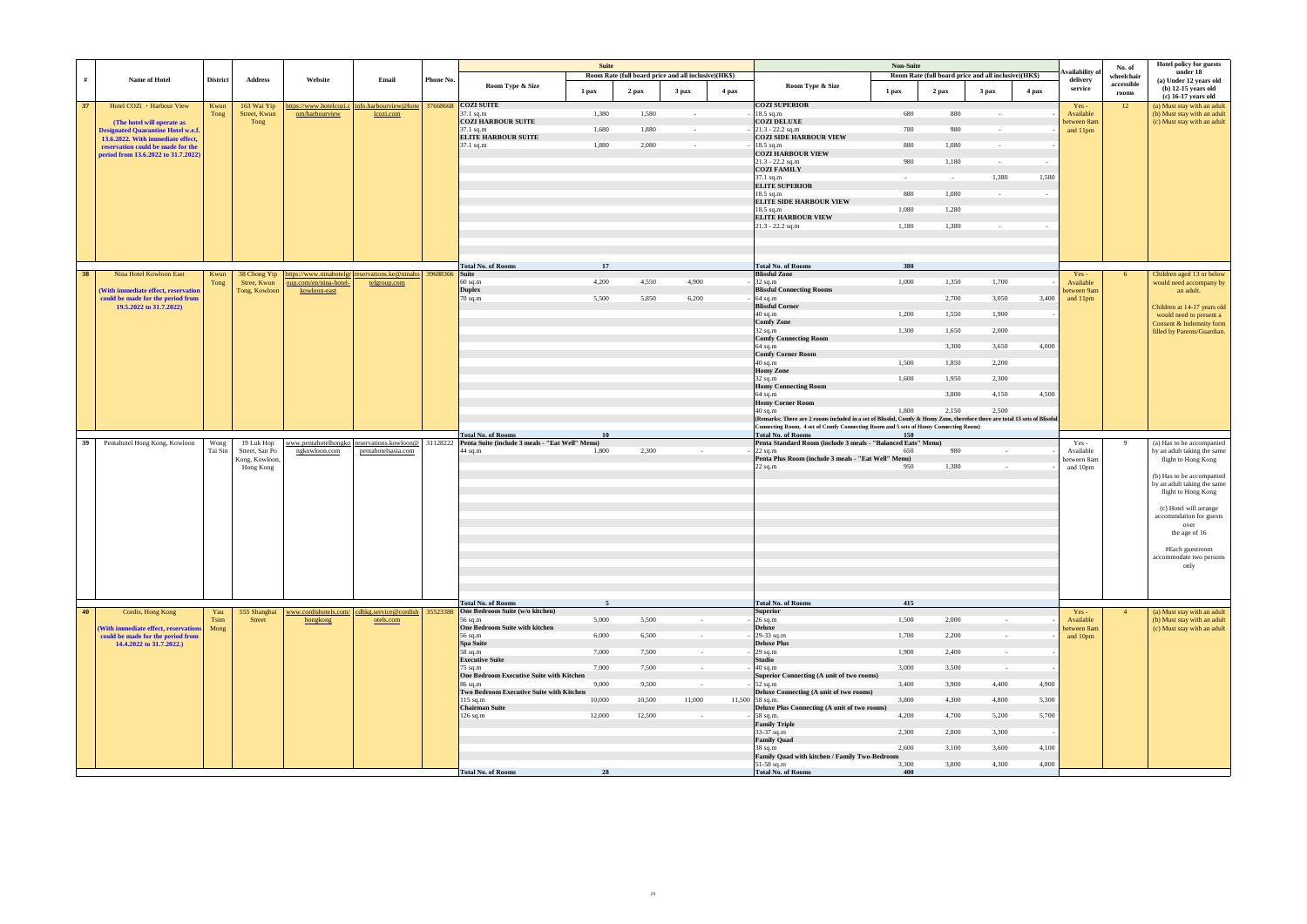| accessible<br>Room Type & Size<br>Room Type & Size<br>service<br>2 pax<br>3 pax<br>$2$ pax<br>3 <sub>max</sub><br>4 pax<br>1 pax<br>4 pax<br>1 pax<br>$\mathbf{rooms}$<br><b>COZI SUITE</b><br><b>COZI SUPERIOR</b><br>info.harbourview@hote 37668668<br>12<br>37<br>Hotel COZi • Harbour View<br>Kwun<br>163 Wai Yip<br>https://www.hotelcozi.c<br>$Yes -$<br>1,580<br>18.5 sq.m<br>$37.1$ sq.m<br>1,380<br>680<br>880<br>Street, Kwun<br>om/harbourview<br>Available<br>Tong<br>lcozi.com<br>$\sim$<br>$\sim$<br><b>COZI HARBOUR SUITE</b><br><b>COZI DELUXE</b><br>Tong<br>between 8am<br>(The hotel will operate as<br>1,680<br>1,880<br>$21.3 - 22.2$ sq.m<br>780<br>980<br>$37.1$ sq.m<br>and 11pm<br><b>Designated Quarantine Hotel w.e.f.</b><br>$\sim$<br>$\sim$<br><b>ELITE HARBOUR SUITE</b><br><b>COZI SIDE HARBOUR VIEW</b><br>13.6.2022. With immediate effect.<br>18.5 sq.m<br>$37.1$ sq.m<br>1,880<br>2,080<br>880<br>1,080<br>reservation could be made for the<br>$\sim$<br>$\sim$<br><b>COZI HARBOUR VIEW</b><br>period from 13.6.2022 to 31.7.2022)<br>$21.3 - 22.2$ sq.m<br>980<br>1,180<br>$\sim$<br>$\sim$<br><b>COZI FAMILY</b><br>37.1 sq.m<br>1,580<br>1,380<br>$\sim$<br>$\sim$<br><b>ELITE SUPERIOR</b><br>18.5 sq.m<br>880<br>1,080<br>$\sim$<br><b>ELITE SIDE HARBOUR VIEW</b><br>18.5 sq.m<br>1,080<br>1,280<br><b>ELITE HARBOUR VIEW</b><br>$21.3 - 22.2$ sq.m<br>1,180<br>1,380<br>$\sim$<br><b>Total No. of Rooms</b><br>17<br><b>Total No. of Rooms</b><br>380<br><b>Blissful Zone</b><br>https://www.ninahotelgr reservations.ke@ninaho 39688366 Suite<br>38<br>Nina Hotel Kowloon East<br>38 Chong Yip<br>Kwun<br>Yes-<br>6<br>4,200<br>4,550<br>32 sq.m<br>1,700<br>$60$ sq.m<br>4,900<br>1,000<br>1,350<br>Available<br>Tong<br>Stree, Kwun<br>oup.com/en/nina-hotel-<br>telgroup.com<br><b>Duplex</b><br><b>Blissful Connecting Rooms</b><br>Tong, Kowloon<br>between 9am<br>(With immediate effect, reservation<br>kowloon-east<br>$70$ sq.m<br>5,500<br>5,850<br>6,200<br>$64$ sq.m<br>2,700<br>3,050<br>3,400<br>could be made for the period from<br>and 11pm<br><b>Blissful Corner</b><br>19.5.2022 to 31.7.2022)<br>$40$ sq.m<br>1,200<br>1,550<br>1,900<br>Comfy Zone<br>$32$ sq.m<br>1,300<br>2,000<br>1,650<br><b>Comfy Connecting Room</b><br>$64$ sq.m<br>4,000<br>3,300<br>3,650<br><b>Comfy Corner Room</b><br>$40$ sq.m<br>1,500<br>1,850<br>2,200<br><b>Homy Zone</b><br>32 sq.m<br>1,600<br>2,300<br>1,950<br><b>Homy Connecting Room</b><br>64 sq.m<br>4,150<br>4,500<br>3,800<br><b>Homy Corner Room</b><br>40 sq.m<br>1,800<br>2,150<br>2.500<br>(Remarks: There are 2 rooms included in a set of Blissful, Comfy & Homy Zone, therefore there are total 13 sets of Blissful<br>Connecting Room, 4 set of Comfy Connecting Room and 5 sets of Homy Connecting Room)<br><b>Total No. of Rooms</b><br><b>Total No. of Rooms</b><br>10<br>150<br>reservations.kowloon@ 31128222 Penta Suite (include 3 meals - "Eat Well" Menu)<br>Penta Standard Room (include 3 meals - "Balanced Eats" Menu)<br>Pentahotel Hong Kong, Kowloon<br>Wong<br>19 Luk Hop<br>www.pentahotelhongko<br>-9<br>39<br>$Yes -$<br>2,300<br>980<br>1,800<br>22 sq.m<br>650<br>Tai Sin<br>Street, San Po<br>ngkowloon.com<br>pentahotelsasia.com<br>44 sq.m<br>Available<br>$\sim$<br>$\sim$<br>Penta Plus Room (include 3 meals - "Eat Well" Menu)<br>Kong, Kowloon,<br>between 8am<br>$22$ sq.m<br>1,380<br>950<br>Hong Kong<br>and 10pm<br>$\sim$<br><b>Total No. of Rooms</b><br><b>Total No. of Rooms</b><br>415<br>-5<br>www.cordishotels.com/ cdhkg.service@cordish 35523388<br>One Bedroom Suite (w/o kitchen)<br>40<br>Cordis, Hong Kong<br>555 Shanghai<br><b>Superior</b><br>Yau<br>$Yes -$<br>4<br>5,000<br>5,500<br>$26$ sq.m<br>1,500<br>2,000<br>Tsim<br>56 sq.m<br>Available<br>Street<br>hongkong<br>otels.com<br>$\sim$ $-$<br>$\sim$ $-$<br>One Bedroom Suite with kitchen<br><b>Deluxe</b><br>(With immediate effect, reservations<br>Mong<br>between 8am<br>6,000<br>29-33 sq.m<br>6,500<br>1,700<br>2,200<br>could be made for the period from<br>$56$ sq.m<br>and 10pm<br>$\sim$<br>$\sim$ $-$<br><b>Deluxe Plus</b><br>Spa Suite<br>14.4.2022 to 31.7.2022.)<br>29 sq.m<br>7,000<br>7,500<br>1,900<br>2,400<br>58 sq.m<br>$\sim$<br>$\sim$ $-$<br>Studio<br><b>Executive Suite</b><br>$40$ sq.m<br>$75$ sq.m<br>7,000<br>7,500<br>3,000<br>3,500<br>$\sim$<br>$\sim$<br>One Bedroom Executive Suite with Kitchen<br>Superior Connecting (A unit of two rooms)<br>$86$ sq.m<br>9,000<br>9,500<br>$52$ sq.m<br>3,400<br>3,900<br>4,400<br>4,900<br>$\sim$ $-$<br>Two Bedroom Executive Suite with Kitchen<br>Deluxe Connecting (A unit of two rooms)<br>$115$ sq.m<br>10,000<br>10,500<br>11,000<br>11,500 58 sq.m.<br>3,800<br>4,300<br>4,800<br>5,300<br><b>Chairman Suite</b><br>Deluxe Plus Connecting (A unit of two rooms)<br>$126$ sq.m<br>12,000<br>12,500<br>58 sq.m.<br>Family Triple<br>4,200<br>4,700<br>5,200<br>5,700<br>$\sim$ $-$<br>33-37 sq.m<br>2,300<br>2,800<br>3,300<br><b>Family Quad</b><br>$38$ sq.m<br>2,600<br>3,100<br>3,600<br>4,100<br>Family Quad with kitchen / Family Two-Bedroom |   |               |                 |                |         |       |           | <b>Suite</b> | Room Rate (full board price and all inclusive)(HK\$) |  | Non-Suite | Room Rate (full board price and all inclusive)(HK\$) | Availability o | No. of<br>wheelchair | <b>Hotel policy for guests</b><br>under 18                             |
|-----------------------------------------------------------------------------------------------------------------------------------------------------------------------------------------------------------------------------------------------------------------------------------------------------------------------------------------------------------------------------------------------------------------------------------------------------------------------------------------------------------------------------------------------------------------------------------------------------------------------------------------------------------------------------------------------------------------------------------------------------------------------------------------------------------------------------------------------------------------------------------------------------------------------------------------------------------------------------------------------------------------------------------------------------------------------------------------------------------------------------------------------------------------------------------------------------------------------------------------------------------------------------------------------------------------------------------------------------------------------------------------------------------------------------------------------------------------------------------------------------------------------------------------------------------------------------------------------------------------------------------------------------------------------------------------------------------------------------------------------------------------------------------------------------------------------------------------------------------------------------------------------------------------------------------------------------------------------------------------------------------------------------------------------------------------------------------------------------------------------------------------------------------------------------------------------------------------------------------------------------------------------------------------------------------------------------------------------------------------------------------------------------------------------------------------------------------------------------------------------------------------------------------------------------------------------------------------------------------------------------------------------------------------------------------------------------------------------------------------------------------------------------------------------------------------------------------------------------------------------------------------------------------------------------------------------------------------------------------------------------------------------------------------------------------------------------------------------------------------------------------------------------------------------------------------------------------------------------------------------------------------------------------------------------------------------------------------------------------------------------------------------------------------------------------------------------------------------------------------------------------------------------------------------------------------------------------------------------------------------------------------------------------------------------------------------------------------------------------------------------------------------------------------------------------------------------------------------------------------------------------------------------------------------------------------------------------------------------------------------------------------------------------------------------------------------------------------------------------------------------------------------------------------------------------------------------------------------------------------------------------------------------------------------------------------------------------------------------------------------------------------------------------------------------------------------------------------------------------------------------------------------------------------------------------------------------------------------------------------------------------------------------------------------------------------------------------------------------------------------------------------------------------------------------------------------------------------------------------------------------------------------------------------------------------------------------------------------------------------------------------------------------------------------------------------------------------------------------------------------------------------------------------------------|---|---------------|-----------------|----------------|---------|-------|-----------|--------------|------------------------------------------------------|--|-----------|------------------------------------------------------|----------------|----------------------|------------------------------------------------------------------------|
|                                                                                                                                                                                                                                                                                                                                                                                                                                                                                                                                                                                                                                                                                                                                                                                                                                                                                                                                                                                                                                                                                                                                                                                                                                                                                                                                                                                                                                                                                                                                                                                                                                                                                                                                                                                                                                                                                                                                                                                                                                                                                                                                                                                                                                                                                                                                                                                                                                                                                                                                                                                                                                                                                                                                                                                                                                                                                                                                                                                                                                                                                                                                                                                                                                                                                                                                                                                                                                                                                                                                                                                                                                                                                                                                                                                                                                                                                                                                                                                                                                                                                                                                                                                                                                                                                                                                                                                                                                                                                                                                                                                                                                                                                                                                                                                                                                                                                                                                                                                                                                                                                                                                                                       | # | Name of Hotel | <b>District</b> | <b>Address</b> | Website | Email | Phone No. |              |                                                      |  |           |                                                      | delivery       |                      | (a) Under 12 years old<br>$(b)$ 12-15 years old<br>(c) 16-17 years old |
|                                                                                                                                                                                                                                                                                                                                                                                                                                                                                                                                                                                                                                                                                                                                                                                                                                                                                                                                                                                                                                                                                                                                                                                                                                                                                                                                                                                                                                                                                                                                                                                                                                                                                                                                                                                                                                                                                                                                                                                                                                                                                                                                                                                                                                                                                                                                                                                                                                                                                                                                                                                                                                                                                                                                                                                                                                                                                                                                                                                                                                                                                                                                                                                                                                                                                                                                                                                                                                                                                                                                                                                                                                                                                                                                                                                                                                                                                                                                                                                                                                                                                                                                                                                                                                                                                                                                                                                                                                                                                                                                                                                                                                                                                                                                                                                                                                                                                                                                                                                                                                                                                                                                                                       |   |               |                 |                |         |       |           |              |                                                      |  |           |                                                      |                |                      | (a) Must stay with an adult                                            |
|                                                                                                                                                                                                                                                                                                                                                                                                                                                                                                                                                                                                                                                                                                                                                                                                                                                                                                                                                                                                                                                                                                                                                                                                                                                                                                                                                                                                                                                                                                                                                                                                                                                                                                                                                                                                                                                                                                                                                                                                                                                                                                                                                                                                                                                                                                                                                                                                                                                                                                                                                                                                                                                                                                                                                                                                                                                                                                                                                                                                                                                                                                                                                                                                                                                                                                                                                                                                                                                                                                                                                                                                                                                                                                                                                                                                                                                                                                                                                                                                                                                                                                                                                                                                                                                                                                                                                                                                                                                                                                                                                                                                                                                                                                                                                                                                                                                                                                                                                                                                                                                                                                                                                                       |   |               |                 |                |         |       |           |              |                                                      |  |           |                                                      |                |                      | (b) Must stay with an adult<br>(c) Must stay with an adult             |
|                                                                                                                                                                                                                                                                                                                                                                                                                                                                                                                                                                                                                                                                                                                                                                                                                                                                                                                                                                                                                                                                                                                                                                                                                                                                                                                                                                                                                                                                                                                                                                                                                                                                                                                                                                                                                                                                                                                                                                                                                                                                                                                                                                                                                                                                                                                                                                                                                                                                                                                                                                                                                                                                                                                                                                                                                                                                                                                                                                                                                                                                                                                                                                                                                                                                                                                                                                                                                                                                                                                                                                                                                                                                                                                                                                                                                                                                                                                                                                                                                                                                                                                                                                                                                                                                                                                                                                                                                                                                                                                                                                                                                                                                                                                                                                                                                                                                                                                                                                                                                                                                                                                                                                       |   |               |                 |                |         |       |           |              |                                                      |  |           |                                                      |                |                      |                                                                        |
|                                                                                                                                                                                                                                                                                                                                                                                                                                                                                                                                                                                                                                                                                                                                                                                                                                                                                                                                                                                                                                                                                                                                                                                                                                                                                                                                                                                                                                                                                                                                                                                                                                                                                                                                                                                                                                                                                                                                                                                                                                                                                                                                                                                                                                                                                                                                                                                                                                                                                                                                                                                                                                                                                                                                                                                                                                                                                                                                                                                                                                                                                                                                                                                                                                                                                                                                                                                                                                                                                                                                                                                                                                                                                                                                                                                                                                                                                                                                                                                                                                                                                                                                                                                                                                                                                                                                                                                                                                                                                                                                                                                                                                                                                                                                                                                                                                                                                                                                                                                                                                                                                                                                                                       |   |               |                 |                |         |       |           |              |                                                      |  |           |                                                      |                |                      |                                                                        |
|                                                                                                                                                                                                                                                                                                                                                                                                                                                                                                                                                                                                                                                                                                                                                                                                                                                                                                                                                                                                                                                                                                                                                                                                                                                                                                                                                                                                                                                                                                                                                                                                                                                                                                                                                                                                                                                                                                                                                                                                                                                                                                                                                                                                                                                                                                                                                                                                                                                                                                                                                                                                                                                                                                                                                                                                                                                                                                                                                                                                                                                                                                                                                                                                                                                                                                                                                                                                                                                                                                                                                                                                                                                                                                                                                                                                                                                                                                                                                                                                                                                                                                                                                                                                                                                                                                                                                                                                                                                                                                                                                                                                                                                                                                                                                                                                                                                                                                                                                                                                                                                                                                                                                                       |   |               |                 |                |         |       |           |              |                                                      |  |           |                                                      |                |                      |                                                                        |
|                                                                                                                                                                                                                                                                                                                                                                                                                                                                                                                                                                                                                                                                                                                                                                                                                                                                                                                                                                                                                                                                                                                                                                                                                                                                                                                                                                                                                                                                                                                                                                                                                                                                                                                                                                                                                                                                                                                                                                                                                                                                                                                                                                                                                                                                                                                                                                                                                                                                                                                                                                                                                                                                                                                                                                                                                                                                                                                                                                                                                                                                                                                                                                                                                                                                                                                                                                                                                                                                                                                                                                                                                                                                                                                                                                                                                                                                                                                                                                                                                                                                                                                                                                                                                                                                                                                                                                                                                                                                                                                                                                                                                                                                                                                                                                                                                                                                                                                                                                                                                                                                                                                                                                       |   |               |                 |                |         |       |           |              |                                                      |  |           |                                                      |                |                      |                                                                        |
|                                                                                                                                                                                                                                                                                                                                                                                                                                                                                                                                                                                                                                                                                                                                                                                                                                                                                                                                                                                                                                                                                                                                                                                                                                                                                                                                                                                                                                                                                                                                                                                                                                                                                                                                                                                                                                                                                                                                                                                                                                                                                                                                                                                                                                                                                                                                                                                                                                                                                                                                                                                                                                                                                                                                                                                                                                                                                                                                                                                                                                                                                                                                                                                                                                                                                                                                                                                                                                                                                                                                                                                                                                                                                                                                                                                                                                                                                                                                                                                                                                                                                                                                                                                                                                                                                                                                                                                                                                                                                                                                                                                                                                                                                                                                                                                                                                                                                                                                                                                                                                                                                                                                                                       |   |               |                 |                |         |       |           |              |                                                      |  |           |                                                      |                |                      |                                                                        |
|                                                                                                                                                                                                                                                                                                                                                                                                                                                                                                                                                                                                                                                                                                                                                                                                                                                                                                                                                                                                                                                                                                                                                                                                                                                                                                                                                                                                                                                                                                                                                                                                                                                                                                                                                                                                                                                                                                                                                                                                                                                                                                                                                                                                                                                                                                                                                                                                                                                                                                                                                                                                                                                                                                                                                                                                                                                                                                                                                                                                                                                                                                                                                                                                                                                                                                                                                                                                                                                                                                                                                                                                                                                                                                                                                                                                                                                                                                                                                                                                                                                                                                                                                                                                                                                                                                                                                                                                                                                                                                                                                                                                                                                                                                                                                                                                                                                                                                                                                                                                                                                                                                                                                                       |   |               |                 |                |         |       |           |              |                                                      |  |           |                                                      |                |                      |                                                                        |
|                                                                                                                                                                                                                                                                                                                                                                                                                                                                                                                                                                                                                                                                                                                                                                                                                                                                                                                                                                                                                                                                                                                                                                                                                                                                                                                                                                                                                                                                                                                                                                                                                                                                                                                                                                                                                                                                                                                                                                                                                                                                                                                                                                                                                                                                                                                                                                                                                                                                                                                                                                                                                                                                                                                                                                                                                                                                                                                                                                                                                                                                                                                                                                                                                                                                                                                                                                                                                                                                                                                                                                                                                                                                                                                                                                                                                                                                                                                                                                                                                                                                                                                                                                                                                                                                                                                                                                                                                                                                                                                                                                                                                                                                                                                                                                                                                                                                                                                                                                                                                                                                                                                                                                       |   |               |                 |                |         |       |           |              |                                                      |  |           |                                                      |                |                      |                                                                        |
|                                                                                                                                                                                                                                                                                                                                                                                                                                                                                                                                                                                                                                                                                                                                                                                                                                                                                                                                                                                                                                                                                                                                                                                                                                                                                                                                                                                                                                                                                                                                                                                                                                                                                                                                                                                                                                                                                                                                                                                                                                                                                                                                                                                                                                                                                                                                                                                                                                                                                                                                                                                                                                                                                                                                                                                                                                                                                                                                                                                                                                                                                                                                                                                                                                                                                                                                                                                                                                                                                                                                                                                                                                                                                                                                                                                                                                                                                                                                                                                                                                                                                                                                                                                                                                                                                                                                                                                                                                                                                                                                                                                                                                                                                                                                                                                                                                                                                                                                                                                                                                                                                                                                                                       |   |               |                 |                |         |       |           |              |                                                      |  |           |                                                      |                |                      |                                                                        |
|                                                                                                                                                                                                                                                                                                                                                                                                                                                                                                                                                                                                                                                                                                                                                                                                                                                                                                                                                                                                                                                                                                                                                                                                                                                                                                                                                                                                                                                                                                                                                                                                                                                                                                                                                                                                                                                                                                                                                                                                                                                                                                                                                                                                                                                                                                                                                                                                                                                                                                                                                                                                                                                                                                                                                                                                                                                                                                                                                                                                                                                                                                                                                                                                                                                                                                                                                                                                                                                                                                                                                                                                                                                                                                                                                                                                                                                                                                                                                                                                                                                                                                                                                                                                                                                                                                                                                                                                                                                                                                                                                                                                                                                                                                                                                                                                                                                                                                                                                                                                                                                                                                                                                                       |   |               |                 |                |         |       |           |              |                                                      |  |           |                                                      |                |                      |                                                                        |
|                                                                                                                                                                                                                                                                                                                                                                                                                                                                                                                                                                                                                                                                                                                                                                                                                                                                                                                                                                                                                                                                                                                                                                                                                                                                                                                                                                                                                                                                                                                                                                                                                                                                                                                                                                                                                                                                                                                                                                                                                                                                                                                                                                                                                                                                                                                                                                                                                                                                                                                                                                                                                                                                                                                                                                                                                                                                                                                                                                                                                                                                                                                                                                                                                                                                                                                                                                                                                                                                                                                                                                                                                                                                                                                                                                                                                                                                                                                                                                                                                                                                                                                                                                                                                                                                                                                                                                                                                                                                                                                                                                                                                                                                                                                                                                                                                                                                                                                                                                                                                                                                                                                                                                       |   |               |                 |                |         |       |           |              |                                                      |  |           |                                                      |                |                      |                                                                        |
|                                                                                                                                                                                                                                                                                                                                                                                                                                                                                                                                                                                                                                                                                                                                                                                                                                                                                                                                                                                                                                                                                                                                                                                                                                                                                                                                                                                                                                                                                                                                                                                                                                                                                                                                                                                                                                                                                                                                                                                                                                                                                                                                                                                                                                                                                                                                                                                                                                                                                                                                                                                                                                                                                                                                                                                                                                                                                                                                                                                                                                                                                                                                                                                                                                                                                                                                                                                                                                                                                                                                                                                                                                                                                                                                                                                                                                                                                                                                                                                                                                                                                                                                                                                                                                                                                                                                                                                                                                                                                                                                                                                                                                                                                                                                                                                                                                                                                                                                                                                                                                                                                                                                                                       |   |               |                 |                |         |       |           |              |                                                      |  |           |                                                      |                |                      |                                                                        |
|                                                                                                                                                                                                                                                                                                                                                                                                                                                                                                                                                                                                                                                                                                                                                                                                                                                                                                                                                                                                                                                                                                                                                                                                                                                                                                                                                                                                                                                                                                                                                                                                                                                                                                                                                                                                                                                                                                                                                                                                                                                                                                                                                                                                                                                                                                                                                                                                                                                                                                                                                                                                                                                                                                                                                                                                                                                                                                                                                                                                                                                                                                                                                                                                                                                                                                                                                                                                                                                                                                                                                                                                                                                                                                                                                                                                                                                                                                                                                                                                                                                                                                                                                                                                                                                                                                                                                                                                                                                                                                                                                                                                                                                                                                                                                                                                                                                                                                                                                                                                                                                                                                                                                                       |   |               |                 |                |         |       |           |              |                                                      |  |           |                                                      |                |                      |                                                                        |
|                                                                                                                                                                                                                                                                                                                                                                                                                                                                                                                                                                                                                                                                                                                                                                                                                                                                                                                                                                                                                                                                                                                                                                                                                                                                                                                                                                                                                                                                                                                                                                                                                                                                                                                                                                                                                                                                                                                                                                                                                                                                                                                                                                                                                                                                                                                                                                                                                                                                                                                                                                                                                                                                                                                                                                                                                                                                                                                                                                                                                                                                                                                                                                                                                                                                                                                                                                                                                                                                                                                                                                                                                                                                                                                                                                                                                                                                                                                                                                                                                                                                                                                                                                                                                                                                                                                                                                                                                                                                                                                                                                                                                                                                                                                                                                                                                                                                                                                                                                                                                                                                                                                                                                       |   |               |                 |                |         |       |           |              |                                                      |  |           |                                                      |                |                      | Children aged 13 or below                                              |
|                                                                                                                                                                                                                                                                                                                                                                                                                                                                                                                                                                                                                                                                                                                                                                                                                                                                                                                                                                                                                                                                                                                                                                                                                                                                                                                                                                                                                                                                                                                                                                                                                                                                                                                                                                                                                                                                                                                                                                                                                                                                                                                                                                                                                                                                                                                                                                                                                                                                                                                                                                                                                                                                                                                                                                                                                                                                                                                                                                                                                                                                                                                                                                                                                                                                                                                                                                                                                                                                                                                                                                                                                                                                                                                                                                                                                                                                                                                                                                                                                                                                                                                                                                                                                                                                                                                                                                                                                                                                                                                                                                                                                                                                                                                                                                                                                                                                                                                                                                                                                                                                                                                                                                       |   |               |                 |                |         |       |           |              |                                                      |  |           |                                                      |                |                      | would need accompany by                                                |
|                                                                                                                                                                                                                                                                                                                                                                                                                                                                                                                                                                                                                                                                                                                                                                                                                                                                                                                                                                                                                                                                                                                                                                                                                                                                                                                                                                                                                                                                                                                                                                                                                                                                                                                                                                                                                                                                                                                                                                                                                                                                                                                                                                                                                                                                                                                                                                                                                                                                                                                                                                                                                                                                                                                                                                                                                                                                                                                                                                                                                                                                                                                                                                                                                                                                                                                                                                                                                                                                                                                                                                                                                                                                                                                                                                                                                                                                                                                                                                                                                                                                                                                                                                                                                                                                                                                                                                                                                                                                                                                                                                                                                                                                                                                                                                                                                                                                                                                                                                                                                                                                                                                                                                       |   |               |                 |                |         |       |           |              |                                                      |  |           |                                                      |                |                      | an adult.                                                              |
|                                                                                                                                                                                                                                                                                                                                                                                                                                                                                                                                                                                                                                                                                                                                                                                                                                                                                                                                                                                                                                                                                                                                                                                                                                                                                                                                                                                                                                                                                                                                                                                                                                                                                                                                                                                                                                                                                                                                                                                                                                                                                                                                                                                                                                                                                                                                                                                                                                                                                                                                                                                                                                                                                                                                                                                                                                                                                                                                                                                                                                                                                                                                                                                                                                                                                                                                                                                                                                                                                                                                                                                                                                                                                                                                                                                                                                                                                                                                                                                                                                                                                                                                                                                                                                                                                                                                                                                                                                                                                                                                                                                                                                                                                                                                                                                                                                                                                                                                                                                                                                                                                                                                                                       |   |               |                 |                |         |       |           |              |                                                      |  |           |                                                      |                |                      | Children at 14-17 years old                                            |
|                                                                                                                                                                                                                                                                                                                                                                                                                                                                                                                                                                                                                                                                                                                                                                                                                                                                                                                                                                                                                                                                                                                                                                                                                                                                                                                                                                                                                                                                                                                                                                                                                                                                                                                                                                                                                                                                                                                                                                                                                                                                                                                                                                                                                                                                                                                                                                                                                                                                                                                                                                                                                                                                                                                                                                                                                                                                                                                                                                                                                                                                                                                                                                                                                                                                                                                                                                                                                                                                                                                                                                                                                                                                                                                                                                                                                                                                                                                                                                                                                                                                                                                                                                                                                                                                                                                                                                                                                                                                                                                                                                                                                                                                                                                                                                                                                                                                                                                                                                                                                                                                                                                                                                       |   |               |                 |                |         |       |           |              |                                                      |  |           |                                                      |                |                      | would need to present a                                                |
|                                                                                                                                                                                                                                                                                                                                                                                                                                                                                                                                                                                                                                                                                                                                                                                                                                                                                                                                                                                                                                                                                                                                                                                                                                                                                                                                                                                                                                                                                                                                                                                                                                                                                                                                                                                                                                                                                                                                                                                                                                                                                                                                                                                                                                                                                                                                                                                                                                                                                                                                                                                                                                                                                                                                                                                                                                                                                                                                                                                                                                                                                                                                                                                                                                                                                                                                                                                                                                                                                                                                                                                                                                                                                                                                                                                                                                                                                                                                                                                                                                                                                                                                                                                                                                                                                                                                                                                                                                                                                                                                                                                                                                                                                                                                                                                                                                                                                                                                                                                                                                                                                                                                                                       |   |               |                 |                |         |       |           |              |                                                      |  |           |                                                      |                |                      | Consent & Indemnity form<br>filled by Parents/Guardian.                |
|                                                                                                                                                                                                                                                                                                                                                                                                                                                                                                                                                                                                                                                                                                                                                                                                                                                                                                                                                                                                                                                                                                                                                                                                                                                                                                                                                                                                                                                                                                                                                                                                                                                                                                                                                                                                                                                                                                                                                                                                                                                                                                                                                                                                                                                                                                                                                                                                                                                                                                                                                                                                                                                                                                                                                                                                                                                                                                                                                                                                                                                                                                                                                                                                                                                                                                                                                                                                                                                                                                                                                                                                                                                                                                                                                                                                                                                                                                                                                                                                                                                                                                                                                                                                                                                                                                                                                                                                                                                                                                                                                                                                                                                                                                                                                                                                                                                                                                                                                                                                                                                                                                                                                                       |   |               |                 |                |         |       |           |              |                                                      |  |           |                                                      |                |                      |                                                                        |
|                                                                                                                                                                                                                                                                                                                                                                                                                                                                                                                                                                                                                                                                                                                                                                                                                                                                                                                                                                                                                                                                                                                                                                                                                                                                                                                                                                                                                                                                                                                                                                                                                                                                                                                                                                                                                                                                                                                                                                                                                                                                                                                                                                                                                                                                                                                                                                                                                                                                                                                                                                                                                                                                                                                                                                                                                                                                                                                                                                                                                                                                                                                                                                                                                                                                                                                                                                                                                                                                                                                                                                                                                                                                                                                                                                                                                                                                                                                                                                                                                                                                                                                                                                                                                                                                                                                                                                                                                                                                                                                                                                                                                                                                                                                                                                                                                                                                                                                                                                                                                                                                                                                                                                       |   |               |                 |                |         |       |           |              |                                                      |  |           |                                                      |                |                      |                                                                        |
|                                                                                                                                                                                                                                                                                                                                                                                                                                                                                                                                                                                                                                                                                                                                                                                                                                                                                                                                                                                                                                                                                                                                                                                                                                                                                                                                                                                                                                                                                                                                                                                                                                                                                                                                                                                                                                                                                                                                                                                                                                                                                                                                                                                                                                                                                                                                                                                                                                                                                                                                                                                                                                                                                                                                                                                                                                                                                                                                                                                                                                                                                                                                                                                                                                                                                                                                                                                                                                                                                                                                                                                                                                                                                                                                                                                                                                                                                                                                                                                                                                                                                                                                                                                                                                                                                                                                                                                                                                                                                                                                                                                                                                                                                                                                                                                                                                                                                                                                                                                                                                                                                                                                                                       |   |               |                 |                |         |       |           |              |                                                      |  |           |                                                      |                |                      |                                                                        |
|                                                                                                                                                                                                                                                                                                                                                                                                                                                                                                                                                                                                                                                                                                                                                                                                                                                                                                                                                                                                                                                                                                                                                                                                                                                                                                                                                                                                                                                                                                                                                                                                                                                                                                                                                                                                                                                                                                                                                                                                                                                                                                                                                                                                                                                                                                                                                                                                                                                                                                                                                                                                                                                                                                                                                                                                                                                                                                                                                                                                                                                                                                                                                                                                                                                                                                                                                                                                                                                                                                                                                                                                                                                                                                                                                                                                                                                                                                                                                                                                                                                                                                                                                                                                                                                                                                                                                                                                                                                                                                                                                                                                                                                                                                                                                                                                                                                                                                                                                                                                                                                                                                                                                                       |   |               |                 |                |         |       |           |              |                                                      |  |           |                                                      |                |                      |                                                                        |
|                                                                                                                                                                                                                                                                                                                                                                                                                                                                                                                                                                                                                                                                                                                                                                                                                                                                                                                                                                                                                                                                                                                                                                                                                                                                                                                                                                                                                                                                                                                                                                                                                                                                                                                                                                                                                                                                                                                                                                                                                                                                                                                                                                                                                                                                                                                                                                                                                                                                                                                                                                                                                                                                                                                                                                                                                                                                                                                                                                                                                                                                                                                                                                                                                                                                                                                                                                                                                                                                                                                                                                                                                                                                                                                                                                                                                                                                                                                                                                                                                                                                                                                                                                                                                                                                                                                                                                                                                                                                                                                                                                                                                                                                                                                                                                                                                                                                                                                                                                                                                                                                                                                                                                       |   |               |                 |                |         |       |           |              |                                                      |  |           |                                                      |                |                      |                                                                        |
|                                                                                                                                                                                                                                                                                                                                                                                                                                                                                                                                                                                                                                                                                                                                                                                                                                                                                                                                                                                                                                                                                                                                                                                                                                                                                                                                                                                                                                                                                                                                                                                                                                                                                                                                                                                                                                                                                                                                                                                                                                                                                                                                                                                                                                                                                                                                                                                                                                                                                                                                                                                                                                                                                                                                                                                                                                                                                                                                                                                                                                                                                                                                                                                                                                                                                                                                                                                                                                                                                                                                                                                                                                                                                                                                                                                                                                                                                                                                                                                                                                                                                                                                                                                                                                                                                                                                                                                                                                                                                                                                                                                                                                                                                                                                                                                                                                                                                                                                                                                                                                                                                                                                                                       |   |               |                 |                |         |       |           |              |                                                      |  |           |                                                      |                |                      |                                                                        |
|                                                                                                                                                                                                                                                                                                                                                                                                                                                                                                                                                                                                                                                                                                                                                                                                                                                                                                                                                                                                                                                                                                                                                                                                                                                                                                                                                                                                                                                                                                                                                                                                                                                                                                                                                                                                                                                                                                                                                                                                                                                                                                                                                                                                                                                                                                                                                                                                                                                                                                                                                                                                                                                                                                                                                                                                                                                                                                                                                                                                                                                                                                                                                                                                                                                                                                                                                                                                                                                                                                                                                                                                                                                                                                                                                                                                                                                                                                                                                                                                                                                                                                                                                                                                                                                                                                                                                                                                                                                                                                                                                                                                                                                                                                                                                                                                                                                                                                                                                                                                                                                                                                                                                                       |   |               |                 |                |         |       |           |              |                                                      |  |           |                                                      |                |                      |                                                                        |
|                                                                                                                                                                                                                                                                                                                                                                                                                                                                                                                                                                                                                                                                                                                                                                                                                                                                                                                                                                                                                                                                                                                                                                                                                                                                                                                                                                                                                                                                                                                                                                                                                                                                                                                                                                                                                                                                                                                                                                                                                                                                                                                                                                                                                                                                                                                                                                                                                                                                                                                                                                                                                                                                                                                                                                                                                                                                                                                                                                                                                                                                                                                                                                                                                                                                                                                                                                                                                                                                                                                                                                                                                                                                                                                                                                                                                                                                                                                                                                                                                                                                                                                                                                                                                                                                                                                                                                                                                                                                                                                                                                                                                                                                                                                                                                                                                                                                                                                                                                                                                                                                                                                                                                       |   |               |                 |                |         |       |           |              |                                                      |  |           |                                                      |                |                      |                                                                        |
|                                                                                                                                                                                                                                                                                                                                                                                                                                                                                                                                                                                                                                                                                                                                                                                                                                                                                                                                                                                                                                                                                                                                                                                                                                                                                                                                                                                                                                                                                                                                                                                                                                                                                                                                                                                                                                                                                                                                                                                                                                                                                                                                                                                                                                                                                                                                                                                                                                                                                                                                                                                                                                                                                                                                                                                                                                                                                                                                                                                                                                                                                                                                                                                                                                                                                                                                                                                                                                                                                                                                                                                                                                                                                                                                                                                                                                                                                                                                                                                                                                                                                                                                                                                                                                                                                                                                                                                                                                                                                                                                                                                                                                                                                                                                                                                                                                                                                                                                                                                                                                                                                                                                                                       |   |               |                 |                |         |       |           |              |                                                      |  |           |                                                      |                |                      |                                                                        |
|                                                                                                                                                                                                                                                                                                                                                                                                                                                                                                                                                                                                                                                                                                                                                                                                                                                                                                                                                                                                                                                                                                                                                                                                                                                                                                                                                                                                                                                                                                                                                                                                                                                                                                                                                                                                                                                                                                                                                                                                                                                                                                                                                                                                                                                                                                                                                                                                                                                                                                                                                                                                                                                                                                                                                                                                                                                                                                                                                                                                                                                                                                                                                                                                                                                                                                                                                                                                                                                                                                                                                                                                                                                                                                                                                                                                                                                                                                                                                                                                                                                                                                                                                                                                                                                                                                                                                                                                                                                                                                                                                                                                                                                                                                                                                                                                                                                                                                                                                                                                                                                                                                                                                                       |   |               |                 |                |         |       |           |              |                                                      |  |           |                                                      |                |                      | (a) Has to be accompanied                                              |
|                                                                                                                                                                                                                                                                                                                                                                                                                                                                                                                                                                                                                                                                                                                                                                                                                                                                                                                                                                                                                                                                                                                                                                                                                                                                                                                                                                                                                                                                                                                                                                                                                                                                                                                                                                                                                                                                                                                                                                                                                                                                                                                                                                                                                                                                                                                                                                                                                                                                                                                                                                                                                                                                                                                                                                                                                                                                                                                                                                                                                                                                                                                                                                                                                                                                                                                                                                                                                                                                                                                                                                                                                                                                                                                                                                                                                                                                                                                                                                                                                                                                                                                                                                                                                                                                                                                                                                                                                                                                                                                                                                                                                                                                                                                                                                                                                                                                                                                                                                                                                                                                                                                                                                       |   |               |                 |                |         |       |           |              |                                                      |  |           |                                                      |                |                      | by an adult taking the same<br>flight to Hong Kong                     |
|                                                                                                                                                                                                                                                                                                                                                                                                                                                                                                                                                                                                                                                                                                                                                                                                                                                                                                                                                                                                                                                                                                                                                                                                                                                                                                                                                                                                                                                                                                                                                                                                                                                                                                                                                                                                                                                                                                                                                                                                                                                                                                                                                                                                                                                                                                                                                                                                                                                                                                                                                                                                                                                                                                                                                                                                                                                                                                                                                                                                                                                                                                                                                                                                                                                                                                                                                                                                                                                                                                                                                                                                                                                                                                                                                                                                                                                                                                                                                                                                                                                                                                                                                                                                                                                                                                                                                                                                                                                                                                                                                                                                                                                                                                                                                                                                                                                                                                                                                                                                                                                                                                                                                                       |   |               |                 |                |         |       |           |              |                                                      |  |           |                                                      |                |                      |                                                                        |
|                                                                                                                                                                                                                                                                                                                                                                                                                                                                                                                                                                                                                                                                                                                                                                                                                                                                                                                                                                                                                                                                                                                                                                                                                                                                                                                                                                                                                                                                                                                                                                                                                                                                                                                                                                                                                                                                                                                                                                                                                                                                                                                                                                                                                                                                                                                                                                                                                                                                                                                                                                                                                                                                                                                                                                                                                                                                                                                                                                                                                                                                                                                                                                                                                                                                                                                                                                                                                                                                                                                                                                                                                                                                                                                                                                                                                                                                                                                                                                                                                                                                                                                                                                                                                                                                                                                                                                                                                                                                                                                                                                                                                                                                                                                                                                                                                                                                                                                                                                                                                                                                                                                                                                       |   |               |                 |                |         |       |           |              |                                                      |  |           |                                                      |                |                      | (b) Has to be accompanied<br>by an adult taking the same               |
|                                                                                                                                                                                                                                                                                                                                                                                                                                                                                                                                                                                                                                                                                                                                                                                                                                                                                                                                                                                                                                                                                                                                                                                                                                                                                                                                                                                                                                                                                                                                                                                                                                                                                                                                                                                                                                                                                                                                                                                                                                                                                                                                                                                                                                                                                                                                                                                                                                                                                                                                                                                                                                                                                                                                                                                                                                                                                                                                                                                                                                                                                                                                                                                                                                                                                                                                                                                                                                                                                                                                                                                                                                                                                                                                                                                                                                                                                                                                                                                                                                                                                                                                                                                                                                                                                                                                                                                                                                                                                                                                                                                                                                                                                                                                                                                                                                                                                                                                                                                                                                                                                                                                                                       |   |               |                 |                |         |       |           |              |                                                      |  |           |                                                      |                |                      | flight to Hong Kong                                                    |
|                                                                                                                                                                                                                                                                                                                                                                                                                                                                                                                                                                                                                                                                                                                                                                                                                                                                                                                                                                                                                                                                                                                                                                                                                                                                                                                                                                                                                                                                                                                                                                                                                                                                                                                                                                                                                                                                                                                                                                                                                                                                                                                                                                                                                                                                                                                                                                                                                                                                                                                                                                                                                                                                                                                                                                                                                                                                                                                                                                                                                                                                                                                                                                                                                                                                                                                                                                                                                                                                                                                                                                                                                                                                                                                                                                                                                                                                                                                                                                                                                                                                                                                                                                                                                                                                                                                                                                                                                                                                                                                                                                                                                                                                                                                                                                                                                                                                                                                                                                                                                                                                                                                                                                       |   |               |                 |                |         |       |           |              |                                                      |  |           |                                                      |                |                      | (c) Hotel will arrange                                                 |
|                                                                                                                                                                                                                                                                                                                                                                                                                                                                                                                                                                                                                                                                                                                                                                                                                                                                                                                                                                                                                                                                                                                                                                                                                                                                                                                                                                                                                                                                                                                                                                                                                                                                                                                                                                                                                                                                                                                                                                                                                                                                                                                                                                                                                                                                                                                                                                                                                                                                                                                                                                                                                                                                                                                                                                                                                                                                                                                                                                                                                                                                                                                                                                                                                                                                                                                                                                                                                                                                                                                                                                                                                                                                                                                                                                                                                                                                                                                                                                                                                                                                                                                                                                                                                                                                                                                                                                                                                                                                                                                                                                                                                                                                                                                                                                                                                                                                                                                                                                                                                                                                                                                                                                       |   |               |                 |                |         |       |           |              |                                                      |  |           |                                                      |                |                      | accommdation for guests                                                |
|                                                                                                                                                                                                                                                                                                                                                                                                                                                                                                                                                                                                                                                                                                                                                                                                                                                                                                                                                                                                                                                                                                                                                                                                                                                                                                                                                                                                                                                                                                                                                                                                                                                                                                                                                                                                                                                                                                                                                                                                                                                                                                                                                                                                                                                                                                                                                                                                                                                                                                                                                                                                                                                                                                                                                                                                                                                                                                                                                                                                                                                                                                                                                                                                                                                                                                                                                                                                                                                                                                                                                                                                                                                                                                                                                                                                                                                                                                                                                                                                                                                                                                                                                                                                                                                                                                                                                                                                                                                                                                                                                                                                                                                                                                                                                                                                                                                                                                                                                                                                                                                                                                                                                                       |   |               |                 |                |         |       |           |              |                                                      |  |           |                                                      |                |                      | over<br>the age of 16                                                  |
|                                                                                                                                                                                                                                                                                                                                                                                                                                                                                                                                                                                                                                                                                                                                                                                                                                                                                                                                                                                                                                                                                                                                                                                                                                                                                                                                                                                                                                                                                                                                                                                                                                                                                                                                                                                                                                                                                                                                                                                                                                                                                                                                                                                                                                                                                                                                                                                                                                                                                                                                                                                                                                                                                                                                                                                                                                                                                                                                                                                                                                                                                                                                                                                                                                                                                                                                                                                                                                                                                                                                                                                                                                                                                                                                                                                                                                                                                                                                                                                                                                                                                                                                                                                                                                                                                                                                                                                                                                                                                                                                                                                                                                                                                                                                                                                                                                                                                                                                                                                                                                                                                                                                                                       |   |               |                 |                |         |       |           |              |                                                      |  |           |                                                      |                |                      |                                                                        |
|                                                                                                                                                                                                                                                                                                                                                                                                                                                                                                                                                                                                                                                                                                                                                                                                                                                                                                                                                                                                                                                                                                                                                                                                                                                                                                                                                                                                                                                                                                                                                                                                                                                                                                                                                                                                                                                                                                                                                                                                                                                                                                                                                                                                                                                                                                                                                                                                                                                                                                                                                                                                                                                                                                                                                                                                                                                                                                                                                                                                                                                                                                                                                                                                                                                                                                                                                                                                                                                                                                                                                                                                                                                                                                                                                                                                                                                                                                                                                                                                                                                                                                                                                                                                                                                                                                                                                                                                                                                                                                                                                                                                                                                                                                                                                                                                                                                                                                                                                                                                                                                                                                                                                                       |   |               |                 |                |         |       |           |              |                                                      |  |           |                                                      |                |                      | #Each guestroom                                                        |
|                                                                                                                                                                                                                                                                                                                                                                                                                                                                                                                                                                                                                                                                                                                                                                                                                                                                                                                                                                                                                                                                                                                                                                                                                                                                                                                                                                                                                                                                                                                                                                                                                                                                                                                                                                                                                                                                                                                                                                                                                                                                                                                                                                                                                                                                                                                                                                                                                                                                                                                                                                                                                                                                                                                                                                                                                                                                                                                                                                                                                                                                                                                                                                                                                                                                                                                                                                                                                                                                                                                                                                                                                                                                                                                                                                                                                                                                                                                                                                                                                                                                                                                                                                                                                                                                                                                                                                                                                                                                                                                                                                                                                                                                                                                                                                                                                                                                                                                                                                                                                                                                                                                                                                       |   |               |                 |                |         |       |           |              |                                                      |  |           |                                                      |                |                      | accommodate two persons<br>only                                        |
|                                                                                                                                                                                                                                                                                                                                                                                                                                                                                                                                                                                                                                                                                                                                                                                                                                                                                                                                                                                                                                                                                                                                                                                                                                                                                                                                                                                                                                                                                                                                                                                                                                                                                                                                                                                                                                                                                                                                                                                                                                                                                                                                                                                                                                                                                                                                                                                                                                                                                                                                                                                                                                                                                                                                                                                                                                                                                                                                                                                                                                                                                                                                                                                                                                                                                                                                                                                                                                                                                                                                                                                                                                                                                                                                                                                                                                                                                                                                                                                                                                                                                                                                                                                                                                                                                                                                                                                                                                                                                                                                                                                                                                                                                                                                                                                                                                                                                                                                                                                                                                                                                                                                                                       |   |               |                 |                |         |       |           |              |                                                      |  |           |                                                      |                |                      |                                                                        |
|                                                                                                                                                                                                                                                                                                                                                                                                                                                                                                                                                                                                                                                                                                                                                                                                                                                                                                                                                                                                                                                                                                                                                                                                                                                                                                                                                                                                                                                                                                                                                                                                                                                                                                                                                                                                                                                                                                                                                                                                                                                                                                                                                                                                                                                                                                                                                                                                                                                                                                                                                                                                                                                                                                                                                                                                                                                                                                                                                                                                                                                                                                                                                                                                                                                                                                                                                                                                                                                                                                                                                                                                                                                                                                                                                                                                                                                                                                                                                                                                                                                                                                                                                                                                                                                                                                                                                                                                                                                                                                                                                                                                                                                                                                                                                                                                                                                                                                                                                                                                                                                                                                                                                                       |   |               |                 |                |         |       |           |              |                                                      |  |           |                                                      |                |                      |                                                                        |
|                                                                                                                                                                                                                                                                                                                                                                                                                                                                                                                                                                                                                                                                                                                                                                                                                                                                                                                                                                                                                                                                                                                                                                                                                                                                                                                                                                                                                                                                                                                                                                                                                                                                                                                                                                                                                                                                                                                                                                                                                                                                                                                                                                                                                                                                                                                                                                                                                                                                                                                                                                                                                                                                                                                                                                                                                                                                                                                                                                                                                                                                                                                                                                                                                                                                                                                                                                                                                                                                                                                                                                                                                                                                                                                                                                                                                                                                                                                                                                                                                                                                                                                                                                                                                                                                                                                                                                                                                                                                                                                                                                                                                                                                                                                                                                                                                                                                                                                                                                                                                                                                                                                                                                       |   |               |                 |                |         |       |           |              |                                                      |  |           |                                                      |                |                      |                                                                        |
|                                                                                                                                                                                                                                                                                                                                                                                                                                                                                                                                                                                                                                                                                                                                                                                                                                                                                                                                                                                                                                                                                                                                                                                                                                                                                                                                                                                                                                                                                                                                                                                                                                                                                                                                                                                                                                                                                                                                                                                                                                                                                                                                                                                                                                                                                                                                                                                                                                                                                                                                                                                                                                                                                                                                                                                                                                                                                                                                                                                                                                                                                                                                                                                                                                                                                                                                                                                                                                                                                                                                                                                                                                                                                                                                                                                                                                                                                                                                                                                                                                                                                                                                                                                                                                                                                                                                                                                                                                                                                                                                                                                                                                                                                                                                                                                                                                                                                                                                                                                                                                                                                                                                                                       |   |               |                 |                |         |       |           |              |                                                      |  |           |                                                      |                |                      | (a) Must stay with an adult<br>(b) Must stay with an adult             |
|                                                                                                                                                                                                                                                                                                                                                                                                                                                                                                                                                                                                                                                                                                                                                                                                                                                                                                                                                                                                                                                                                                                                                                                                                                                                                                                                                                                                                                                                                                                                                                                                                                                                                                                                                                                                                                                                                                                                                                                                                                                                                                                                                                                                                                                                                                                                                                                                                                                                                                                                                                                                                                                                                                                                                                                                                                                                                                                                                                                                                                                                                                                                                                                                                                                                                                                                                                                                                                                                                                                                                                                                                                                                                                                                                                                                                                                                                                                                                                                                                                                                                                                                                                                                                                                                                                                                                                                                                                                                                                                                                                                                                                                                                                                                                                                                                                                                                                                                                                                                                                                                                                                                                                       |   |               |                 |                |         |       |           |              |                                                      |  |           |                                                      |                |                      | (c) Must stay with an adult                                            |
|                                                                                                                                                                                                                                                                                                                                                                                                                                                                                                                                                                                                                                                                                                                                                                                                                                                                                                                                                                                                                                                                                                                                                                                                                                                                                                                                                                                                                                                                                                                                                                                                                                                                                                                                                                                                                                                                                                                                                                                                                                                                                                                                                                                                                                                                                                                                                                                                                                                                                                                                                                                                                                                                                                                                                                                                                                                                                                                                                                                                                                                                                                                                                                                                                                                                                                                                                                                                                                                                                                                                                                                                                                                                                                                                                                                                                                                                                                                                                                                                                                                                                                                                                                                                                                                                                                                                                                                                                                                                                                                                                                                                                                                                                                                                                                                                                                                                                                                                                                                                                                                                                                                                                                       |   |               |                 |                |         |       |           |              |                                                      |  |           |                                                      |                |                      |                                                                        |
|                                                                                                                                                                                                                                                                                                                                                                                                                                                                                                                                                                                                                                                                                                                                                                                                                                                                                                                                                                                                                                                                                                                                                                                                                                                                                                                                                                                                                                                                                                                                                                                                                                                                                                                                                                                                                                                                                                                                                                                                                                                                                                                                                                                                                                                                                                                                                                                                                                                                                                                                                                                                                                                                                                                                                                                                                                                                                                                                                                                                                                                                                                                                                                                                                                                                                                                                                                                                                                                                                                                                                                                                                                                                                                                                                                                                                                                                                                                                                                                                                                                                                                                                                                                                                                                                                                                                                                                                                                                                                                                                                                                                                                                                                                                                                                                                                                                                                                                                                                                                                                                                                                                                                                       |   |               |                 |                |         |       |           |              |                                                      |  |           |                                                      |                |                      |                                                                        |
|                                                                                                                                                                                                                                                                                                                                                                                                                                                                                                                                                                                                                                                                                                                                                                                                                                                                                                                                                                                                                                                                                                                                                                                                                                                                                                                                                                                                                                                                                                                                                                                                                                                                                                                                                                                                                                                                                                                                                                                                                                                                                                                                                                                                                                                                                                                                                                                                                                                                                                                                                                                                                                                                                                                                                                                                                                                                                                                                                                                                                                                                                                                                                                                                                                                                                                                                                                                                                                                                                                                                                                                                                                                                                                                                                                                                                                                                                                                                                                                                                                                                                                                                                                                                                                                                                                                                                                                                                                                                                                                                                                                                                                                                                                                                                                                                                                                                                                                                                                                                                                                                                                                                                                       |   |               |                 |                |         |       |           |              |                                                      |  |           |                                                      |                |                      |                                                                        |
|                                                                                                                                                                                                                                                                                                                                                                                                                                                                                                                                                                                                                                                                                                                                                                                                                                                                                                                                                                                                                                                                                                                                                                                                                                                                                                                                                                                                                                                                                                                                                                                                                                                                                                                                                                                                                                                                                                                                                                                                                                                                                                                                                                                                                                                                                                                                                                                                                                                                                                                                                                                                                                                                                                                                                                                                                                                                                                                                                                                                                                                                                                                                                                                                                                                                                                                                                                                                                                                                                                                                                                                                                                                                                                                                                                                                                                                                                                                                                                                                                                                                                                                                                                                                                                                                                                                                                                                                                                                                                                                                                                                                                                                                                                                                                                                                                                                                                                                                                                                                                                                                                                                                                                       |   |               |                 |                |         |       |           |              |                                                      |  |           |                                                      |                |                      |                                                                        |
|                                                                                                                                                                                                                                                                                                                                                                                                                                                                                                                                                                                                                                                                                                                                                                                                                                                                                                                                                                                                                                                                                                                                                                                                                                                                                                                                                                                                                                                                                                                                                                                                                                                                                                                                                                                                                                                                                                                                                                                                                                                                                                                                                                                                                                                                                                                                                                                                                                                                                                                                                                                                                                                                                                                                                                                                                                                                                                                                                                                                                                                                                                                                                                                                                                                                                                                                                                                                                                                                                                                                                                                                                                                                                                                                                                                                                                                                                                                                                                                                                                                                                                                                                                                                                                                                                                                                                                                                                                                                                                                                                                                                                                                                                                                                                                                                                                                                                                                                                                                                                                                                                                                                                                       |   |               |                 |                |         |       |           |              |                                                      |  |           |                                                      |                |                      |                                                                        |
|                                                                                                                                                                                                                                                                                                                                                                                                                                                                                                                                                                                                                                                                                                                                                                                                                                                                                                                                                                                                                                                                                                                                                                                                                                                                                                                                                                                                                                                                                                                                                                                                                                                                                                                                                                                                                                                                                                                                                                                                                                                                                                                                                                                                                                                                                                                                                                                                                                                                                                                                                                                                                                                                                                                                                                                                                                                                                                                                                                                                                                                                                                                                                                                                                                                                                                                                                                                                                                                                                                                                                                                                                                                                                                                                                                                                                                                                                                                                                                                                                                                                                                                                                                                                                                                                                                                                                                                                                                                                                                                                                                                                                                                                                                                                                                                                                                                                                                                                                                                                                                                                                                                                                                       |   |               |                 |                |         |       |           |              |                                                      |  |           |                                                      |                |                      |                                                                        |
|                                                                                                                                                                                                                                                                                                                                                                                                                                                                                                                                                                                                                                                                                                                                                                                                                                                                                                                                                                                                                                                                                                                                                                                                                                                                                                                                                                                                                                                                                                                                                                                                                                                                                                                                                                                                                                                                                                                                                                                                                                                                                                                                                                                                                                                                                                                                                                                                                                                                                                                                                                                                                                                                                                                                                                                                                                                                                                                                                                                                                                                                                                                                                                                                                                                                                                                                                                                                                                                                                                                                                                                                                                                                                                                                                                                                                                                                                                                                                                                                                                                                                                                                                                                                                                                                                                                                                                                                                                                                                                                                                                                                                                                                                                                                                                                                                                                                                                                                                                                                                                                                                                                                                                       |   |               |                 |                |         |       |           |              |                                                      |  |           |                                                      |                |                      |                                                                        |
|                                                                                                                                                                                                                                                                                                                                                                                                                                                                                                                                                                                                                                                                                                                                                                                                                                                                                                                                                                                                                                                                                                                                                                                                                                                                                                                                                                                                                                                                                                                                                                                                                                                                                                                                                                                                                                                                                                                                                                                                                                                                                                                                                                                                                                                                                                                                                                                                                                                                                                                                                                                                                                                                                                                                                                                                                                                                                                                                                                                                                                                                                                                                                                                                                                                                                                                                                                                                                                                                                                                                                                                                                                                                                                                                                                                                                                                                                                                                                                                                                                                                                                                                                                                                                                                                                                                                                                                                                                                                                                                                                                                                                                                                                                                                                                                                                                                                                                                                                                                                                                                                                                                                                                       |   |               |                 |                |         |       |           |              |                                                      |  |           |                                                      |                |                      |                                                                        |
|                                                                                                                                                                                                                                                                                                                                                                                                                                                                                                                                                                                                                                                                                                                                                                                                                                                                                                                                                                                                                                                                                                                                                                                                                                                                                                                                                                                                                                                                                                                                                                                                                                                                                                                                                                                                                                                                                                                                                                                                                                                                                                                                                                                                                                                                                                                                                                                                                                                                                                                                                                                                                                                                                                                                                                                                                                                                                                                                                                                                                                                                                                                                                                                                                                                                                                                                                                                                                                                                                                                                                                                                                                                                                                                                                                                                                                                                                                                                                                                                                                                                                                                                                                                                                                                                                                                                                                                                                                                                                                                                                                                                                                                                                                                                                                                                                                                                                                                                                                                                                                                                                                                                                                       |   |               |                 |                |         |       |           |              |                                                      |  |           |                                                      |                |                      |                                                                        |
|                                                                                                                                                                                                                                                                                                                                                                                                                                                                                                                                                                                                                                                                                                                                                                                                                                                                                                                                                                                                                                                                                                                                                                                                                                                                                                                                                                                                                                                                                                                                                                                                                                                                                                                                                                                                                                                                                                                                                                                                                                                                                                                                                                                                                                                                                                                                                                                                                                                                                                                                                                                                                                                                                                                                                                                                                                                                                                                                                                                                                                                                                                                                                                                                                                                                                                                                                                                                                                                                                                                                                                                                                                                                                                                                                                                                                                                                                                                                                                                                                                                                                                                                                                                                                                                                                                                                                                                                                                                                                                                                                                                                                                                                                                                                                                                                                                                                                                                                                                                                                                                                                                                                                                       |   |               |                 |                |         |       |           |              |                                                      |  |           |                                                      |                |                      |                                                                        |
|                                                                                                                                                                                                                                                                                                                                                                                                                                                                                                                                                                                                                                                                                                                                                                                                                                                                                                                                                                                                                                                                                                                                                                                                                                                                                                                                                                                                                                                                                                                                                                                                                                                                                                                                                                                                                                                                                                                                                                                                                                                                                                                                                                                                                                                                                                                                                                                                                                                                                                                                                                                                                                                                                                                                                                                                                                                                                                                                                                                                                                                                                                                                                                                                                                                                                                                                                                                                                                                                                                                                                                                                                                                                                                                                                                                                                                                                                                                                                                                                                                                                                                                                                                                                                                                                                                                                                                                                                                                                                                                                                                                                                                                                                                                                                                                                                                                                                                                                                                                                                                                                                                                                                                       |   |               |                 |                |         |       |           |              |                                                      |  |           |                                                      |                |                      |                                                                        |
| 51-58 sq.m<br>3,300<br>3,800<br>4,300<br>4,800<br><b>Total No. of Rooms</b><br><b>Total No. of Rooms</b><br>400<br>28                                                                                                                                                                                                                                                                                                                                                                                                                                                                                                                                                                                                                                                                                                                                                                                                                                                                                                                                                                                                                                                                                                                                                                                                                                                                                                                                                                                                                                                                                                                                                                                                                                                                                                                                                                                                                                                                                                                                                                                                                                                                                                                                                                                                                                                                                                                                                                                                                                                                                                                                                                                                                                                                                                                                                                                                                                                                                                                                                                                                                                                                                                                                                                                                                                                                                                                                                                                                                                                                                                                                                                                                                                                                                                                                                                                                                                                                                                                                                                                                                                                                                                                                                                                                                                                                                                                                                                                                                                                                                                                                                                                                                                                                                                                                                                                                                                                                                                                                                                                                                                                 |   |               |                 |                |         |       |           |              |                                                      |  |           |                                                      |                |                      |                                                                        |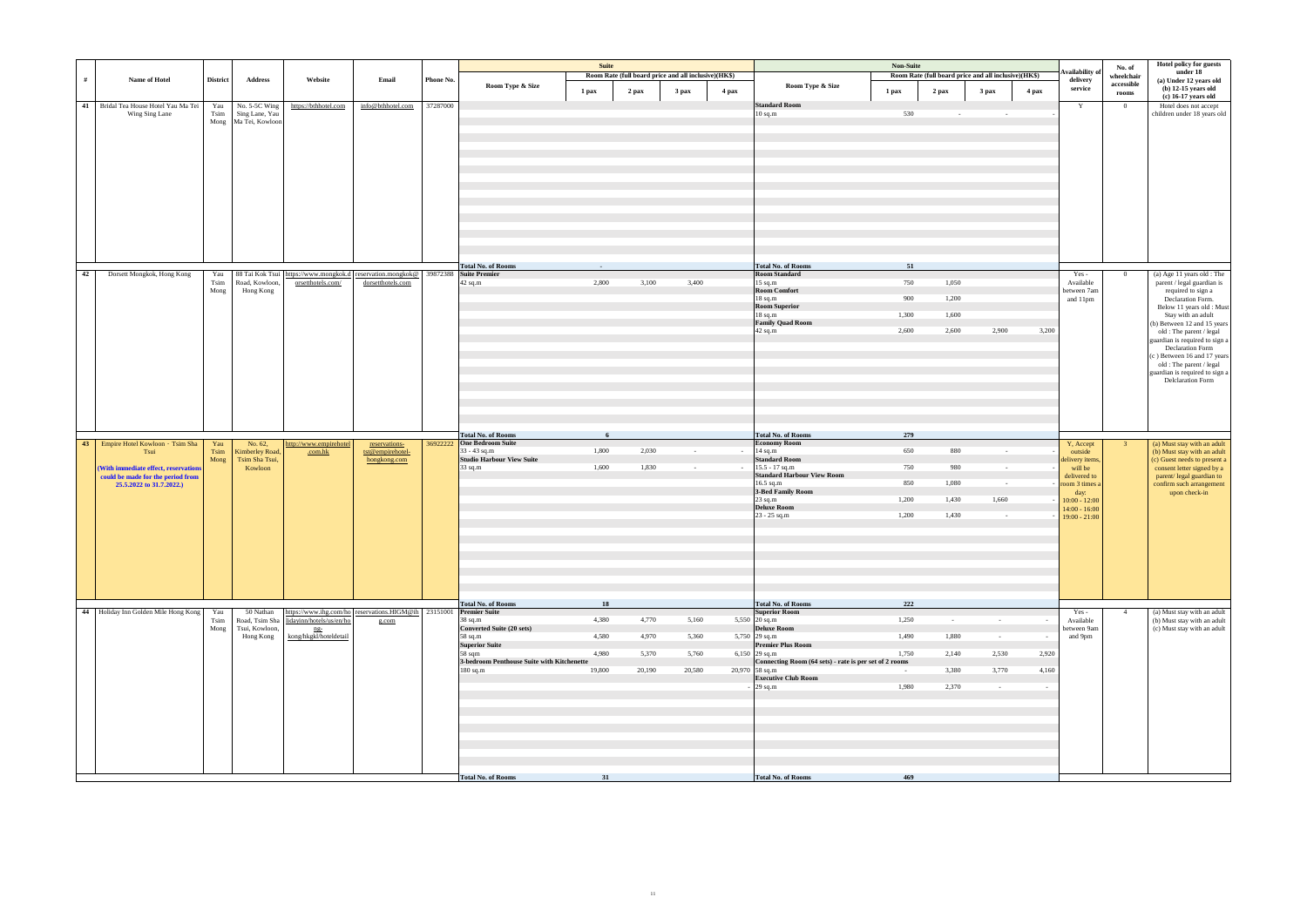|    |                                                                           |                 |                                 |                                         |                                                                                   |           |                                                      | Suite  |        |                                                      |        |                                                                         | Non-Suite  |                                                      |                  |        |                                    |                          | Hotel policy for guests                                   |
|----|---------------------------------------------------------------------------|-----------------|---------------------------------|-----------------------------------------|-----------------------------------------------------------------------------------|-----------|------------------------------------------------------|--------|--------|------------------------------------------------------|--------|-------------------------------------------------------------------------|------------|------------------------------------------------------|------------------|--------|------------------------------------|--------------------------|-----------------------------------------------------------|
|    |                                                                           |                 |                                 |                                         |                                                                                   |           |                                                      |        |        |                                                      |        |                                                                         |            |                                                      |                  |        | <b>Availability</b> of             | No. of                   | under 18                                                  |
| #  | Name of Hotel                                                             | <b>District</b> | <b>Address</b>                  | Website                                 | Email                                                                             | Phone No. |                                                      |        |        | Room Rate (full board price and all inclusive)(HK\$) |        |                                                                         |            | Room Rate (full board price and all inclusive)(HK\$) |                  |        | delivery                           | wheelchair<br>accessible | (a) Under 12 years old                                    |
|    |                                                                           |                 |                                 |                                         |                                                                                   |           | Room Type & Size                                     | 1 pax  | 2 pax  | 3 pax                                                | 4 pax  | Room Type & Size                                                        | 1 pax      | $2$ pax                                              | 3 <sub>max</sub> | 4 pax  | service                            | rooms                    | $(b)$ 12-15 years old                                     |
|    |                                                                           |                 |                                 |                                         |                                                                                   |           |                                                      |        |        |                                                      |        |                                                                         |            |                                                      |                  |        |                                    |                          | (c) 16-17 years old                                       |
|    | 41 Bridal Tea House Hotel Yau Ma Tei<br>Wing Sing Lane                    | Yau<br>Tsim     | No. 5-5C Wing<br>Sing Lane, Yau | https://bthhotel.com                    | info@bthhotel.com                                                                 | 37287000  |                                                      |        |        |                                                      |        | <b>Standard Room</b><br>$10$ sq.m                                       | 530        |                                                      | $\sim$           |        | Y                                  | $\overline{0}$           | Hotel does not accept<br>children under 18 years old      |
|    |                                                                           | Mong            | Ma Tei, Kowloon                 |                                         |                                                                                   |           |                                                      |        |        |                                                      |        |                                                                         |            |                                                      |                  |        |                                    |                          |                                                           |
|    |                                                                           |                 |                                 |                                         |                                                                                   |           |                                                      |        |        |                                                      |        |                                                                         |            |                                                      |                  |        |                                    |                          |                                                           |
|    |                                                                           |                 |                                 |                                         |                                                                                   |           |                                                      |        |        |                                                      |        |                                                                         |            |                                                      |                  |        |                                    |                          |                                                           |
|    |                                                                           |                 |                                 |                                         |                                                                                   |           |                                                      |        |        |                                                      |        |                                                                         |            |                                                      |                  |        |                                    |                          |                                                           |
|    |                                                                           |                 |                                 |                                         |                                                                                   |           |                                                      |        |        |                                                      |        |                                                                         |            |                                                      |                  |        |                                    |                          |                                                           |
|    |                                                                           |                 |                                 |                                         |                                                                                   |           |                                                      |        |        |                                                      |        |                                                                         |            |                                                      |                  |        |                                    |                          |                                                           |
|    |                                                                           |                 |                                 |                                         |                                                                                   |           |                                                      |        |        |                                                      |        |                                                                         |            |                                                      |                  |        |                                    |                          |                                                           |
|    |                                                                           |                 |                                 |                                         |                                                                                   |           |                                                      |        |        |                                                      |        |                                                                         |            |                                                      |                  |        |                                    |                          |                                                           |
|    |                                                                           |                 |                                 |                                         |                                                                                   |           |                                                      |        |        |                                                      |        |                                                                         |            |                                                      |                  |        |                                    |                          |                                                           |
|    |                                                                           |                 |                                 |                                         |                                                                                   |           |                                                      |        |        |                                                      |        |                                                                         |            |                                                      |                  |        |                                    |                          |                                                           |
|    |                                                                           |                 |                                 |                                         |                                                                                   |           |                                                      |        |        |                                                      |        |                                                                         |            |                                                      |                  |        |                                    |                          |                                                           |
|    |                                                                           |                 |                                 |                                         |                                                                                   |           |                                                      |        |        |                                                      |        |                                                                         |            |                                                      |                  |        |                                    |                          |                                                           |
|    |                                                                           |                 |                                 |                                         |                                                                                   |           |                                                      |        |        |                                                      |        |                                                                         |            |                                                      |                  |        |                                    |                          |                                                           |
|    |                                                                           |                 |                                 |                                         |                                                                                   |           |                                                      |        |        |                                                      |        |                                                                         |            |                                                      |                  |        |                                    |                          |                                                           |
|    |                                                                           |                 |                                 |                                         |                                                                                   |           |                                                      |        |        |                                                      |        |                                                                         |            |                                                      |                  |        |                                    |                          |                                                           |
|    |                                                                           |                 |                                 |                                         |                                                                                   |           | <b>Total No. of Rooms</b>                            | $\sim$ |        |                                                      |        | <b>Total No. of Rooms</b>                                               | 51         |                                                      |                  |        |                                    |                          |                                                           |
| 42 | Dorsett Mongkok, Hong Kong                                                | Yau             |                                 |                                         | 88 Tai Kok Tsui https://www.mongkok.d reservation.mongkok@ 39872388 Suite Premier |           |                                                      |        |        |                                                      |        | <b>Room Standard</b>                                                    |            |                                                      |                  |        | Yes -                              | $\overline{0}$           | (a) Age 11 years old : The                                |
|    |                                                                           | Tsim            | Road, Kowloon,                  | orsetthotels.com/                       | dorsetthotels.com                                                                 |           | 42 sq.m                                              | 2,800  | 3,100  | 3,400                                                |        | 15 sq.m                                                                 | 750        | 1,050                                                |                  |        | Available                          |                          | parent / legal guardian is                                |
|    |                                                                           | Mong            | Hong Kong                       |                                         |                                                                                   |           |                                                      |        |        |                                                      |        | <b>Room Comfort</b><br>18 sq.m                                          | 900        | 1,200                                                |                  |        | between 7am                        |                          | required to sign a<br>Declaration Form.                   |
|    |                                                                           |                 |                                 |                                         |                                                                                   |           |                                                      |        |        |                                                      |        | Room Superior                                                           |            |                                                      |                  |        | and 11pm                           |                          | Below 11 years old: Must                                  |
|    |                                                                           |                 |                                 |                                         |                                                                                   |           |                                                      |        |        |                                                      |        | $18$ sq.m                                                               | 1,300      | 1,600                                                |                  |        |                                    |                          | Stay with an adult                                        |
|    |                                                                           |                 |                                 |                                         |                                                                                   |           |                                                      |        |        |                                                      |        | <b>Family Quad Room</b>                                                 |            |                                                      |                  |        |                                    |                          | (b) Between 12 and 15 years                               |
|    |                                                                           |                 |                                 |                                         |                                                                                   |           |                                                      |        |        |                                                      |        | 42 sq.m                                                                 | 2,600      | 2,600                                                | 2,900            | 3,200  |                                    |                          | old : The parent / legal                                  |
|    |                                                                           |                 |                                 |                                         |                                                                                   |           |                                                      |        |        |                                                      |        |                                                                         |            |                                                      |                  |        |                                    |                          | guardian is required to sign a<br><b>Declaration Form</b> |
|    |                                                                           |                 |                                 |                                         |                                                                                   |           |                                                      |        |        |                                                      |        |                                                                         |            |                                                      |                  |        |                                    |                          | (c) Between 16 and 17 years                               |
|    |                                                                           |                 |                                 |                                         |                                                                                   |           |                                                      |        |        |                                                      |        |                                                                         |            |                                                      |                  |        |                                    |                          | old : The parent / legal                                  |
|    |                                                                           |                 |                                 |                                         |                                                                                   |           |                                                      |        |        |                                                      |        |                                                                         |            |                                                      |                  |        |                                    |                          | guardian is required to sign a                            |
|    |                                                                           |                 |                                 |                                         |                                                                                   |           |                                                      |        |        |                                                      |        |                                                                         |            |                                                      |                  |        |                                    |                          | <b>Delclaration Form</b>                                  |
|    |                                                                           |                 |                                 |                                         |                                                                                   |           |                                                      |        |        |                                                      |        |                                                                         |            |                                                      |                  |        |                                    |                          |                                                           |
|    |                                                                           |                 |                                 |                                         |                                                                                   |           |                                                      |        |        |                                                      |        |                                                                         |            |                                                      |                  |        |                                    |                          |                                                           |
|    |                                                                           |                 |                                 |                                         |                                                                                   |           |                                                      |        |        |                                                      |        |                                                                         |            |                                                      |                  |        |                                    |                          |                                                           |
|    |                                                                           |                 |                                 |                                         |                                                                                   |           |                                                      |        |        |                                                      |        |                                                                         |            |                                                      |                  |        |                                    |                          |                                                           |
|    |                                                                           |                 |                                 |                                         |                                                                                   |           | <b>Total No. of Rooms</b>                            | 6      |        |                                                      |        | <b>Total No. of Rooms</b>                                               | 279        |                                                      |                  |        |                                    |                          |                                                           |
|    | 43 Empire Hotel Kowloon · Tsim Sha                                        | Yau             | No. 62,                         | http://www.empirehotel                  | reservations-                                                                     |           | 369222222 One Bedroom Suite                          |        |        |                                                      |        | <b>Economy Room</b>                                                     |            |                                                      |                  |        | Y, Accept                          | 3 <sup>7</sup>           | (a) Must stay with an adult                               |
|    | Tsui                                                                      | Tsim            | Kimberley Road,                 | .com.hk                                 | tst@empirehotel-                                                                  |           | $33 - 43$ sq.m                                       | 1,800  | 2,030  | $\sim 10^{-1}$                                       | $\sim$ | 14 sq.m                                                                 | 650        | 880                                                  | $\sim 10^{-1}$   |        | outside                            |                          | (b) Must stay with an adult                               |
|    |                                                                           | Mong            | Tsim Sha Tsui,<br>Kowloon       |                                         | hongkong.com                                                                      |           | <b>Studio Harbour View Suite</b><br>$33$ sq.m        | 1,600  | 1,830  | $\sim 10^{-11}$                                      | $\sim$ | <b>Standard Room</b><br>$15.5 - 17$ sq.m                                | 750        | 980                                                  | $\sim$           |        | delivery items,<br>will be         |                          | (c) Guest needs to present a                              |
|    | (With immediate effect, reservations<br>could be made for the period from |                 |                                 |                                         |                                                                                   |           |                                                      |        |        |                                                      |        | <b>Standard Harbour View Room</b>                                       |            |                                                      |                  |        | delivered to                       |                          | consent letter signed by a<br>parent/ legal guardian to   |
|    | 25.5.2022 to 31.7.2022.)                                                  |                 |                                 |                                         |                                                                                   |           |                                                      |        |        |                                                      |        | 16.5 sq.m                                                               | 850        | 1,080                                                | $\sim$ $-$       |        | room 3 times a                     |                          | confirm such arrangement                                  |
|    |                                                                           |                 |                                 |                                         |                                                                                   |           |                                                      |        |        |                                                      |        | 3-Bed Family Room                                                       |            |                                                      |                  |        | day:                               |                          | upon check-in                                             |
|    |                                                                           |                 |                                 |                                         |                                                                                   |           |                                                      |        |        |                                                      |        | $23$ sq.m<br><b>Deluxe Room</b>                                         | 1,200      | 1,430                                                | 1,660            |        | $10:00 - 12:00$                    |                          |                                                           |
|    |                                                                           |                 |                                 |                                         |                                                                                   |           |                                                      |        |        |                                                      |        | 23 - 25 sq.m                                                            | 1,200      | 1,430                                                | $\sim 10^{-1}$   |        | $14:00 - 16:00$<br>$19:00 - 21:00$ |                          |                                                           |
|    |                                                                           |                 |                                 |                                         |                                                                                   |           |                                                      |        |        |                                                      |        |                                                                         |            |                                                      |                  |        |                                    |                          |                                                           |
|    |                                                                           |                 |                                 |                                         |                                                                                   |           |                                                      |        |        |                                                      |        |                                                                         |            |                                                      |                  |        |                                    |                          |                                                           |
|    |                                                                           |                 |                                 |                                         |                                                                                   |           |                                                      |        |        |                                                      |        |                                                                         |            |                                                      |                  |        |                                    |                          |                                                           |
|    |                                                                           |                 |                                 |                                         |                                                                                   |           |                                                      |        |        |                                                      |        |                                                                         |            |                                                      |                  |        |                                    |                          |                                                           |
|    |                                                                           |                 |                                 |                                         |                                                                                   |           |                                                      |        |        |                                                      |        |                                                                         |            |                                                      |                  |        |                                    |                          |                                                           |
|    |                                                                           |                 |                                 |                                         |                                                                                   |           |                                                      |        |        |                                                      |        |                                                                         |            |                                                      |                  |        |                                    |                          |                                                           |
|    |                                                                           |                 |                                 |                                         |                                                                                   |           |                                                      |        |        |                                                      |        |                                                                         |            |                                                      |                  |        |                                    |                          |                                                           |
|    |                                                                           |                 |                                 |                                         |                                                                                   |           |                                                      |        |        |                                                      |        |                                                                         |            |                                                      |                  |        |                                    |                          |                                                           |
|    |                                                                           |                 |                                 |                                         |                                                                                   |           | <b>Total No. of Rooms</b>                            | 18     |        |                                                      |        | <b>Total No. of Rooms</b>                                               | 222        |                                                      |                  |        |                                    |                          |                                                           |
|    | 44 Holiday Inn Golden Mile Hong Kong                                      | Yau             | 50 Nathan                       |                                         | https://www.ihg.com/ho reservations.HIGM@ih 23151001 Premier Suite                |           |                                                      |        |        |                                                      |        | <b>Superior Room</b>                                                    |            |                                                      |                  |        | Yes -                              | 4                        | (a) Must stay with an adult                               |
|    |                                                                           | Tsim            |                                 | Road, Tsim Sha lidayinn/hotels/us/en/ho | g.com                                                                             |           | 38 sq.m                                              | 4,380  | 4,770  | 5,160                                                |        | 5,550 $20$ sq.m                                                         | 1,250      | $\sim 10^{-1}$                                       | $\sim$           |        | Available                          |                          | (b) Must stay with an adult                               |
|    |                                                                           | Mong            | Tsui, Kowloon,                  | ng-                                     |                                                                                   |           | <b>Converted Suite (20 sets)</b>                     |        |        |                                                      |        | <b>Deluxe Room</b>                                                      |            |                                                      |                  |        | between 9am                        |                          | (c) Must stay with an adult                               |
|    |                                                                           |                 | Hong Kong                       | kong/hkgkl/hoteldetail                  |                                                                                   |           | 58 sq.m                                              | 4,580  | 4,970  | 5,360                                                |        | 5,750 29 sq.m                                                           | 1,490      | 1,880                                                | $\sim 100$       | $\sim$ | and 9pm                            |                          |                                                           |
|    |                                                                           |                 |                                 |                                         |                                                                                   |           | <b>Superior Suite</b>                                |        |        |                                                      |        | <b>Premier Plus Room</b>                                                |            |                                                      |                  |        |                                    |                          |                                                           |
|    |                                                                           |                 |                                 |                                         |                                                                                   |           | 58 sqm<br>3-bedroom Penthouse Suite with Kitchenette | 4,980  | 5,370  | 5,760                                                |        | 6,150 29 sq.m<br>Connecting Room (64 sets) - rate is per set of 2 rooms | 1,750      | 2,140                                                | 2,530            | 2,920  |                                    |                          |                                                           |
|    |                                                                           |                 |                                 |                                         |                                                                                   |           | $180$ sq.m                                           | 19,800 | 20,190 | 20,580                                               |        | $20,970$ 58 sq.m                                                        | $\sim$ $-$ | 3,380                                                | 3,770            | 4,160  |                                    |                          |                                                           |
|    |                                                                           |                 |                                 |                                         |                                                                                   |           |                                                      |        |        |                                                      |        | <b>Executive Club Room</b>                                              |            |                                                      |                  |        |                                    |                          |                                                           |
|    |                                                                           |                 |                                 |                                         |                                                                                   |           |                                                      |        |        |                                                      |        | $29$ sq.m                                                               | 1,980      | 2,370                                                | $\sim$ $-$       | $\sim$ |                                    |                          |                                                           |
|    |                                                                           |                 |                                 |                                         |                                                                                   |           |                                                      |        |        |                                                      |        |                                                                         |            |                                                      |                  |        |                                    |                          |                                                           |
|    |                                                                           |                 |                                 |                                         |                                                                                   |           |                                                      |        |        |                                                      |        |                                                                         |            |                                                      |                  |        |                                    |                          |                                                           |
|    |                                                                           |                 |                                 |                                         |                                                                                   |           |                                                      |        |        |                                                      |        |                                                                         |            |                                                      |                  |        |                                    |                          |                                                           |
|    |                                                                           |                 |                                 |                                         |                                                                                   |           |                                                      |        |        |                                                      |        |                                                                         |            |                                                      |                  |        |                                    |                          |                                                           |
|    |                                                                           |                 |                                 |                                         |                                                                                   |           |                                                      |        |        |                                                      |        |                                                                         |            |                                                      |                  |        |                                    |                          |                                                           |
|    |                                                                           |                 |                                 |                                         |                                                                                   |           |                                                      |        |        |                                                      |        |                                                                         |            |                                                      |                  |        |                                    |                          |                                                           |
|    |                                                                           |                 |                                 |                                         |                                                                                   |           |                                                      |        |        |                                                      |        |                                                                         |            |                                                      |                  |        |                                    |                          |                                                           |
|    |                                                                           |                 |                                 |                                         |                                                                                   |           |                                                      |        |        |                                                      |        |                                                                         |            |                                                      |                  |        |                                    |                          |                                                           |
|    |                                                                           |                 |                                 |                                         |                                                                                   |           | <b>Total No. of Rooms</b>                            | 31     |        |                                                      |        | <b>Total No. of Rooms</b>                                               | 469        |                                                      |                  |        |                                    |                          |                                                           |
|    |                                                                           |                 |                                 |                                         |                                                                                   |           |                                                      |        |        |                                                      |        |                                                                         |            |                                                      |                  |        |                                    |                          |                                                           |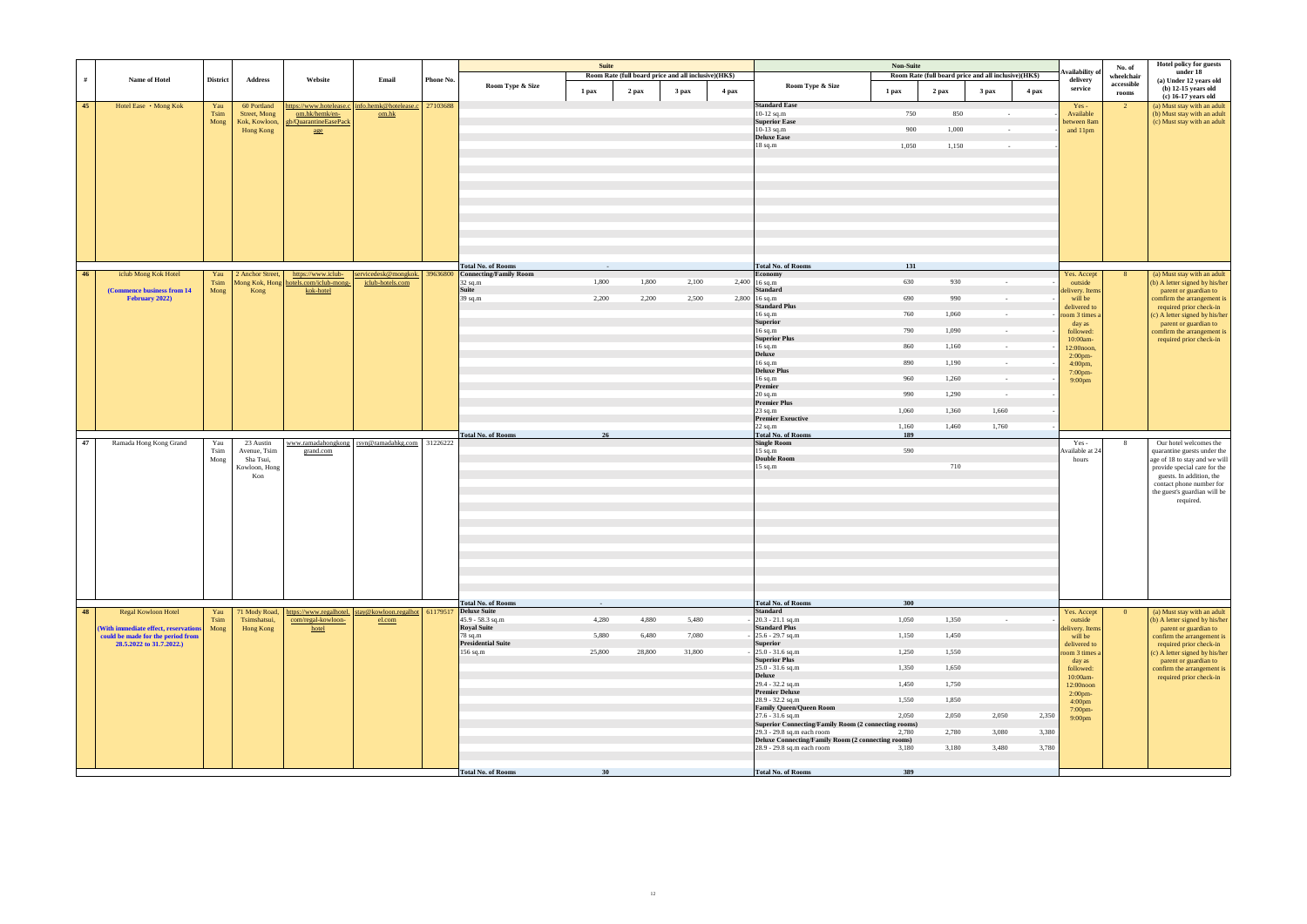|    |                                      |                    |                             |                                                             |                                                          |           |                                          | <b>Suite</b> |                                                      |        |       |                                                                                  | Non-Suite |                                                      |                  |       | Availability o                   | No. of                   | Hotel policy for guests<br>under 18                           |
|----|--------------------------------------|--------------------|-----------------------------|-------------------------------------------------------------|----------------------------------------------------------|-----------|------------------------------------------|--------------|------------------------------------------------------|--------|-------|----------------------------------------------------------------------------------|-----------|------------------------------------------------------|------------------|-------|----------------------------------|--------------------------|---------------------------------------------------------------|
| #  | Name of Hotel                        | <b>District</b>    | <b>Address</b>              | Website                                                     | Email                                                    | Phone No. | Room Type & Size                         |              | Room Rate (full board price and all inclusive)(HK\$) |        |       | Room Type & Size                                                                 |           | Room Rate (full board price and all inclusive)(HK\$) |                  |       | delivery<br>service              | wheelchair<br>accessible | (a) Under 12 years old<br>$(b)$ 12-15 years old               |
|    |                                      |                    |                             |                                                             |                                                          |           |                                          | 1 pax        | 2 pax                                                | 3 pax  | 4 pax | 1 pax                                                                            |           | 2 pax                                                | 3 <sub>max</sub> | 4 pax |                                  | rooms                    | (c) 16-17 years old                                           |
| 45 | Hotel Ease • Mong Kok                | Yau<br><b>Tsim</b> | 60 Portland<br>Street, Mong | om.hk/hemk/en-                                              | https://www.hotelease.c   info.hemk@hotelease.c<br>om.hk | 27103688  |                                          |              |                                                      |        |       | <b>Standard Ease</b><br>10-12 sq.m                                               | 750       | 850                                                  | $\sim$           |       | $Yes -$<br>Available             | $\overline{2}$           | (a) Must stay with an adult<br>(b) Must stay with an adult    |
|    |                                      | Mong               | Kok, Kowloon,               | gb/QuarantineEasePack                                       |                                                          |           |                                          |              |                                                      |        |       | <b>Superior Ease</b>                                                             |           |                                                      |                  |       | between 8am                      |                          | (c) Must stay with an adult                                   |
|    |                                      |                    | Hong Kong                   | age                                                         |                                                          |           |                                          |              |                                                      |        |       | 10-13 sq.m<br><b>Deluxe</b> Ease                                                 | 900       | 1,000                                                | $\sim$ $-$       |       | and 11pm                         |                          |                                                               |
|    |                                      |                    |                             |                                                             |                                                          |           |                                          |              |                                                      |        |       | $18$ sq.m                                                                        | 1,050     | 1,150                                                | $\sim$           |       |                                  |                          |                                                               |
|    |                                      |                    |                             |                                                             |                                                          |           |                                          |              |                                                      |        |       |                                                                                  |           |                                                      |                  |       |                                  |                          |                                                               |
|    |                                      |                    |                             |                                                             |                                                          |           |                                          |              |                                                      |        |       |                                                                                  |           |                                                      |                  |       |                                  |                          |                                                               |
|    |                                      |                    |                             |                                                             |                                                          |           |                                          |              |                                                      |        |       |                                                                                  |           |                                                      |                  |       |                                  |                          |                                                               |
|    |                                      |                    |                             |                                                             |                                                          |           |                                          |              |                                                      |        |       |                                                                                  |           |                                                      |                  |       |                                  |                          |                                                               |
|    |                                      |                    |                             |                                                             |                                                          |           |                                          |              |                                                      |        |       |                                                                                  |           |                                                      |                  |       |                                  |                          |                                                               |
|    |                                      |                    |                             |                                                             |                                                          |           |                                          |              |                                                      |        |       |                                                                                  |           |                                                      |                  |       |                                  |                          |                                                               |
|    |                                      |                    |                             |                                                             |                                                          |           |                                          |              |                                                      |        |       |                                                                                  |           |                                                      |                  |       |                                  |                          |                                                               |
|    |                                      |                    |                             |                                                             |                                                          |           |                                          |              |                                                      |        |       |                                                                                  |           |                                                      |                  |       |                                  |                          |                                                               |
|    |                                      |                    |                             |                                                             |                                                          |           |                                          |              |                                                      |        |       |                                                                                  |           |                                                      |                  |       |                                  |                          |                                                               |
|    |                                      |                    |                             |                                                             |                                                          |           | <b>Total No. of Rooms</b>                |              |                                                      |        |       | <b>Total No. of Rooms</b>                                                        | 131       |                                                      |                  |       |                                  |                          |                                                               |
| 46 | iclub Mong Kok Hotel                 | Yau<br>Tsim        | 2 Anchor Street,            | https://www.iclub-<br>Mong Kok, Hong hotels.com/iclub-mong- | servicedesk@mongkok. 39636800<br>iclub-hotels.com        |           | <b>Connecting/Family Room</b><br>32 sq.m | 1,800        | 1,800                                                | 2,100  |       | Economy<br>2,400 16 sq.m                                                         | 630       | 930                                                  | $\sim$           |       | Yes. Accept<br>outside           | 8 <sup>1</sup>           | (a) Must stay with an adult<br>(b) A letter signed by his/her |
|    | (Commence business from 14)          | Mong               | Kong                        | kok-hotel                                                   |                                                          |           | <b>Suite</b>                             |              |                                                      |        |       | <b>Standard</b>                                                                  |           |                                                      |                  |       | delivery. Items                  |                          | parent or guardian to                                         |
|    | February 2022)                       |                    |                             |                                                             |                                                          |           | 39 sq.m                                  | 2,200        | 2,200                                                | 2,500  |       | $2,800$ 16 sq.m<br><b>Standard Plus</b>                                          | 690       | 990                                                  | $\sim$           |       | will be<br>delivered to          |                          | comfirm the arrangement is<br>required prior check-in         |
|    |                                      |                    |                             |                                                             |                                                          |           |                                          |              |                                                      |        |       | 16 sq.m                                                                          | 760       | 1,060                                                | $\sim$           |       | room 3 times a                   |                          | (c) A letter signed by his/her                                |
|    |                                      |                    |                             |                                                             |                                                          |           |                                          |              |                                                      |        |       | Superior<br>$16$ sq.m                                                            | 790       | 1,090                                                | $\sim$ $-$       |       | day as<br>followed:              |                          | parent or guardian to<br>comfirm the arrangement is           |
|    |                                      |                    |                             |                                                             |                                                          |           |                                          |              |                                                      |        |       | <b>Superior Plus</b>                                                             |           |                                                      |                  |       | 10:00am-                         |                          | required prior check-in                                       |
|    |                                      |                    |                             |                                                             |                                                          |           |                                          |              |                                                      |        |       | 16 sq.m<br><b>Deluxe</b>                                                         | 860       | 1,160                                                | $\sim$           |       | 12:00noon,<br>$2:00$ pm-         |                          |                                                               |
|    |                                      |                    |                             |                                                             |                                                          |           |                                          |              |                                                      |        |       | 16 sq.m<br><b>Deluxe Plus</b>                                                    | 890       | 1,190                                                | $\sim 10^{-1}$   |       | 4:00pm,                          |                          |                                                               |
|    |                                      |                    |                             |                                                             |                                                          |           |                                          |              |                                                      |        |       | $16$ sq.m $\,$ Premier                                                           | 960       | 1,260                                                | $\sim$           |       | 7:00pm-<br>9:00 <sub>pm</sub>    |                          |                                                               |
|    |                                      |                    |                             |                                                             |                                                          |           |                                          |              |                                                      |        |       | $20$ sq.m                                                                        | 990       | 1,290                                                | $\sim$           |       |                                  |                          |                                                               |
|    |                                      |                    |                             |                                                             |                                                          |           |                                          |              |                                                      |        |       | <b>Premier Plus</b>                                                              |           |                                                      |                  |       |                                  |                          |                                                               |
|    |                                      |                    |                             |                                                             |                                                          |           |                                          |              |                                                      |        |       | $23$ sq.m<br><b>Premier Exeuctive</b>                                            | 1,060     | 1,360                                                | 1,660            |       |                                  |                          |                                                               |
|    |                                      |                    |                             |                                                             |                                                          |           |                                          |              |                                                      |        |       | $22$ sq.m                                                                        | 1,160     | 1,460                                                | 1,760            |       |                                  |                          |                                                               |
| 47 | Ramada Hong Kong Grand               | Yau                | 23 Austin                   |                                                             | www.ramadahongkong rsvn@ramadahkg.com 31226222           |           | <b>Total No. of Rooms</b>                | 26           |                                                      |        |       | <b>Total No. of Rooms</b><br><b>Single Room</b>                                  | 189       |                                                      |                  |       | $Yes -$                          | 8                        | Our hotel welcomes the                                        |
|    |                                      | Tsim               | Avenue, Tsim                | grand.com                                                   |                                                          |           |                                          |              |                                                      |        |       | 15 sq.m                                                                          | 590       |                                                      |                  |       | Available at 24                  |                          | quarantine guests under the                                   |
|    |                                      | Mong               | Sha Tsui,<br>Kowloon, Hong  |                                                             |                                                          |           |                                          |              |                                                      |        |       | Double Room<br>$15 \text{ sq.m}$                                                 |           | 710                                                  |                  |       | hours                            |                          | age of 18 to stay and we will<br>provide special care for the |
|    |                                      |                    | Kon                         |                                                             |                                                          |           |                                          |              |                                                      |        |       |                                                                                  |           |                                                      |                  |       |                                  |                          | guests. In addition, the                                      |
|    |                                      |                    |                             |                                                             |                                                          |           |                                          |              |                                                      |        |       |                                                                                  |           |                                                      |                  |       |                                  |                          | contact phone number for<br>the guest's guardian will be      |
|    |                                      |                    |                             |                                                             |                                                          |           |                                          |              |                                                      |        |       |                                                                                  |           |                                                      |                  |       |                                  |                          | required.                                                     |
|    |                                      |                    |                             |                                                             |                                                          |           |                                          |              |                                                      |        |       |                                                                                  |           |                                                      |                  |       |                                  |                          |                                                               |
|    |                                      |                    |                             |                                                             |                                                          |           |                                          |              |                                                      |        |       |                                                                                  |           |                                                      |                  |       |                                  |                          |                                                               |
|    |                                      |                    |                             |                                                             |                                                          |           |                                          |              |                                                      |        |       |                                                                                  |           |                                                      |                  |       |                                  |                          |                                                               |
|    |                                      |                    |                             |                                                             |                                                          |           |                                          |              |                                                      |        |       |                                                                                  |           |                                                      |                  |       |                                  |                          |                                                               |
|    |                                      |                    |                             |                                                             |                                                          |           |                                          |              |                                                      |        |       |                                                                                  |           |                                                      |                  |       |                                  |                          |                                                               |
|    |                                      |                    |                             |                                                             |                                                          |           |                                          |              |                                                      |        |       |                                                                                  |           |                                                      |                  |       |                                  |                          |                                                               |
|    |                                      |                    |                             |                                                             |                                                          |           |                                          |              |                                                      |        |       |                                                                                  |           |                                                      |                  |       |                                  |                          |                                                               |
|    |                                      |                    |                             |                                                             |                                                          |           | <b>Total No. of Rooms</b>                | $\sim$ $-$   |                                                      |        |       | <b>Total No. of Rooms</b>                                                        | 300       |                                                      |                  |       |                                  |                          |                                                               |
| 48 | <b>Regal Kowloon Hotel</b>           | Yau                | 71 Mody Road,               | https://www.regalhotel. stay@kowloon.regalhot 61179517      |                                                          |           | Deluxe Suite                             |              |                                                      |        |       | <b>Standard</b>                                                                  |           |                                                      |                  |       | Yes. Accept                      | $\mathbf{0}$             | (a) Must stay with an adult                                   |
|    | (With immediate effect, reservations | Tsim<br>Mong       | Tsimshatsui,<br>Hong Kong   | com/regal-kowloon-<br>hotel                                 | el.com                                                   |           | 45.9 - 58.3 sq.m<br>Royal Suite          | 4,280        | 4,880                                                | 5,480  |       | $20.3 - 21.1$ sq.m<br><b>Standard Plus</b>                                       | 1,050     | 1,350                                                | $\sim$ $-$       |       | outside<br>delivery. Items       |                          | (b) A letter signed by his/her<br>parent or guardian to       |
|    | could be made for the period from    |                    |                             |                                                             |                                                          |           | $78$ sq.m                                | 5,880        | 6,480                                                | 7,080  |       | 25.6 - 29.7 sq.m                                                                 | 1,150     | 1,450                                                |                  |       | will be                          |                          | confirm the arrangement is                                    |
|    | 28.5.2022 to 31.7.2022.)             |                    |                             |                                                             |                                                          |           | <b>Presidential Suite</b><br>$156$ sq.m  | 25,800       | 28,800                                               | 31,800 |       | <b>Superior</b><br>$25.0 - 31.6$ sq.m                                            | 1,250     | 1,550                                                |                  |       | delivered to<br>room 3 times a   |                          | required prior check-in<br>(c) A letter signed by his/her     |
|    |                                      |                    |                             |                                                             |                                                          |           |                                          |              |                                                      |        |       | <b>Superior Plus</b><br>$25.0 - 31.6$ sq.m                                       | 1,350     | 1,650                                                |                  |       | day as                           |                          | parent or guardian to                                         |
|    |                                      |                    |                             |                                                             |                                                          |           |                                          |              |                                                      |        |       | <b>Deluxe</b>                                                                    |           |                                                      |                  |       | followed:<br>10:00am-            |                          | confirm the arrangement is<br>required prior check-in         |
|    |                                      |                    |                             |                                                             |                                                          |           |                                          |              |                                                      |        |       | 29.4 - 32.2 sq.m<br><b>Premier Deluxe</b>                                        | 1,450     | 1,750                                                |                  |       | $12:00$ noon                     |                          |                                                               |
|    |                                      |                    |                             |                                                             |                                                          |           |                                          |              |                                                      |        |       | 28.9 - 32.2 sq.m                                                                 | 1,550     | 1,850                                                |                  |       | $2:00$ pm-<br>4:00 <sub>pm</sub> |                          |                                                               |
|    |                                      |                    |                             |                                                             |                                                          |           |                                          |              |                                                      |        |       | <b>Family Queen/Queen Room</b><br>27.6 - 31.6 sq.m                               | 2,050     | 2,050                                                | 2,050            | 2,350 | 7:00pm-                          |                          |                                                               |
|    |                                      |                    |                             |                                                             |                                                          |           |                                          |              |                                                      |        |       | Superior Connecting/Family Room (2 connecting rooms)                             |           |                                                      |                  |       | $9:00 \text{pm}$                 |                          |                                                               |
|    |                                      |                    |                             |                                                             |                                                          |           |                                          |              |                                                      |        |       | 29.3 - 29.8 sq.m each room<br>Deluxe Connecting/Family Room (2 connecting rooms) | 2,780     | 2,780                                                | 3,080            | 3,380 |                                  |                          |                                                               |
|    |                                      |                    |                             |                                                             |                                                          |           |                                          |              |                                                      |        |       | 28.9 - 29.8 sq.m each room                                                       | 3,180     | 3,180                                                | 3,480            | 3,780 |                                  |                          |                                                               |
|    |                                      |                    |                             |                                                             |                                                          |           |                                          |              |                                                      |        |       |                                                                                  |           |                                                      |                  |       |                                  |                          |                                                               |
|    |                                      |                    |                             |                                                             |                                                          |           | <b>Total No. of Rooms</b>                | 30           |                                                      |        |       | <b>Total No. of Rooms</b>                                                        | 389       |                                                      |                  |       |                                  |                          |                                                               |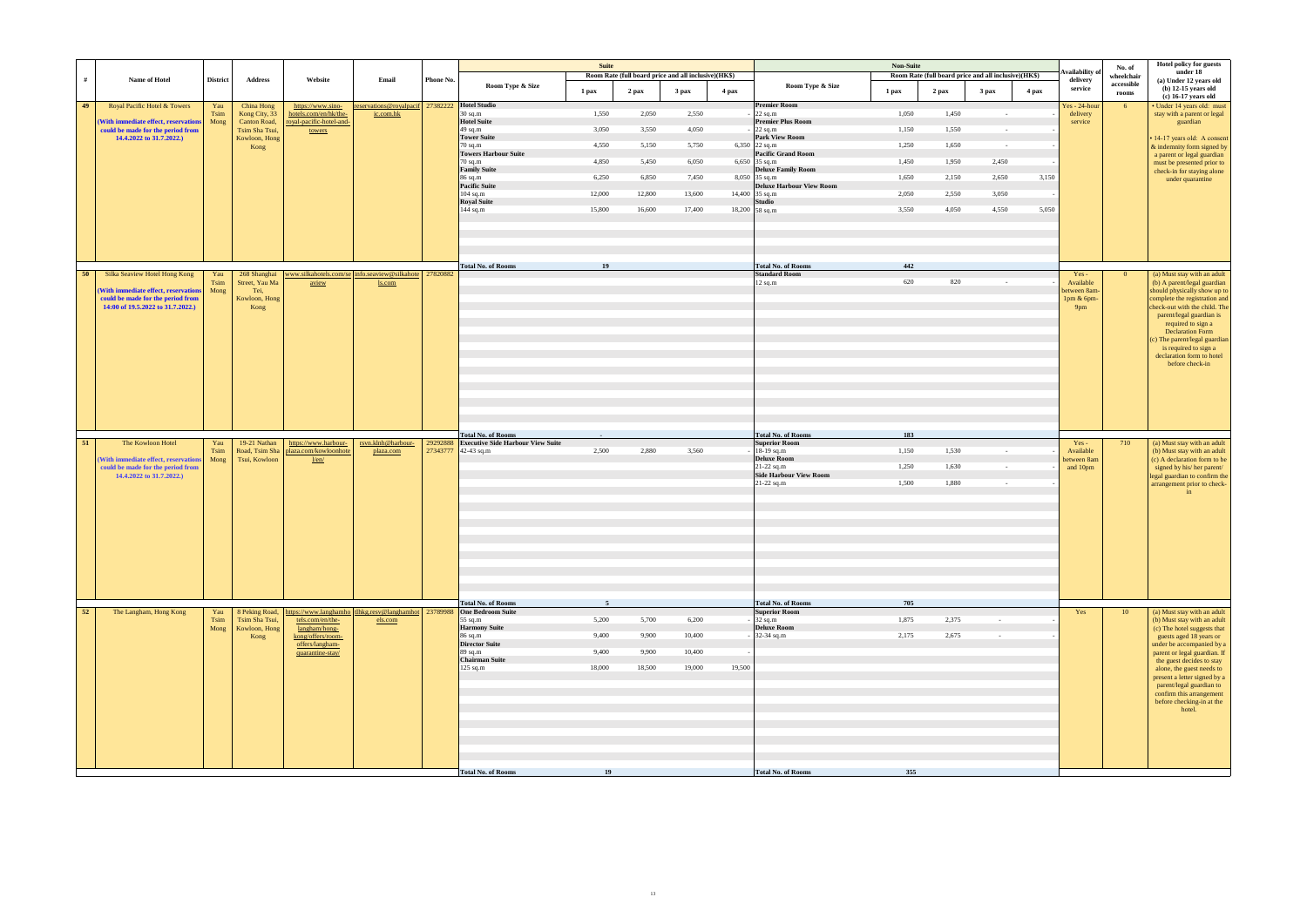|      |                                                                                                                |                 |                                |                                                                                       |                                                                  |           |                                                                       | <b>Suite</b>    |        |                                                               |        |                                                   | <b>Non-Suite</b> |       |                                                                          |       | Availability o                                | No. of                            | Hotel policy for guests<br>under 18                                                                                                                                                                                                   |
|------|----------------------------------------------------------------------------------------------------------------|-----------------|--------------------------------|---------------------------------------------------------------------------------------|------------------------------------------------------------------|-----------|-----------------------------------------------------------------------|-----------------|--------|---------------------------------------------------------------|--------|---------------------------------------------------|------------------|-------|--------------------------------------------------------------------------|-------|-----------------------------------------------|-----------------------------------|---------------------------------------------------------------------------------------------------------------------------------------------------------------------------------------------------------------------------------------|
| #    | Name of Hotel                                                                                                  | <b>District</b> | <b>Address</b>                 | Website                                                                               | Email                                                            | Phone No. | Room Type & Size                                                      | 1 pax           | 2 pax  | Room Rate (full board price and all inclusive)(HK\$)<br>3 pax | 4 pax  | Room Type & Size                                  | 1 pax            | 2 pax | Room Rate (full board price and all inclusive)(HK\$)<br>3 <sub>max</sub> | 4 pax | delivery<br>service                           | wheelchair<br>accessible<br>rooms | (a) Under 12 years old<br>$(b)$ 12-15 years old                                                                                                                                                                                       |
| 49   | Royal Pacific Hotel & Towers                                                                                   | Yau             | China Hong                     | https://www.sino-                                                                     | eservations@royalpacif 27382222 Hotel Studio                     |           |                                                                       |                 |        |                                                               |        | <b>Premier Room</b>                               |                  |       |                                                                          |       | Yes - 24-hour                                 | 6 <sup>6</sup>                    | (c) 16-17 years old<br>· Under 14 years old: must                                                                                                                                                                                     |
|      |                                                                                                                | Tsim            | Kong City, 33                  | hotels.com/en/hk/the-                                                                 | ic.com.hk                                                        |           | $30$ sq.m<br><b>Hotel Suite</b>                                       | 1,550           | 2,050  | 2,550                                                         |        | $22$ sq.m<br><b>Premier Plus Room</b>             | 1,050            | 1,450 | $\sim$ $-$                                                               |       | delivery                                      |                                   | stay with a parent or legal                                                                                                                                                                                                           |
|      | (With immediate effect, reservations<br>could be made for the period from                                      | Mong            | Canton Road,<br>Tsim Sha Tsui, | royal-pacific-hotel-and-<br>towers                                                    |                                                                  |           | $49$ sq.m                                                             | 3,050           | 3,550  | 4,050                                                         |        | $22$ sq.m                                         | 1,150            | 1,550 | $\sim$ $-$                                                               |       | service                                       |                                   | guardian                                                                                                                                                                                                                              |
|      | 14.4.2022 to 31.7.2022.)                                                                                       |                 | Kowloon, Hong                  |                                                                                       |                                                                  |           | <b>Tower Suite</b><br>$70$ sq.m                                       | 4,550           | 5,150  | 5,750                                                         |        | <b>Park View Room</b><br>6,350 22 sq.m            | 1,250            | 1,650 | $\sim 10^{-1}$                                                           |       |                                               |                                   | · 14-17 years old: A consent                                                                                                                                                                                                          |
|      |                                                                                                                |                 | Kong                           |                                                                                       |                                                                  |           | <b>Towers Harbour Suite</b>                                           |                 |        |                                                               |        | <b>Pacific Grand Room</b>                         |                  |       |                                                                          |       |                                               |                                   | & indemnity form signed by<br>a parent or legal guardian                                                                                                                                                                              |
|      |                                                                                                                |                 |                                |                                                                                       |                                                                  |           | $70$ sq.m<br><b>Family Suite</b>                                      | 4,850           | 5,450  | 6,050                                                         |        | 6,650 35 sq.m                                     | 1,450            | 1,950 | 2,450                                                                    |       |                                               |                                   | must be presented prior to                                                                                                                                                                                                            |
|      |                                                                                                                |                 |                                |                                                                                       |                                                                  |           | 86 sq.m                                                               | 6,250           | 6,850  | 7,450                                                         |        | <b>Deluxe Family Room</b><br>$8,050$ 35 sq.m      | 1,650            | 2,150 | 2,650                                                                    | 3,150 |                                               |                                   | check-in for staying alone<br>under quarantine                                                                                                                                                                                        |
|      |                                                                                                                |                 |                                |                                                                                       |                                                                  |           | <b>Pacific Suite</b>                                                  |                 |        |                                                               |        | <b>Deluxe Harbour View Room</b>                   |                  |       |                                                                          |       |                                               |                                   |                                                                                                                                                                                                                                       |
|      |                                                                                                                |                 |                                |                                                                                       |                                                                  |           | $104$ sq.m<br><b>Royal Suite</b>                                      | 12,000          | 12,800 | 13,600                                                        |        | 14,400 35 sq.m<br><b>Studio</b>                   | 2,050            | 2,550 | 3,050                                                                    |       |                                               |                                   |                                                                                                                                                                                                                                       |
|      |                                                                                                                |                 |                                |                                                                                       |                                                                  |           | $144$ sq.m                                                            | 15,800          | 16,600 | 17,400                                                        |        | 18,200 58 sq.m                                    | 3,550            | 4,050 | 4,550                                                                    | 5,050 |                                               |                                   |                                                                                                                                                                                                                                       |
|      |                                                                                                                |                 |                                |                                                                                       |                                                                  |           |                                                                       |                 |        |                                                               |        |                                                   |                  |       |                                                                          |       |                                               |                                   |                                                                                                                                                                                                                                       |
|      |                                                                                                                |                 |                                |                                                                                       |                                                                  |           | <b>Total No. of Rooms</b>                                             | 19              |        |                                                               |        | <b>Total No. of Rooms</b>                         | 442              |       |                                                                          |       |                                               |                                   |                                                                                                                                                                                                                                       |
| - 50 | Silka Seaview Hotel Hong Kong                                                                                  | Yau<br>Tsim     | 268 Shanghai<br>Street, Yau Ma | aview                                                                                 | www.silkahotels.com/se info.seaview@silkahote 27820882<br>ls.com |           |                                                                       |                 |        |                                                               |        | <b>Standard Room</b><br>$12$ sq.m                 | 620              | 820   | $\sim$                                                                   |       | $Yes -$<br>Available                          | $\overline{0}$                    | (a) Must stay with an adult<br>(b) A parent/legal guardian                                                                                                                                                                            |
|      | (With immediate effect, reservations<br>could be made for the period from<br>14:00 of 19.5.2022 to 31.7.2022.) | Mong            | Tei,<br>Kowloon, Hong<br>Kong  |                                                                                       |                                                                  |           |                                                                       |                 |        |                                                               |        |                                                   |                  |       |                                                                          |       | between 8am-<br>1pm & 6pm-<br>9 <sub>pm</sub> |                                   | should physically show up to<br>complete the registration and<br>check-out with the child. The<br>parent/legal guardian is<br>required to sign a<br><b>Declaration Form</b><br>(c) The parent/legal guardian<br>is required to sign a |
|      |                                                                                                                |                 |                                |                                                                                       |                                                                  |           |                                                                       |                 |        |                                                               |        |                                                   |                  |       |                                                                          |       |                                               |                                   | declaration form to hotel<br>before check-in                                                                                                                                                                                          |
| 51   | The Kowloon Hotel                                                                                              | Yau             | 19-21 Nathan                   | https://www.harbour-                                                                  | rsvn.klnh@harbour-                                               | 29292888  | <b>Total No. of Rooms</b><br><b>Executive Side Harbour View Suite</b> | $\sim 10^{-10}$ |        |                                                               |        | <b>Total No. of Rooms</b><br><b>Superior Room</b> | 183              |       |                                                                          |       | $Yes -$                                       | 710                               | (a) Must stay with an adult                                                                                                                                                                                                           |
|      |                                                                                                                | Tsim            | Road, Tsim Sha                 | plaza.com/kowloonhote                                                                 | plaza.com                                                        | 27343777  | $42-43$ sq.m                                                          | 2,500           | 2,880  | 3,560                                                         |        | 18-19 sq.m                                        | 1,150            | 1,530 | $\sim$ $-$                                                               |       | Available                                     |                                   | (b) Must stay with an adult                                                                                                                                                                                                           |
|      | (With immediate effect, reservations<br>could be made for the period from                                      | Mong            | Tsui, Kowloon                  | 1/en/                                                                                 |                                                                  |           |                                                                       |                 |        |                                                               |        | <b>Deluxe Room</b><br>21-22 sq.m                  | 1,250            | 1,630 | $\sim$                                                                   |       | between 8am<br>and 10pm                       |                                   | (c) A declaration form to be<br>signed by his/her parent/                                                                                                                                                                             |
|      | 14.4.2022 to 31.7.2022.)                                                                                       |                 |                                |                                                                                       |                                                                  |           |                                                                       |                 |        |                                                               |        | <b>Side Harbour View Room</b>                     |                  |       |                                                                          |       |                                               |                                   | legal guardian to confirm the                                                                                                                                                                                                         |
|      |                                                                                                                |                 |                                |                                                                                       |                                                                  |           |                                                                       |                 |        |                                                               |        | 21-22 sq.m                                        | 1,500            | 1.880 | $\sim$                                                                   |       |                                               |                                   | arrangement prior to check-<br>in                                                                                                                                                                                                     |
|      |                                                                                                                |                 |                                |                                                                                       |                                                                  |           |                                                                       |                 |        |                                                               |        |                                                   |                  |       |                                                                          |       |                                               |                                   |                                                                                                                                                                                                                                       |
|      |                                                                                                                |                 |                                |                                                                                       |                                                                  |           |                                                                       |                 |        |                                                               |        |                                                   |                  |       |                                                                          |       |                                               |                                   |                                                                                                                                                                                                                                       |
|      |                                                                                                                |                 |                                |                                                                                       |                                                                  |           |                                                                       |                 |        |                                                               |        |                                                   |                  |       |                                                                          |       |                                               |                                   |                                                                                                                                                                                                                                       |
|      |                                                                                                                |                 |                                |                                                                                       |                                                                  |           |                                                                       |                 |        |                                                               |        |                                                   |                  |       |                                                                          |       |                                               |                                   |                                                                                                                                                                                                                                       |
|      |                                                                                                                |                 |                                |                                                                                       |                                                                  |           |                                                                       |                 |        |                                                               |        |                                                   |                  |       |                                                                          |       |                                               |                                   |                                                                                                                                                                                                                                       |
|      |                                                                                                                |                 |                                |                                                                                       |                                                                  |           |                                                                       |                 |        |                                                               |        |                                                   |                  |       |                                                                          |       |                                               |                                   |                                                                                                                                                                                                                                       |
|      |                                                                                                                |                 |                                |                                                                                       |                                                                  |           |                                                                       |                 |        |                                                               |        |                                                   |                  |       |                                                                          |       |                                               |                                   |                                                                                                                                                                                                                                       |
|      |                                                                                                                |                 |                                |                                                                                       |                                                                  |           |                                                                       |                 |        |                                                               |        |                                                   |                  |       |                                                                          |       |                                               |                                   |                                                                                                                                                                                                                                       |
|      |                                                                                                                |                 |                                |                                                                                       |                                                                  |           |                                                                       |                 |        |                                                               |        |                                                   |                  |       |                                                                          |       |                                               |                                   |                                                                                                                                                                                                                                       |
| 52   | The Langham, Hong Kong                                                                                         | Yau             |                                | 8 Peking Road, https://www.langhamho tlhkg.resv@langhamhot 23789988 One Bedroom Suite |                                                                  |           | <b>Total No. of Rooms</b>                                             | -5              |        |                                                               |        | <b>Total No. of Rooms</b><br><b>Superior Room</b> | 705              |       |                                                                          |       | Yes                                           | <b>10</b>                         | (a) Must stay with an adult                                                                                                                                                                                                           |
|      |                                                                                                                | Tsim            | Tsim Sha Tsui,                 | tels.com/en/the-                                                                      | els.com                                                          |           | 55 sq.m                                                               | 5,200           | 5,700  | 6,200                                                         |        | 32 sq.m                                           | 1,875            | 2,375 | $\sim 10^{-11}$                                                          |       |                                               |                                   | (b) Must stay with an adult                                                                                                                                                                                                           |
|      |                                                                                                                | Mong            | Kowloon, Hong                  | langham/hong-<br>kong/offers/room-                                                    |                                                                  |           | <b>Harmony Suite</b><br>$86$ sq.m                                     | 9,400           | 9,900  | 10,400                                                        |        | <b>Deluxe Room</b><br>32-34 sq.m                  | 2,175            | 2,675 | $\sim$ $-$                                                               |       |                                               |                                   | (c) The hotel suggests that                                                                                                                                                                                                           |
|      |                                                                                                                |                 | Kong                           | offers/langham-                                                                       |                                                                  |           | <b>Director Suite</b>                                                 |                 |        |                                                               |        |                                                   |                  |       |                                                                          |       |                                               |                                   | guests aged 18 years or<br>under be accompanied by a                                                                                                                                                                                  |
|      |                                                                                                                |                 |                                | quarantine-stay/                                                                      |                                                                  |           | $89$ sq.m<br><b>Chairman Suite</b>                                    | 9,400           | 9,900  | 10,400                                                        |        |                                                   |                  |       |                                                                          |       |                                               |                                   | parent or legal guardian. If                                                                                                                                                                                                          |
|      |                                                                                                                |                 |                                |                                                                                       |                                                                  |           | $125$ sq.m                                                            | 18,000          | 18,500 | 19,000                                                        | 19,500 |                                                   |                  |       |                                                                          |       |                                               |                                   | the guest decides to stay<br>alone, the guest needs to                                                                                                                                                                                |
|      |                                                                                                                |                 |                                |                                                                                       |                                                                  |           |                                                                       |                 |        |                                                               |        |                                                   |                  |       |                                                                          |       |                                               |                                   | present a letter signed by a                                                                                                                                                                                                          |
|      |                                                                                                                |                 |                                |                                                                                       |                                                                  |           |                                                                       |                 |        |                                                               |        |                                                   |                  |       |                                                                          |       |                                               |                                   | parent/legal guardian to<br>confirm this arrangement                                                                                                                                                                                  |
|      |                                                                                                                |                 |                                |                                                                                       |                                                                  |           |                                                                       |                 |        |                                                               |        |                                                   |                  |       |                                                                          |       |                                               |                                   | before checking-in at the                                                                                                                                                                                                             |
|      |                                                                                                                |                 |                                |                                                                                       |                                                                  |           |                                                                       |                 |        |                                                               |        |                                                   |                  |       |                                                                          |       |                                               |                                   | hotel.                                                                                                                                                                                                                                |
|      |                                                                                                                |                 |                                |                                                                                       |                                                                  |           |                                                                       |                 |        |                                                               |        |                                                   |                  |       |                                                                          |       |                                               |                                   |                                                                                                                                                                                                                                       |
|      |                                                                                                                |                 |                                |                                                                                       |                                                                  |           |                                                                       |                 |        |                                                               |        |                                                   |                  |       |                                                                          |       |                                               |                                   |                                                                                                                                                                                                                                       |
|      |                                                                                                                |                 |                                |                                                                                       |                                                                  |           |                                                                       |                 |        |                                                               |        |                                                   |                  |       |                                                                          |       |                                               |                                   |                                                                                                                                                                                                                                       |
|      |                                                                                                                |                 |                                |                                                                                       |                                                                  |           |                                                                       |                 |        |                                                               |        |                                                   |                  |       |                                                                          |       |                                               |                                   |                                                                                                                                                                                                                                       |
|      |                                                                                                                |                 |                                |                                                                                       |                                                                  |           | <b>Total No. of Rooms</b>                                             | 19              |        |                                                               |        | <b>Total No. of Rooms</b>                         | 355              |       |                                                                          |       |                                               |                                   |                                                                                                                                                                                                                                       |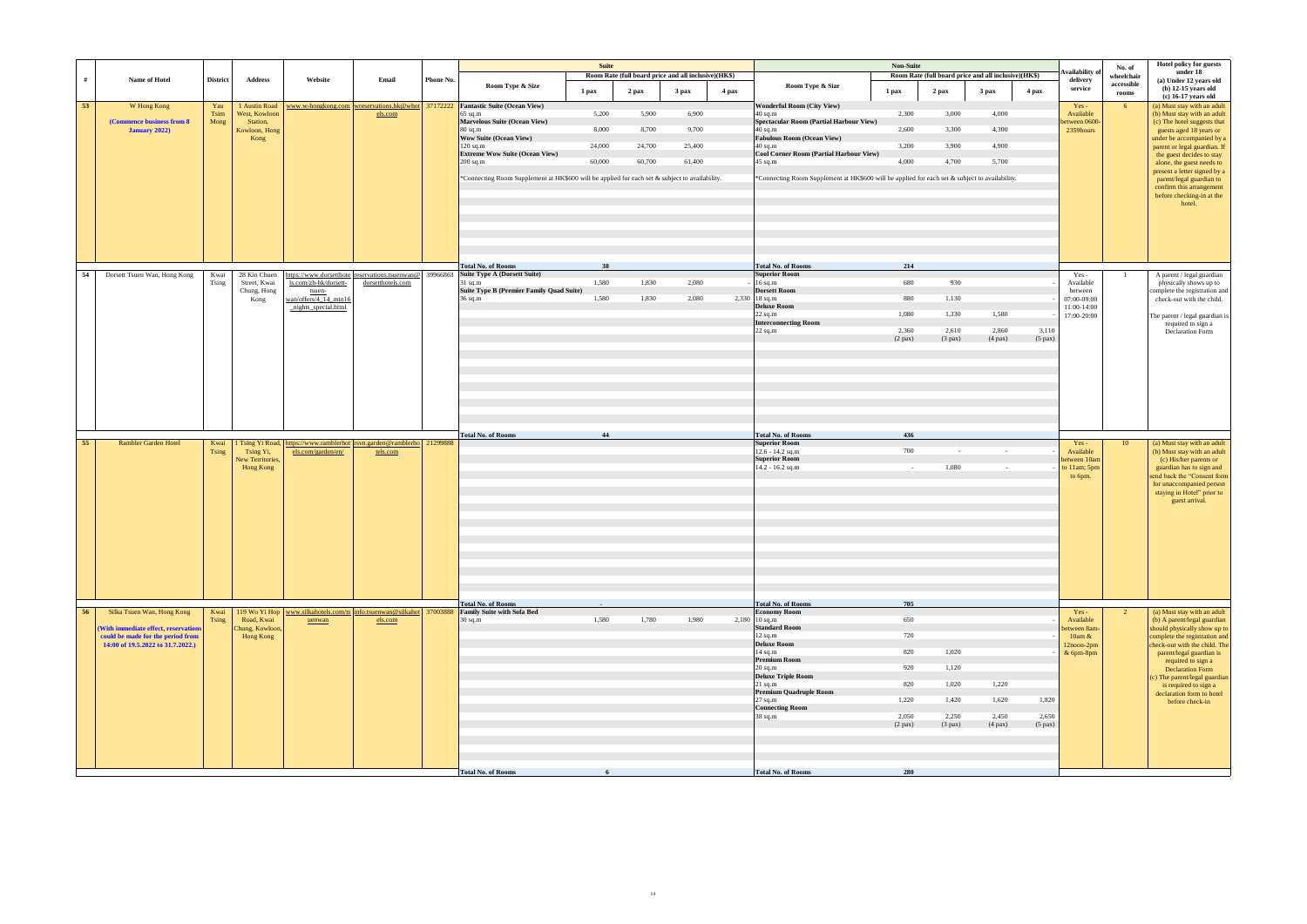|    |                                                                                                                                              |                      |                                                                     |                                                                                 |                                                                                  |           |                                                                                                                                                                                                                                                                                                                                                  | <b>Suite</b>                       | Room Rate (full board price and all inclusive)(HK\$) |                                    |       |                                                                                                                                                                                                                                                                                                                | <b>Non-Suite</b>                                                         |                                                        | Room Rate (full board price and all inclusive)(HK\$) |                                | Availability o                                                               | No. of<br>wheelchair | Hotel policy for guests<br>under 18                                                                                                                                                                                                                                                                                                                                        |
|----|----------------------------------------------------------------------------------------------------------------------------------------------|----------------------|---------------------------------------------------------------------|---------------------------------------------------------------------------------|----------------------------------------------------------------------------------|-----------|--------------------------------------------------------------------------------------------------------------------------------------------------------------------------------------------------------------------------------------------------------------------------------------------------------------------------------------------------|------------------------------------|------------------------------------------------------|------------------------------------|-------|----------------------------------------------------------------------------------------------------------------------------------------------------------------------------------------------------------------------------------------------------------------------------------------------------------------|--------------------------------------------------------------------------|--------------------------------------------------------|------------------------------------------------------|--------------------------------|------------------------------------------------------------------------------|----------------------|----------------------------------------------------------------------------------------------------------------------------------------------------------------------------------------------------------------------------------------------------------------------------------------------------------------------------------------------------------------------------|
| #  | Name of Hotel                                                                                                                                | <b>District</b>      | <b>Address</b>                                                      | Website                                                                         | Email                                                                            | Phone No. | Room Type & Size                                                                                                                                                                                                                                                                                                                                 | 1 pax                              | 2 pax                                                | 3 pax                              | 4 pax | Room Type & Size                                                                                                                                                                                                                                                                                               | 1 pax                                                                    | 2 pax                                                  | 3 <sub>max</sub>                                     | 4 pax                          | delivery<br>service                                                          | accessible<br>rooms  | (a) Under 12 years old<br>$(b)$ 12-15 years old<br>(c) 16-17 years old                                                                                                                                                                                                                                                                                                     |
| 53 | W Hong Kong<br>(Commence business from 8)<br>January 2022)                                                                                   | Yau<br>Tsim<br>Mong  | 1 Austin Road<br>West, Kowloon<br>Station,<br>Kowloon, Hong<br>Kong |                                                                                 | els.com                                                                          |           | www.w-hongkong.com wreservations.hk@whot 37172222 Fantastic Suite (Ocean View)<br>$65$ sq.m<br>Marvelous Suite (Ocean View)<br>$80$ sq.m<br><b>Wow Suite (Ocean View)</b><br>$120$ sq.m<br><b>Extreme Wow Suite (Ocean View)</b><br>$200$ sq.m<br>*Connecting Room Supplement at HK\$600 will be applied for each set & subject to availability. | 5,200<br>8,000<br>24,000<br>60,000 | 5,900<br>8,700<br>24,700<br>60,700                   | 6,900<br>9,700<br>25,400<br>61,400 |       | <b>Wonderful Room (City View)</b><br>$40$ sq.m<br>Spectacular Room (Partial Harbour View)<br>40 sq.m<br><b>Fabulous Room (Ocean View)</b><br>$40$ sq.m<br>Cool Corner Room (Partial Harbour View)<br>45 sq.m<br>*Connecting Room Supplement at HK\$600 will be applied for each set & subject to availability. | 2,300<br>2,600<br>3,200<br>4,000                                         | 3,000<br>3,300<br>3,900<br>4,700                       | 4,000<br>4,300<br>4,900<br>5,700                     |                                | $Yes -$<br>Available<br>between 0600-<br>2359hours                           | 6 <sup>6</sup>       | (a) Must stay with an adult<br>(b) Must stay with an adult<br>(c) The hotel suggests that<br>guests aged 18 years or<br>under be accompanied by a<br>parent or legal guardian. If<br>the guest decides to stay<br>alone, the guest needs to<br>present a letter signed by a<br>parent/legal guardian to<br>confirm this arrangement<br>before checking-in at the<br>hotel. |
| 54 | Dorsett Tsuen Wan, Hong Kong                                                                                                                 | Kwai<br>Tsing        | 28 Kin Chuen<br>Street, Kwai<br>Chung, Hong<br>Kong                 | ls.com/zh-hk/dorsett-<br>tsuen-<br>wan/offers/4_14_min16<br>nights_special.html | https://www.dorsetthote_reservations.tsuenwan@ 39966863<br>dorsetthotels.com     |           | <b>Total No. of Rooms</b><br><b>Suite Type A (Dorsett Suite)</b><br>$31$ sq.m<br>Suite Type B (Premier Family Quad Suite)<br>36 sq.m                                                                                                                                                                                                             | 38<br>1,580<br>1,580               | 1,830<br>1,830                                       | 2,080<br>2,080                     |       | <b>Total No. of Rooms</b><br><b>Superior Room</b><br>$16$ sq.m<br><b>Dorsett Room</b><br>2,330 18 sq.m<br><b>Deluxe Room</b>                                                                                                                                                                                   | 214<br>680<br>880                                                        | 930<br>1,130                                           |                                                      |                                | Yes -<br>Available<br>between<br>07:00-09:00<br>11:00-14:00                  | $\overline{1}$       | A parent / legal guardian<br>physically shows up to<br>complete the registration and<br>check-out with the child.                                                                                                                                                                                                                                                          |
|    |                                                                                                                                              |                      |                                                                     |                                                                                 |                                                                                  |           |                                                                                                                                                                                                                                                                                                                                                  |                                    |                                                      |                                    |       | $22$ sq.m<br><b>Interconnecting Room</b><br>$22$ sq.m                                                                                                                                                                                                                                                          | 1,080<br>2,360<br>$(2$ pax $)$                                           | 1,330<br>2,610<br>$(3$ pax)                            | 1,580<br>2,860<br>$(4$ pax $)$                       | 3,110<br>$(5$ pax $)$          | 17:00-20:00                                                                  |                      | The parent / legal guardian is<br>required to sign a<br>Declaration Form                                                                                                                                                                                                                                                                                                   |
| 55 | <b>Rambler Garden Hotel</b>                                                                                                                  | Kwai<br><b>Tsing</b> | Tsing Yi,<br>New Territories,<br>Hong Kong                          | els.com/garden/en/                                                              | Tsing Yi Road, https://www.ramblerhot rsvn.garden@ramblerho 21299888<br>tels.com |           | <b>Total No. of Rooms</b>                                                                                                                                                                                                                                                                                                                        | 44                                 |                                                      |                                    |       | <b>Total No. of Rooms</b><br><b>Superior Room</b><br>$12.6 - 14.2$ sq.m<br><b>Superior Room</b><br>14.2 - 16.2 sq.m                                                                                                                                                                                            | 436<br>700<br>$\sim$ $-$                                                 | $\sim$<br>1,080                                        | $\sim$<br>$\sim$                                     |                                | $Yes -$<br>Available<br>between 10am<br>to 11am; 5pm<br>to 6pm.              | 10                   | (a) Must stay with an adult<br>(b) Must stay with an adult<br>(c) His/her parents or<br>guardian has to sign and<br>send back the "Consent form<br>for unaccompanied person<br>staying in Hotel" prior to<br>guest arrival.                                                                                                                                                |
| 56 | Silka Tsuen Wan, Hong Kong<br>(With immediate effect, reservations<br>could be made for the period from<br>14:00 of 19.5.2022 to 31.7.2022.) | Kwai<br>Tsing        | Road, Kwai<br>Chung, Kowloon,<br>Hong Kong                          | uenwan                                                                          | els.com                                                                          |           | <b>Total No. of Rooms</b><br>119 Wo Yi Hop   www.silkahotels.com/ts   info.tsuenwan@silkahot   37003888   Family Suite with Sofa Bed<br>$30$ sq.m                                                                                                                                                                                                | 1,580                              | 1,780                                                | 1,980                              |       | <b>Total No. of Rooms</b><br><b>Economy Room</b><br>$2,180$ 10 sq.m<br><b>Standard Room</b><br>$12$ sq.m<br><b>Deluxe Room</b><br>$14$ sq.m<br>Premium Room<br>$20$ sq.m<br><b>Deluxe Triple Room</b><br>$21$ sq.m<br><b>Premium Quadruple Room</b><br>27 sq.m<br><b>Connecting Room</b><br>38 sq.m            | 705<br>650<br>720<br>820<br>920<br>820<br>1,220<br>2,050<br>$(2$ pax $)$ | 1,020<br>1,120<br>1,020<br>1,420<br>2,250<br>$(3$ pax) | 1,220<br>1,620<br>2,450<br>$(4$ pax $)$              | 1,820<br>2,650<br>$(5$ pax $)$ | $Yes -$<br>Available<br>between 8am-<br>$10am \&$<br>12noon-2pm<br>& 6pm-8pm | 2                    | (a) Must stay with an adult<br>(b) A parent/legal guardian<br>should physically show up to<br>complete the registration and<br>check-out with the child. The<br>parent/legal guardian is<br>required to sign a<br><b>Declaration Form</b><br>(c) The parent/legal guardian<br>is required to sign a<br>declaration form to hotel<br>before check-in                        |
|    |                                                                                                                                              |                      |                                                                     |                                                                                 |                                                                                  |           | <b>Total No. of Rooms</b>                                                                                                                                                                                                                                                                                                                        |                                    |                                                      |                                    |       | <b>Total No. of Rooms</b>                                                                                                                                                                                                                                                                                      | 280                                                                      |                                                        |                                                      |                                |                                                                              |                      |                                                                                                                                                                                                                                                                                                                                                                            |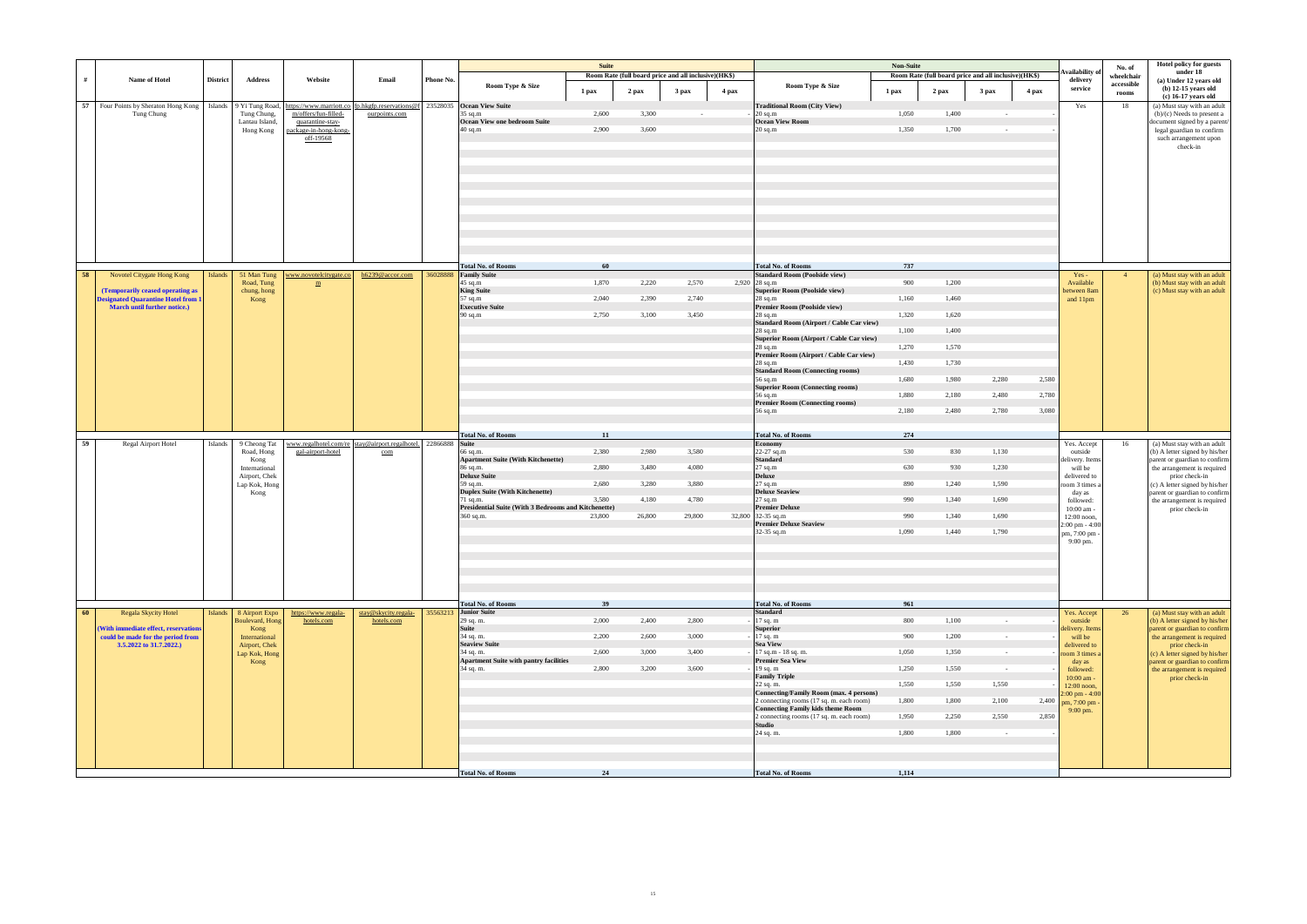|    |                                                                           |                 |                                |                                                                           |                                                                |           |                                                             | <b>Suite</b> |                                                      |        |       |                                                                                      | <b>Non-Suite</b> |                                                      |                  |       |                                     |                      | <b>Hotel policy for guests</b>                                  |
|----|---------------------------------------------------------------------------|-----------------|--------------------------------|---------------------------------------------------------------------------|----------------------------------------------------------------|-----------|-------------------------------------------------------------|--------------|------------------------------------------------------|--------|-------|--------------------------------------------------------------------------------------|------------------|------------------------------------------------------|------------------|-------|-------------------------------------|----------------------|-----------------------------------------------------------------|
|    |                                                                           |                 |                                |                                                                           |                                                                |           |                                                             |              | Room Rate (full board price and all inclusive)(HK\$) |        |       |                                                                                      |                  | Room Rate (full board price and all inclusive)(HK\$) |                  |       | <b>Availability</b> o               | No. of<br>wheelchair | under 18                                                        |
| #  | Name of Hotel                                                             | <b>District</b> | <b>Address</b>                 | Website                                                                   | Email                                                          | Phone No. | Room Type & Size                                            |              |                                                      |        |       | Room Type & Size                                                                     |                  |                                                      |                  |       | delivery<br>service                 | accessible           | (a) Under 12 years old<br>$(b)$ 12-15 years old                 |
|    |                                                                           |                 |                                |                                                                           |                                                                |           |                                                             | 1 pax        | 2 pax                                                | 3 pax  | 4 pax |                                                                                      | 1 pax            | $2$ pax                                              | 3 <sub>max</sub> | 4 pax |                                     | rooms                | $(c)$ 16-17 years old                                           |
|    | 57 Four Points by Sheraton Hong Kong   Islands   9 Yi Tung Road,          |                 |                                | https://www.marriott.co fp.hkgfp.reservations@f 23528035 Ocean View Suite |                                                                |           |                                                             |              |                                                      |        |       | <b>Traditional Room (City View)</b>                                                  |                  |                                                      |                  |       | Yes                                 | 18                   | (a) Must stay with an adult                                     |
|    | Tung Chung                                                                |                 | Tung Chung,<br>Lantau Island,  | m/offers/fun-filled-<br>quarantine-stay-                                  | ourpoints.com                                                  |           | $35$ sq.m<br><b>Ocean View one bedroom Suite</b>            | 2,600        | 3,300                                                | $\sim$ |       | $20$ sq.m<br><b>Ocean View Room</b>                                                  | 1,050            | 1,400                                                | $\sim$           |       |                                     |                      | $(b)/(c)$ Needs to present a<br>document signed by a parent/    |
|    |                                                                           |                 | Hong Kong                      | package-in-hong-kong-                                                     |                                                                |           | $40$ sq.m                                                   | 2,900        | 3.600                                                |        |       | $20$ sq.m                                                                            | 1,350            | 1,700                                                | $\sim 10^{-1}$   |       |                                     |                      | legal guardian to confirm                                       |
|    |                                                                           |                 |                                | off-19568                                                                 |                                                                |           |                                                             |              |                                                      |        |       |                                                                                      |                  |                                                      |                  |       |                                     |                      | such arrangement upon                                           |
|    |                                                                           |                 |                                |                                                                           |                                                                |           |                                                             |              |                                                      |        |       |                                                                                      |                  |                                                      |                  |       |                                     |                      | check-in                                                        |
|    |                                                                           |                 |                                |                                                                           |                                                                |           |                                                             |              |                                                      |        |       |                                                                                      |                  |                                                      |                  |       |                                     |                      |                                                                 |
|    |                                                                           |                 |                                |                                                                           |                                                                |           |                                                             |              |                                                      |        |       |                                                                                      |                  |                                                      |                  |       |                                     |                      |                                                                 |
|    |                                                                           |                 |                                |                                                                           |                                                                |           |                                                             |              |                                                      |        |       |                                                                                      |                  |                                                      |                  |       |                                     |                      |                                                                 |
|    |                                                                           |                 |                                |                                                                           |                                                                |           |                                                             |              |                                                      |        |       |                                                                                      |                  |                                                      |                  |       |                                     |                      |                                                                 |
|    |                                                                           |                 |                                |                                                                           |                                                                |           |                                                             |              |                                                      |        |       |                                                                                      |                  |                                                      |                  |       |                                     |                      |                                                                 |
|    |                                                                           |                 |                                |                                                                           |                                                                |           |                                                             |              |                                                      |        |       |                                                                                      |                  |                                                      |                  |       |                                     |                      |                                                                 |
|    |                                                                           |                 |                                |                                                                           |                                                                |           |                                                             |              |                                                      |        |       |                                                                                      |                  |                                                      |                  |       |                                     |                      |                                                                 |
|    |                                                                           |                 |                                |                                                                           |                                                                |           |                                                             |              |                                                      |        |       |                                                                                      |                  |                                                      |                  |       |                                     |                      |                                                                 |
|    |                                                                           |                 |                                |                                                                           |                                                                |           |                                                             |              |                                                      |        |       |                                                                                      |                  |                                                      |                  |       |                                     |                      |                                                                 |
|    |                                                                           |                 |                                |                                                                           |                                                                |           | <b>Total No. of Rooms</b>                                   | 60           |                                                      |        |       | <b>Total No. of Rooms</b>                                                            | 737              |                                                      |                  |       |                                     |                      |                                                                 |
| 58 | Novotel Citygate Hong Kong                                                | Islands         | 51 Man Tung                    | www.novotelcitygate.co                                                    | h6239@accor.com                                                |           | <b>36028888</b> Family Suite                                |              |                                                      |        |       | <b>Standard Room (Poolside view)</b>                                                 |                  |                                                      |                  |       | Yes-                                | $\overline{4}$       | (a) Must stay with an adult                                     |
|    | (Temporarily ceased operating as                                          |                 | Road, Tung<br>chung, hong      | m                                                                         |                                                                |           | $45$ sq.m<br><b>King Suite</b>                              | 1,870        | 2,220                                                | 2,570  |       | $2,920$ 28 sq.m<br><b>Superior Room (Poolside view)</b>                              | 900              | 1,200                                                |                  |       | Available<br>between 8am            |                      | (b) Must stay with an adult<br>(c) Must stay with an adult      |
|    | <b>Designated Quarantine Hotel from 1</b>                                 |                 | Kong                           |                                                                           |                                                                |           | $57 \text{ sq.m}$                                           | 2,040        | 2,390                                                | 2,740  |       | $28$ sq.m                                                                            | 1,160            | 1,460                                                |                  |       | and 11pm                            |                      |                                                                 |
|    | <b>March until further notice.)</b>                                       |                 |                                |                                                                           |                                                                |           | <b>Executive Suite</b><br>$90$ sq.m                         | 2,750        | 3,100                                                | 3,450  |       | Premier Room (Poolside view)<br>$28$ sq.m                                            | 1,320            | 1,620                                                |                  |       |                                     |                      |                                                                 |
|    |                                                                           |                 |                                |                                                                           |                                                                |           |                                                             |              |                                                      |        |       | <b>Standard Room (Airport / Cable Car view)</b>                                      |                  |                                                      |                  |       |                                     |                      |                                                                 |
|    |                                                                           |                 |                                |                                                                           |                                                                |           |                                                             |              |                                                      |        |       | 28 sq.m                                                                              | 1,100            | 1,400                                                |                  |       |                                     |                      |                                                                 |
|    |                                                                           |                 |                                |                                                                           |                                                                |           |                                                             |              |                                                      |        |       | <b>Superior Room (Airport / Cable Car view)</b><br>$28$ sq.m                         | 1,270            | 1,570                                                |                  |       |                                     |                      |                                                                 |
|    |                                                                           |                 |                                |                                                                           |                                                                |           |                                                             |              |                                                      |        |       | Premier Room (Airport / Cable Car view)                                              |                  |                                                      |                  |       |                                     |                      |                                                                 |
|    |                                                                           |                 |                                |                                                                           |                                                                |           |                                                             |              |                                                      |        |       | $28$ sq.m<br><b>Standard Room (Connecting rooms)</b>                                 | 1,430            | 1,730                                                |                  |       |                                     |                      |                                                                 |
|    |                                                                           |                 |                                |                                                                           |                                                                |           |                                                             |              |                                                      |        |       | 56 sq.m                                                                              | 1,680            | 1,980                                                | 2,280            | 2,580 |                                     |                      |                                                                 |
|    |                                                                           |                 |                                |                                                                           |                                                                |           |                                                             |              |                                                      |        |       | <b>Superior Room (Connecting rooms)</b><br>56 sq.m                                   | 1,880            | 2,180                                                | 2,480            | 2,780 |                                     |                      |                                                                 |
|    |                                                                           |                 |                                |                                                                           |                                                                |           |                                                             |              |                                                      |        |       | <b>Premier Room (Connecting rooms)</b>                                               |                  |                                                      |                  |       |                                     |                      |                                                                 |
|    |                                                                           |                 |                                |                                                                           |                                                                |           |                                                             |              |                                                      |        |       | 56 sq.m                                                                              | 2,180            | 2,480                                                | 2,780            | 3,080 |                                     |                      |                                                                 |
|    |                                                                           |                 |                                |                                                                           |                                                                |           |                                                             |              |                                                      |        |       |                                                                                      |                  |                                                      |                  |       |                                     |                      |                                                                 |
|    |                                                                           |                 |                                |                                                                           |                                                                |           | <b>Total No. of Rooms</b>                                   | 11           |                                                      |        |       | <b>Total No. of Rooms</b>                                                            | 274              |                                                      |                  |       |                                     |                      |                                                                 |
| 59 | Regal Airport Hotel                                                       | Islands         | 9 Cheong Tat<br>Road, Hong     | gal-airport-hotel                                                         | www.regalhotel.com/re stay@airport.regalhotel. 22866888<br>com |           | <b>Suite</b><br>66 sq.m.                                    | 2,380        | 2,980                                                | 3,580  |       | Economy<br>22-27 sq.m                                                                | 530              | 830                                                  | 1,130            |       | Yes. Accept<br>outside              | 16                   | (a) Must stay with an adult<br>(b) A letter signed by his/her   |
|    |                                                                           |                 | Kong                           |                                                                           |                                                                |           | <b>Apartment Suite (With Kitchenette)</b>                   |              |                                                      |        |       | <b>Standard</b>                                                                      |                  |                                                      |                  |       | delivery. Items                     |                      | parent or guardian to confirm                                   |
|    |                                                                           |                 | International<br>Airport, Chek |                                                                           |                                                                |           | 86 sq.m.<br><b>Deluxe Suite</b>                             | 2,880        | 3,480                                                | 4,080  |       | 27 sq.m<br><b>Deluxe</b>                                                             | 630              | 930                                                  | 1,230            |       | will be<br>delivered to             |                      | the arrangement is required<br>prior check-in                   |
|    |                                                                           |                 | Lap Kok, Hong                  |                                                                           |                                                                |           | 59 sq.m.                                                    | 2,680        | 3,280                                                | 3,880  |       | 27 sq.m                                                                              | 890              | 1,240                                                | 1,590            |       | room 3 times a                      |                      | (c) A letter signed by his/her                                  |
|    |                                                                           |                 | Kong                           |                                                                           |                                                                |           | <b>Duplex Suite (With Kitchenette)</b><br>71 sq.m.          | 3,580        | 4,180                                                | 4,780  |       | <b>Deluxe Seaview</b><br>27 sq.m                                                     | 990              | 1,340                                                | 1,690            |       | day as<br>followed:                 |                      | parent or guardian to confirm<br>the arrangement is required    |
|    |                                                                           |                 |                                |                                                                           |                                                                |           | <b>Presidential Suite (With 3 Bedrooms and Kitchenette)</b> |              |                                                      |        |       | <b>Premier Deluxe</b>                                                                |                  |                                                      |                  |       | 10:00 am -                          |                      | prior check-in                                                  |
|    |                                                                           |                 |                                |                                                                           |                                                                |           | 360 sq.m.                                                   | 23,800       | 26,800                                               | 29,800 |       | 32,800 32-35 sq.m                                                                    | 990              | 1,340                                                | 1,690            |       | $12:00$ noon,                       |                      |                                                                 |
|    |                                                                           |                 |                                |                                                                           |                                                                |           |                                                             |              |                                                      |        |       | <b>Premier Deluxe Seaview</b><br>32-35 sq.m                                          | 1,090            | 1,440                                                | 1,790            |       | 2:00 pm - 4:00<br>pm, 7:00 pm -     |                      |                                                                 |
|    |                                                                           |                 |                                |                                                                           |                                                                |           |                                                             |              |                                                      |        |       |                                                                                      |                  |                                                      |                  |       | $9:00$ pm.                          |                      |                                                                 |
|    |                                                                           |                 |                                |                                                                           |                                                                |           |                                                             |              |                                                      |        |       |                                                                                      |                  |                                                      |                  |       |                                     |                      |                                                                 |
|    |                                                                           |                 |                                |                                                                           |                                                                |           |                                                             |              |                                                      |        |       |                                                                                      |                  |                                                      |                  |       |                                     |                      |                                                                 |
|    |                                                                           |                 |                                |                                                                           |                                                                |           |                                                             |              |                                                      |        |       |                                                                                      |                  |                                                      |                  |       |                                     |                      |                                                                 |
|    |                                                                           |                 |                                |                                                                           |                                                                |           |                                                             |              |                                                      |        |       |                                                                                      |                  |                                                      |                  |       |                                     |                      |                                                                 |
|    |                                                                           |                 |                                |                                                                           |                                                                |           |                                                             | 39           |                                                      |        |       |                                                                                      |                  |                                                      |                  |       |                                     |                      |                                                                 |
| 60 | <b>Regala Skycity Hotel</b>                                               |                 | Islands   8 Airport Expo       | https://www.regala-                                                       | stay@skycity.regala-                                           |           | <b>Total No. of Rooms</b><br>35563213 Junior Suite          |              |                                                      |        |       | <b>Total No. of Rooms</b><br><b>Standard</b>                                         | 961              |                                                      |                  |       | Yes. Accept                         | 26                   | (a) Must stay with an adult                                     |
|    |                                                                           |                 | Boulevard, Hong                | hotels.com                                                                | hotels.com                                                     |           | 29 sq. m.                                                   | 2,000        | 2,400                                                | 2,800  |       | 17 sq. m                                                                             | 800              | 1,100                                                | $\sim 10^{-11}$  |       | outside                             |                      | (b) A letter signed by his/her                                  |
|    | (With immediate effect, reservations<br>could be made for the period from |                 | Kong<br>International          |                                                                           |                                                                |           | Suite<br>34 sq. m.                                          | 2,200        | 2,600                                                | 3,000  |       | <b>Superior</b><br>$17$ sq. m                                                        | 900              | 1,200                                                | $\sim 10^{-1}$   |       | delivery. Items<br>will be          |                      | parent or guardian to confirm<br>the arrangement is required    |
|    | 3.5.2022 to 31.7.2022.)                                                   |                 | Airport, Chek                  |                                                                           |                                                                |           | <b>Seaview Suite</b>                                        |              |                                                      |        |       | <b>Sea View</b>                                                                      |                  |                                                      |                  |       | delivered to                        |                      | prior check-in                                                  |
|    |                                                                           |                 | Lap Kok, Hong<br>Kong          |                                                                           |                                                                |           | 34 sq. m.<br>Apartment Suite with pantry facilities         | 2,600        | 3,000                                                | 3,400  |       | $17$ sq.m - 18 sq.m.<br><b>Premier Sea View</b>                                      | 1,050            | 1,350                                                | $\sim$           |       | room 3 times a<br>day as            |                      | (c) A letter signed by his/her<br>parent or guardian to confirm |
|    |                                                                           |                 |                                |                                                                           |                                                                |           | 34 sq. m.                                                   | 2,800        | 3,200                                                | 3,600  |       | $19$ sq. m                                                                           | 1,250            | 1,550                                                | $\sim$ $-$       |       | followed:                           |                      | the arrangement is required                                     |
|    |                                                                           |                 |                                |                                                                           |                                                                |           |                                                             |              |                                                      |        |       | <b>Family Triple</b><br>22 sq. m.                                                    | 1,550            | 1,550                                                | 1,550            |       | 10:00 am -                          |                      | prior check-in                                                  |
|    |                                                                           |                 |                                |                                                                           |                                                                |           |                                                             |              |                                                      |        |       | Connecting/Family Room (max. 4 persons)                                              |                  |                                                      |                  |       | $12:00$ noon,<br>$2:00$ pm - $4:00$ |                      |                                                                 |
|    |                                                                           |                 |                                |                                                                           |                                                                |           |                                                             |              |                                                      |        |       | 2 connecting rooms (17 sq. m. each room)                                             | 1,800            | 1,800                                                | 2,100            | 2,400 | pm, 7:00 pm -                       |                      |                                                                 |
|    |                                                                           |                 |                                |                                                                           |                                                                |           |                                                             |              |                                                      |        |       | <b>Connecting Family kids theme Room</b><br>2 connecting rooms (17 sq. m. each room) | 1,950            | 2,250                                                | 2,550            | 2,850 | $9:00$ pm.                          |                      |                                                                 |
|    |                                                                           |                 |                                |                                                                           |                                                                |           |                                                             |              |                                                      |        |       | Studio                                                                               |                  |                                                      |                  |       |                                     |                      |                                                                 |
|    |                                                                           |                 |                                |                                                                           |                                                                |           |                                                             |              |                                                      |        |       | 24 sq. m.                                                                            | 1,800            | 1,800                                                | $\sim 10^{-1}$   |       |                                     |                      |                                                                 |
|    |                                                                           |                 |                                |                                                                           |                                                                |           |                                                             |              |                                                      |        |       |                                                                                      |                  |                                                      |                  |       |                                     |                      |                                                                 |
|    |                                                                           |                 |                                |                                                                           |                                                                |           |                                                             |              |                                                      |        |       |                                                                                      |                  |                                                      |                  |       |                                     |                      |                                                                 |
|    |                                                                           |                 |                                |                                                                           |                                                                |           | <b>Total No. of Rooms</b>                                   | 24           |                                                      |        |       | <b>Total No. of Rooms</b>                                                            | 1,114            |                                                      |                  |       |                                     |                      |                                                                 |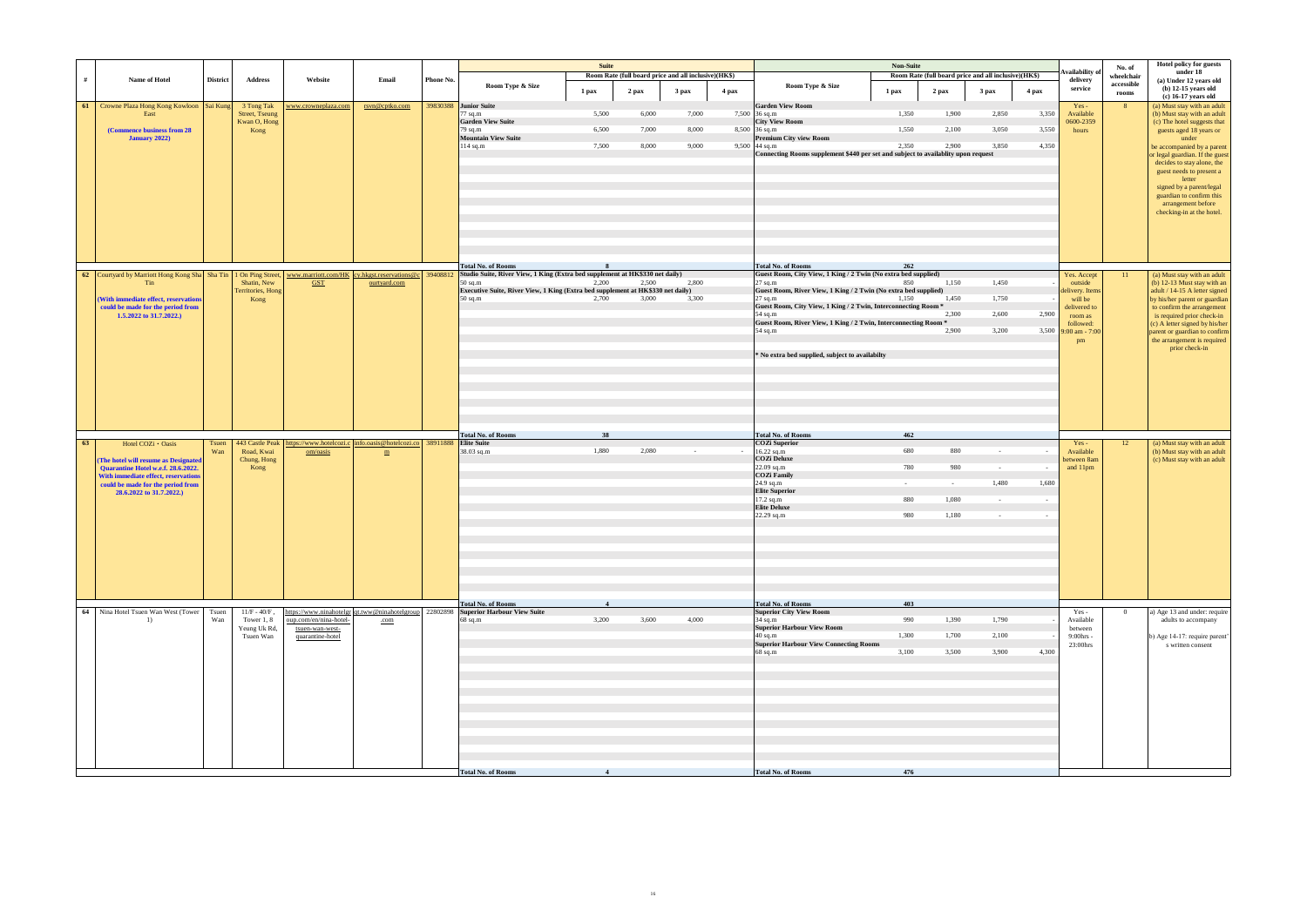| nd all inclusive)(HK\$) |       | Availability of<br>delivery       | No. of<br>wheelchair | <b>Hotel policy for guests</b><br>under 18<br>(a) Under 12 years old                                                                                                                                                                         |
|-------------------------|-------|-----------------------------------|----------------------|----------------------------------------------------------------------------------------------------------------------------------------------------------------------------------------------------------------------------------------------|
| 3 pax                   | 4 pax | service                           | accessible<br>rooms  | $(b)$ 12-15 years old<br>$(c)$ 16-17 years old                                                                                                                                                                                               |
| 2,850                   | 3,350 | $Yes -$<br>Available<br>0600-2359 | 8                    | (a) Must stay with an adult<br>(b) Must stay with an adult<br>(c) The hotel suggests that                                                                                                                                                    |
| 3,050                   | 3,550 | hours                             |                      | guests aged 18 years or<br>under                                                                                                                                                                                                             |
| 3,850<br>equest         | 4,350 |                                   |                      | be accompanied by a parent<br>or legal guardian. If the guest<br>decides to stay alone, the<br>guest needs to present a<br>letter<br>signed by a parent/legal<br>guardian to confirm this<br>arrangement before<br>checking-in at the hotel. |
|                         |       |                                   |                      |                                                                                                                                                                                                                                              |
| 1,450                   |       | Yes. Accept<br>outside            | 11                   | (a) Must stay with an adult<br>(b) 12-13 Must stay with an                                                                                                                                                                                   |
| 1,750                   |       | delivery. Items<br>will be        |                      | adult / 14-15 A letter signed<br>by his/her parent or guardian                                                                                                                                                                               |
| 2,600                   | 2,900 | delivered to<br>room as           |                      | to confirm the arrangement<br>is required prior check-in                                                                                                                                                                                     |
| 3,200                   | 3,500 | followed:<br>9:00 am - 7:00<br>pm |                      | (c) A letter signed by his/her<br>parent or guardian to confirm<br>the arrangement is required                                                                                                                                               |
|                         |       |                                   |                      | prior check-in                                                                                                                                                                                                                               |
|                         |       |                                   |                      |                                                                                                                                                                                                                                              |
|                         |       |                                   |                      |                                                                                                                                                                                                                                              |
|                         |       |                                   |                      |                                                                                                                                                                                                                                              |
|                         |       | $Yes -$<br>Available              | 12                   | (a) Must stay with an adult<br>(b) Must stay with an adult                                                                                                                                                                                   |
|                         |       | between 8am<br>and 11pm           |                      | (c) Must stay with an adult                                                                                                                                                                                                                  |
| 1,480                   | 1,680 |                                   |                      |                                                                                                                                                                                                                                              |
|                         |       |                                   |                      |                                                                                                                                                                                                                                              |
|                         |       |                                   |                      |                                                                                                                                                                                                                                              |
|                         |       |                                   |                      |                                                                                                                                                                                                                                              |
|                         |       |                                   |                      |                                                                                                                                                                                                                                              |
|                         |       |                                   |                      |                                                                                                                                                                                                                                              |
|                         |       |                                   |                      |                                                                                                                                                                                                                                              |
| 1,790                   |       | Yes-<br>Available                 | $\boldsymbol{0}$     | a) Age 13 and under: require<br>adults to accompany                                                                                                                                                                                          |
| 2,100                   |       | between<br>9:00hrs -<br>23:00hrs  |                      | b) Age 14-17: require parent'<br>s written consent                                                                                                                                                                                           |
| 3,900                   | 4,300 |                                   |                      |                                                                                                                                                                                                                                              |
|                         |       |                                   |                      |                                                                                                                                                                                                                                              |
|                         |       |                                   |                      |                                                                                                                                                                                                                                              |
|                         |       |                                   |                      |                                                                                                                                                                                                                                              |
|                         |       |                                   |                      |                                                                                                                                                                                                                                              |
|                         |       |                                   |                      |                                                                                                                                                                                                                                              |
|                         |       |                                   |                      |                                                                                                                                                                                                                                              |

|    |                                                                                                                   |                 |                                       |                                                                                |                 |           |                                                                                              | <b>Suite</b> |       |                                                      |       |                                                                                                      | <b>Non-Suite</b> |                                                      |                  |        |                            |                 |
|----|-------------------------------------------------------------------------------------------------------------------|-----------------|---------------------------------------|--------------------------------------------------------------------------------|-----------------|-----------|----------------------------------------------------------------------------------------------|--------------|-------|------------------------------------------------------|-------|------------------------------------------------------------------------------------------------------|------------------|------------------------------------------------------|------------------|--------|----------------------------|-----------------|
|    |                                                                                                                   |                 |                                       |                                                                                |                 |           |                                                                                              |              |       | Room Rate (full board price and all inclusive)(HK\$) |       |                                                                                                      |                  | Room Rate (full board price and all inclusive)(HK\$) |                  |        | vailability of             | No.<br>wheel    |
| #  | Name of Hotel                                                                                                     | <b>District</b> | <b>Address</b>                        | Website                                                                        | Email           | Phone No. | Room Type & Size                                                                             | 1 pax        | 2 pax | 3 pax                                                | 4 pax | Room Type & Size                                                                                     | 1 pax            | 2 pax                                                | 3 <sub>max</sub> | 4 pax  | delivery<br>service        | acces:<br>rool  |
| 61 | Crowne Plaza Hong Kong Kowloon   Sai Kung                                                                         |                 | 3 Tong Tak                            | www.crowneplaza.com                                                            | rsvn@cptko.com  |           | 39830388 Junior Suite                                                                        |              |       |                                                      |       | <b>Garden View Room</b>                                                                              |                  |                                                      |                  |        | $Yes -$                    | -8              |
|    | East                                                                                                              |                 | <b>Street, Tseung</b><br>Kwan O, Hong |                                                                                |                 |           | $77$ sq.m<br><b>Garden View Suite</b>                                                        | 5,500        | 6,000 | 7,000                                                |       | 7,500 36 sq.m<br><b>City View Room</b>                                                               | 1,350            | 1,900                                                | 2,850            | 3,350  | Available<br>0600-2359     |                 |
|    | (Commence business from 28                                                                                        |                 | Kong                                  |                                                                                |                 |           | $79$ sq.m                                                                                    | 6,500        | 7,000 | 8,000                                                |       | 8,500 36 sq.m                                                                                        | 1,550            | 2,100                                                | 3,050            | 3,550  | hours                      |                 |
|    | January 2022)                                                                                                     |                 |                                       |                                                                                |                 |           | <b>Mountain View Suite</b>                                                                   |              |       |                                                      |       | <b>Premium City view Room</b>                                                                        |                  |                                                      |                  |        |                            |                 |
|    |                                                                                                                   |                 |                                       |                                                                                |                 |           | $114$ sq.m                                                                                   | 7,500        | 8,000 | 9,000                                                |       | $9,500$ 44 sq.m<br>Connecting Rooms supplement \$440 per set and subject to availablity upon request | 2.350            | 2,900                                                | 3,850            | 4.350  |                            |                 |
|    |                                                                                                                   |                 |                                       |                                                                                |                 |           |                                                                                              |              |       |                                                      |       |                                                                                                      |                  |                                                      |                  |        |                            |                 |
|    |                                                                                                                   |                 |                                       |                                                                                |                 |           |                                                                                              |              |       |                                                      |       |                                                                                                      |                  |                                                      |                  |        |                            |                 |
|    |                                                                                                                   |                 |                                       |                                                                                |                 |           |                                                                                              |              |       |                                                      |       |                                                                                                      |                  |                                                      |                  |        |                            |                 |
|    |                                                                                                                   |                 |                                       |                                                                                |                 |           |                                                                                              |              |       |                                                      |       |                                                                                                      |                  |                                                      |                  |        |                            |                 |
|    |                                                                                                                   |                 |                                       |                                                                                |                 |           |                                                                                              |              |       |                                                      |       |                                                                                                      |                  |                                                      |                  |        |                            |                 |
|    |                                                                                                                   |                 |                                       |                                                                                |                 |           |                                                                                              |              |       |                                                      |       |                                                                                                      |                  |                                                      |                  |        |                            |                 |
|    |                                                                                                                   |                 |                                       |                                                                                |                 |           |                                                                                              |              |       |                                                      |       |                                                                                                      |                  |                                                      |                  |        |                            |                 |
|    |                                                                                                                   |                 |                                       |                                                                                |                 |           |                                                                                              |              |       |                                                      |       |                                                                                                      |                  |                                                      |                  |        |                            |                 |
|    |                                                                                                                   |                 |                                       |                                                                                |                 |           |                                                                                              |              |       |                                                      |       |                                                                                                      |                  |                                                      |                  |        |                            |                 |
|    |                                                                                                                   |                 |                                       |                                                                                |                 |           | <b>Total No. of Rooms</b>                                                                    | -8           |       |                                                      |       | <b>Total No. of Rooms</b>                                                                            | 262              |                                                      |                  |        |                            |                 |
|    | 62 Courtyard by Marriott Hong Kong Sha Tin 1 On Ping Street, www.marriott.com/HK cy.hkgst.reservations@c 39408812 |                 |                                       |                                                                                |                 |           | Studio Suite, River View, 1 King (Extra bed supplement at HK\$330 net daily)                 |              |       |                                                      |       | Guest Room, City View, 1 King / 2 Twin (No extra bed supplied)                                       |                  |                                                      |                  |        | Yes. Accept                | $\overline{11}$ |
|    | Tin                                                                                                               |                 | Shatin, New<br>Territories, Hong      | <b>GST</b>                                                                     | ourtyard.com    |           | $50$ sq.m<br>Executive Suite, River View, 1 King (Extra bed supplement at HK\$330 net daily) | 2.200        | 2,500 | 2,800                                                |       | $27$ sq.m<br>Guest Room, River View, 1 King / 2 Twin (No extra bed supplied)                         | 850              | 1,150                                                | 1,450            |        | outside                    |                 |
|    | <b>With immediate effect, reservations</b>                                                                        |                 | Kong                                  |                                                                                |                 |           | $50$ sq.m                                                                                    | 2.700        | 3,000 | 3,300                                                |       | $27$ sq.m                                                                                            | 1,150            | 1,450                                                | 1,750            |        | delivery. Items<br>will be |                 |
|    | could be made for the period from                                                                                 |                 |                                       |                                                                                |                 |           |                                                                                              |              |       |                                                      |       | Guest Room, City View, 1 King / 2 Twin, Interconnecting Room *                                       |                  |                                                      |                  |        | delivered to               |                 |
|    | 1.5.2022 to 31.7.2022.)                                                                                           |                 |                                       |                                                                                |                 |           |                                                                                              |              |       |                                                      |       | 54 sq.m<br>Guest Room, River View, 1 King / 2 Twin, Interconnecting Room *                           |                  | 2,300                                                | 2,600            | 2,900  | room as<br>followed:       |                 |
|    |                                                                                                                   |                 |                                       |                                                                                |                 |           |                                                                                              |              |       |                                                      |       | 54 sq.m                                                                                              |                  | 2,900                                                | 3,200            | 3,500  | $9:00$ am - $7:00$         |                 |
|    |                                                                                                                   |                 |                                       |                                                                                |                 |           |                                                                                              |              |       |                                                      |       |                                                                                                      |                  |                                                      |                  |        | pm                         |                 |
|    |                                                                                                                   |                 |                                       |                                                                                |                 |           |                                                                                              |              |       |                                                      |       | * No extra bed supplied, subject to availabilty                                                      |                  |                                                      |                  |        |                            |                 |
|    |                                                                                                                   |                 |                                       |                                                                                |                 |           |                                                                                              |              |       |                                                      |       |                                                                                                      |                  |                                                      |                  |        |                            |                 |
|    |                                                                                                                   |                 |                                       |                                                                                |                 |           |                                                                                              |              |       |                                                      |       |                                                                                                      |                  |                                                      |                  |        |                            |                 |
|    |                                                                                                                   |                 |                                       |                                                                                |                 |           |                                                                                              |              |       |                                                      |       |                                                                                                      |                  |                                                      |                  |        |                            |                 |
|    |                                                                                                                   |                 |                                       |                                                                                |                 |           |                                                                                              |              |       |                                                      |       |                                                                                                      |                  |                                                      |                  |        |                            |                 |
|    |                                                                                                                   |                 |                                       |                                                                                |                 |           |                                                                                              |              |       |                                                      |       |                                                                                                      |                  |                                                      |                  |        |                            |                 |
|    |                                                                                                                   |                 |                                       |                                                                                |                 |           |                                                                                              |              |       |                                                      |       |                                                                                                      |                  |                                                      |                  |        |                            |                 |
|    |                                                                                                                   |                 |                                       |                                                                                |                 |           | <b>Total No. of Rooms</b>                                                                    | 38           |       |                                                      |       | <b>Total No. of Rooms</b>                                                                            | 462              |                                                      |                  |        |                            |                 |
| 63 | Hotel COZi · Oasis                                                                                                | Tsuen           |                                       | 443 Castle Peak   https://www.hotelcozi.c   info.oasis@hotelcozi.co   38911888 |                 |           | <b>Elite Suite</b>                                                                           |              |       |                                                      |       | <b>COZi Superior</b>                                                                                 |                  |                                                      |                  |        | $Yes -$                    |                 |
|    | (The hotel will resume as Designated                                                                              | Wan             | Road, Kwai<br>Chung, Hong             | om/oasis                                                                       | $\underline{m}$ |           | $38.03$ sq.m                                                                                 | 1,880        | 2,080 | $\sim$ $-$                                           |       | 16.22 sq.m<br><b>COZi Deluxe</b>                                                                     | 680              | 880                                                  | $\sim$           |        | Available<br>between 8am   |                 |
|    | Quarantine Hotel w.e.f. 28.6.2022.                                                                                |                 | Kong                                  |                                                                                |                 |           |                                                                                              |              |       |                                                      |       | 22.09 sq.m                                                                                           | 780              | 980                                                  | $\sim$ $-$       | $\sim$ | and 11pm                   |                 |
|    | With immediate effect, reservations                                                                               |                 |                                       |                                                                                |                 |           |                                                                                              |              |       |                                                      |       | <b>COZi Family</b><br>24.9 sq.m                                                                      | $\sim$           | $\sim$                                               | 1,480            | 1,680  |                            |                 |
|    | could be made for the period from<br>28.6.2022 to 31.7.2022.)                                                     |                 |                                       |                                                                                |                 |           |                                                                                              |              |       |                                                      |       | <b>Elite Superior</b>                                                                                |                  |                                                      |                  |        |                            |                 |
|    |                                                                                                                   |                 |                                       |                                                                                |                 |           |                                                                                              |              |       |                                                      |       | 17.2 sq.m                                                                                            | 880              | 1,080                                                | $\sim 10^{-11}$  | $\sim$ |                            |                 |
|    |                                                                                                                   |                 |                                       |                                                                                |                 |           |                                                                                              |              |       |                                                      |       | <b>Elite Deluxe</b><br>22.29 sq.m                                                                    | 980              | 1,180                                                | $\sim$           | $\sim$ |                            |                 |
|    |                                                                                                                   |                 |                                       |                                                                                |                 |           |                                                                                              |              |       |                                                      |       |                                                                                                      |                  |                                                      |                  |        |                            |                 |
|    |                                                                                                                   |                 |                                       |                                                                                |                 |           |                                                                                              |              |       |                                                      |       |                                                                                                      |                  |                                                      |                  |        |                            |                 |
|    |                                                                                                                   |                 |                                       |                                                                                |                 |           |                                                                                              |              |       |                                                      |       |                                                                                                      |                  |                                                      |                  |        |                            |                 |
|    |                                                                                                                   |                 |                                       |                                                                                |                 |           |                                                                                              |              |       |                                                      |       |                                                                                                      |                  |                                                      |                  |        |                            |                 |
|    |                                                                                                                   |                 |                                       |                                                                                |                 |           |                                                                                              |              |       |                                                      |       |                                                                                                      |                  |                                                      |                  |        |                            |                 |
|    |                                                                                                                   |                 |                                       |                                                                                |                 |           |                                                                                              |              |       |                                                      |       |                                                                                                      |                  |                                                      |                  |        |                            |                 |
|    |                                                                                                                   |                 |                                       |                                                                                |                 |           |                                                                                              |              |       |                                                      |       |                                                                                                      |                  |                                                      |                  |        |                            |                 |
|    |                                                                                                                   |                 |                                       |                                                                                |                 |           | <b>Total No. of Rooms</b>                                                                    |              |       |                                                      |       | <b>Total No. of Rooms</b>                                                                            | 403              |                                                      |                  |        |                            |                 |
|    |                                                                                                                   | Tsuen           | $11/F - 40/F$ ,                       |                                                                                |                 |           | ttps://www.ninahotelgr qt.tww@ninahotelgroup 22802898 Superior Harbour View Suite            |              |       | 4,000                                                |       | <b>Superior City View Room</b>                                                                       |                  |                                                      |                  |        | Yes -                      |                 |
|    | 64 Nina Hotel Tsuen Wan West (Tower                                                                               |                 |                                       |                                                                                |                 |           | $68$ sq.m                                                                                    | 3,200        | 3,600 |                                                      |       | $34$ sq.m<br><b>Superior Harbour View Room</b>                                                       | 990              | 1,390                                                | 1,790            |        | Available<br>between       |                 |
|    | 1)                                                                                                                | Wan             | Tower 1, 8                            | oup.com/en/nina-hotel-                                                         | .com            |           |                                                                                              |              |       |                                                      |       |                                                                                                      |                  |                                                      |                  |        |                            |                 |
|    |                                                                                                                   |                 | Yeung Uk Rd,<br>Tsuen Wan             | tsuen-wan-west-<br>quarantine-hotel                                            |                 |           |                                                                                              |              |       |                                                      |       | $40$ sq.m                                                                                            | 1.300            | 1,700                                                | 2,100            |        | 9:00hrs -                  |                 |
|    |                                                                                                                   |                 |                                       |                                                                                |                 |           |                                                                                              |              |       |                                                      |       | <b>Superior Harbour View Connecting Rooms</b>                                                        |                  |                                                      |                  |        | 23:00hrs                   |                 |
|    |                                                                                                                   |                 |                                       |                                                                                |                 |           |                                                                                              |              |       |                                                      |       | $68$ sq.m                                                                                            | 3,100            | 3,500                                                | 3,900            | 4,300  |                            |                 |
|    |                                                                                                                   |                 |                                       |                                                                                |                 |           |                                                                                              |              |       |                                                      |       |                                                                                                      |                  |                                                      |                  |        |                            |                 |
|    |                                                                                                                   |                 |                                       |                                                                                |                 |           |                                                                                              |              |       |                                                      |       |                                                                                                      |                  |                                                      |                  |        |                            |                 |
|    |                                                                                                                   |                 |                                       |                                                                                |                 |           |                                                                                              |              |       |                                                      |       |                                                                                                      |                  |                                                      |                  |        |                            |                 |
|    |                                                                                                                   |                 |                                       |                                                                                |                 |           |                                                                                              |              |       |                                                      |       |                                                                                                      |                  |                                                      |                  |        |                            |                 |
|    |                                                                                                                   |                 |                                       |                                                                                |                 |           |                                                                                              |              |       |                                                      |       |                                                                                                      |                  |                                                      |                  |        |                            |                 |
|    |                                                                                                                   |                 |                                       |                                                                                |                 |           |                                                                                              |              |       |                                                      |       |                                                                                                      |                  |                                                      |                  |        |                            |                 |
|    |                                                                                                                   |                 |                                       |                                                                                |                 |           |                                                                                              |              |       |                                                      |       |                                                                                                      |                  |                                                      |                  |        |                            |                 |
|    |                                                                                                                   |                 |                                       |                                                                                |                 |           |                                                                                              |              |       |                                                      |       |                                                                                                      |                  |                                                      |                  |        |                            |                 |
|    |                                                                                                                   |                 |                                       |                                                                                |                 |           |                                                                                              |              |       |                                                      |       |                                                                                                      |                  |                                                      |                  |        |                            |                 |